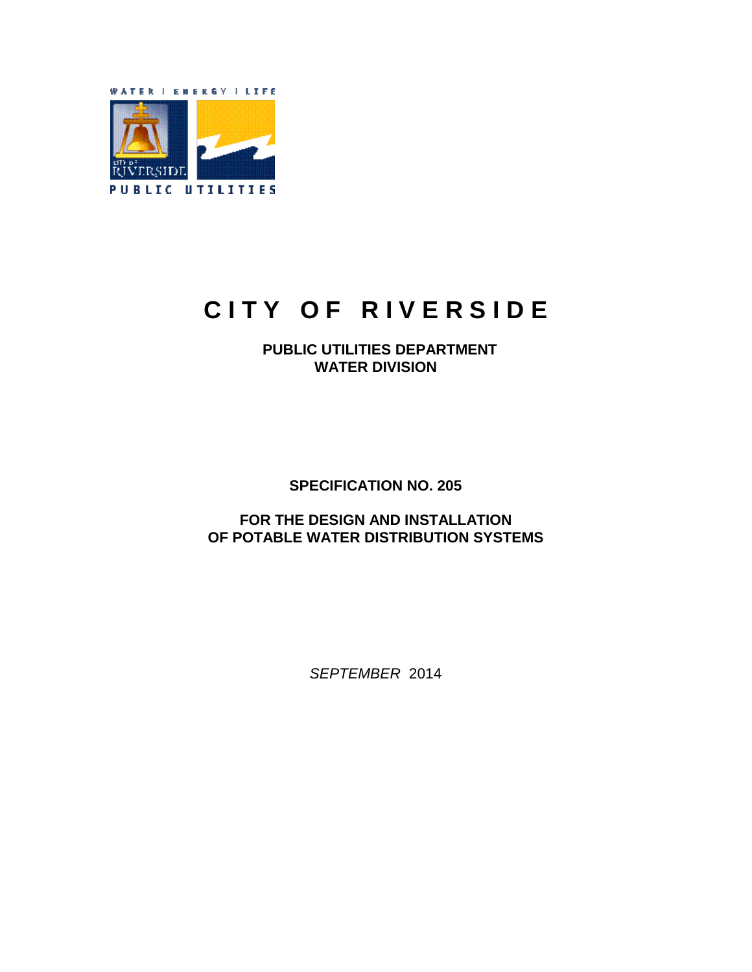

# **CITY OF RIVERSIDE**

 **PUBLIC UTILITIES DEPARTMENT WATER DIVISION** 

**SPECIFICATION NO. 205**

**FOR THE DESIGN AND INSTALLATION OF POTABLE WATER DISTRIBUTION SYSTEMS** 

*SEPTEMBER* 2014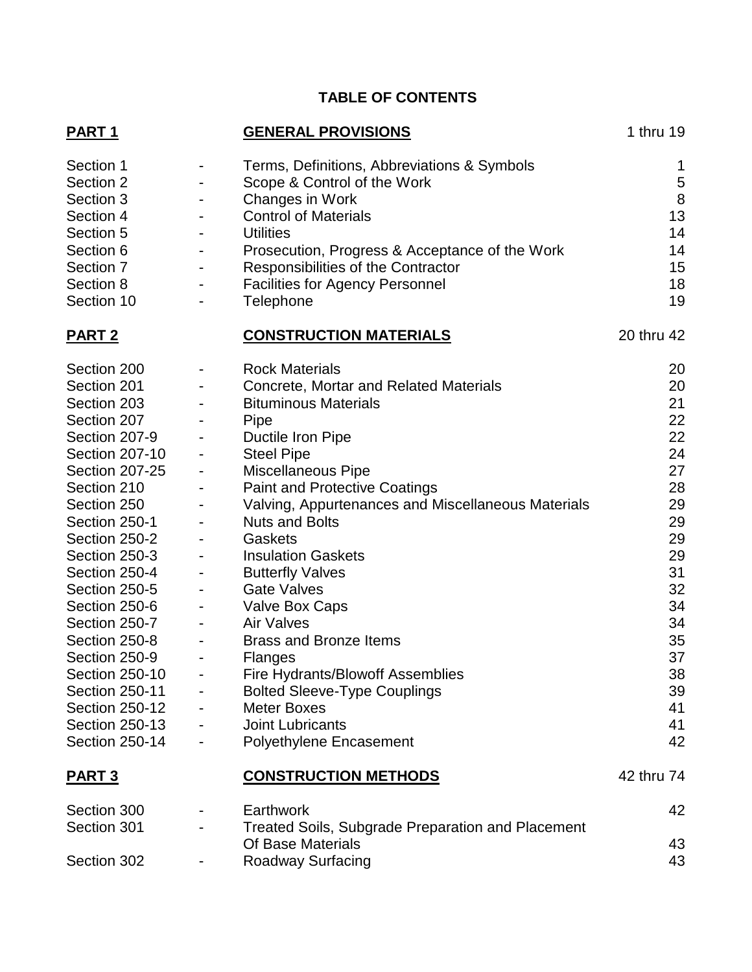# **TABLE OF CONTENTS**

| PART <sub>1</sub>      |                          | <b>GENERAL PROVISIONS</b>                                | 1 thru 19  |
|------------------------|--------------------------|----------------------------------------------------------|------------|
| Section 1<br>Section 2 | -                        | Terms, Definitions, Abbreviations & Symbols              | 1<br>5     |
| Section 3              |                          | Scope & Control of the Work<br>Changes in Work           | 8          |
| Section 4              |                          | <b>Control of Materials</b>                              | 13         |
| Section 5              |                          | <b>Utilities</b>                                         | 14         |
| Section 6              | $\blacksquare$           | Prosecution, Progress & Acceptance of the Work           | 14         |
| Section 7              |                          | Responsibilities of the Contractor                       | 15         |
| Section 8              |                          | <b>Facilities for Agency Personnel</b>                   | 18         |
| Section 10             |                          | Telephone                                                | 19         |
| <b>PART 2</b>          |                          | <b>CONSTRUCTION MATERIALS</b>                            | 20 thru 42 |
| Section 200            | ۰                        | <b>Rock Materials</b>                                    | 20         |
| Section 201            | ۰                        | <b>Concrete, Mortar and Related Materials</b>            | 20         |
| Section 203            |                          | <b>Bituminous Materials</b>                              | 21         |
| Section 207            |                          | Pipe                                                     | 22         |
| Section 207-9          | $\overline{\phantom{a}}$ | Ductile Iron Pipe                                        | 22         |
| Section 207-10         | -                        | <b>Steel Pipe</b>                                        | 24         |
| <b>Section 207-25</b>  | -                        | <b>Miscellaneous Pipe</b>                                | 27         |
| Section 210            | $\overline{\phantom{a}}$ | <b>Paint and Protective Coatings</b>                     | 28         |
| Section 250            | $\overline{\phantom{a}}$ | Valving, Appurtenances and Miscellaneous Materials       | 29         |
| Section 250-1          |                          | <b>Nuts and Bolts</b>                                    | 29         |
| Section 250-2          | $\overline{\phantom{a}}$ | Gaskets                                                  | 29         |
| Section 250-3          | $\overline{\phantom{a}}$ | <b>Insulation Gaskets</b>                                | 29         |
| Section 250-4          |                          | <b>Butterfly Valves</b>                                  | 31         |
| Section 250-5          | ۰                        | <b>Gate Valves</b>                                       | 32         |
| Section 250-6          | $\overline{\phantom{a}}$ | Valve Box Caps                                           | 34         |
| Section 250-7          | $\overline{\phantom{a}}$ | <b>Air Valves</b>                                        | 34         |
| Section 250-8          | $\overline{\phantom{a}}$ | <b>Brass and Bronze Items</b>                            | 35         |
| Section 250-9          | $\overline{\phantom{a}}$ | <b>Flanges</b>                                           | 37         |
| <b>Section 250-10</b>  |                          | Fire Hydrants/Blowoff Assemblies                         | 38         |
| Section 250-11         |                          | <b>Bolted Sleeve-Type Couplings</b>                      | 39         |
| <b>Section 250-12</b>  |                          | <b>Meter Boxes</b>                                       | 41         |
| <b>Section 250-13</b>  |                          | Joint Lubricants                                         | 41         |
| <b>Section 250-14</b>  |                          | <b>Polyethylene Encasement</b>                           | 42         |
| <b>PART 3</b>          |                          | <b>CONSTRUCTION METHODS</b>                              | 42 thru 74 |
| Section 300            |                          | Earthwork                                                | 42         |
| Section 301            |                          | <b>Treated Soils, Subgrade Preparation and Placement</b> |            |
|                        |                          | Of Base Materials                                        | 43         |
| Section 302            |                          | Roadway Surfacing                                        | 43         |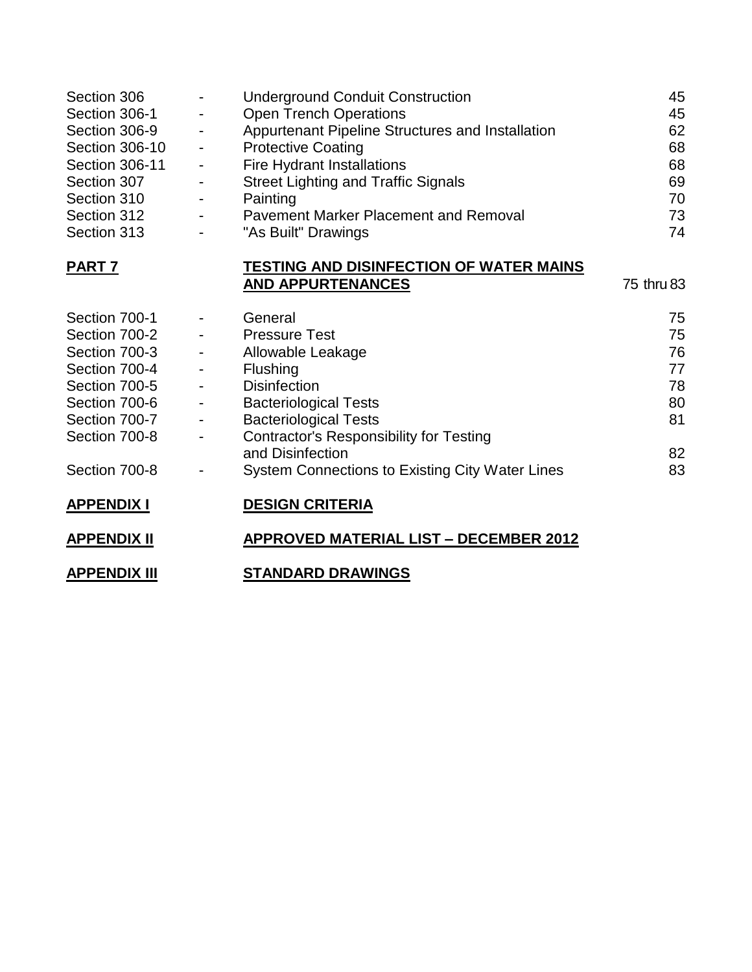| Section 306           | $\overline{\phantom{a}}$                          | <b>Underground Conduit Construction</b>          | 45         |
|-----------------------|---------------------------------------------------|--------------------------------------------------|------------|
| Section 306-1         | ۰                                                 | <b>Open Trench Operations</b>                    | 45         |
| Section 306-9         | $\blacksquare$                                    | Appurtenant Pipeline Structures and Installation | 62         |
| Section 306-10        | $\sim$                                            | <b>Protective Coating</b>                        | 68         |
| <b>Section 306-11</b> | $\sim 100$                                        | Fire Hydrant Installations                       | 68         |
| Section 307           | $\overline{\phantom{a}}$                          | <b>Street Lighting and Traffic Signals</b>       | 69         |
| Section 310           | $\overline{\phantom{a}}$                          | Painting                                         | 70         |
| Section 312           | $\omega_{\rm{max}}$ and $\omega_{\rm{max}}$       | <b>Pavement Marker Placement and Removal</b>     | 73         |
| Section 313           | $\overline{\phantom{a}}$                          | "As Built" Drawings                              | 74         |
| PART <sub>7</sub>     |                                                   | <b>TESTING AND DISINFECTION OF WATER MAINS</b>   |            |
|                       |                                                   | <b>AND APPURTENANCES</b>                         | 75 thru 83 |
| Section 700-1         | $\blacksquare$                                    | General                                          | 75         |
| Section 700-2         | $\frac{1}{2}$ and $\frac{1}{2}$ and $\frac{1}{2}$ | <b>Pressure Test</b>                             | 75         |
| Section 700-3         | $\blacksquare$                                    | Allowable Leakage                                | 76         |
| Section 700-4         | $\blacksquare$                                    | Flushing                                         | 77         |
| Section 700-5         | $\blacksquare$                                    | <b>Disinfection</b>                              | 78         |
| Section 700-6         | $\frac{1}{2}$ and $\frac{1}{2}$ and $\frac{1}{2}$ | <b>Bacteriological Tests</b>                     | 80         |
| Section 700-7         | $\blacksquare$                                    | <b>Bacteriological Tests</b>                     | 81         |
| Section 700-8         | $\overline{\phantom{a}}$                          | <b>Contractor's Responsibility for Testing</b>   |            |
|                       |                                                   | and Disinfection                                 | 82         |
| Section 700-8         | $\qquad \qquad \blacksquare$                      | System Connections to Existing City Water Lines  | 83         |
| <b>APPENDIX I</b>     |                                                   | <b>DESIGN CRITERIA</b>                           |            |
| <b>APPENDIX II</b>    |                                                   | <b>APPROVED MATERIAL LIST - DECEMBER 2012</b>    |            |
| <b>APPENDIX III</b>   |                                                   | <b>STANDARD DRAWINGS</b>                         |            |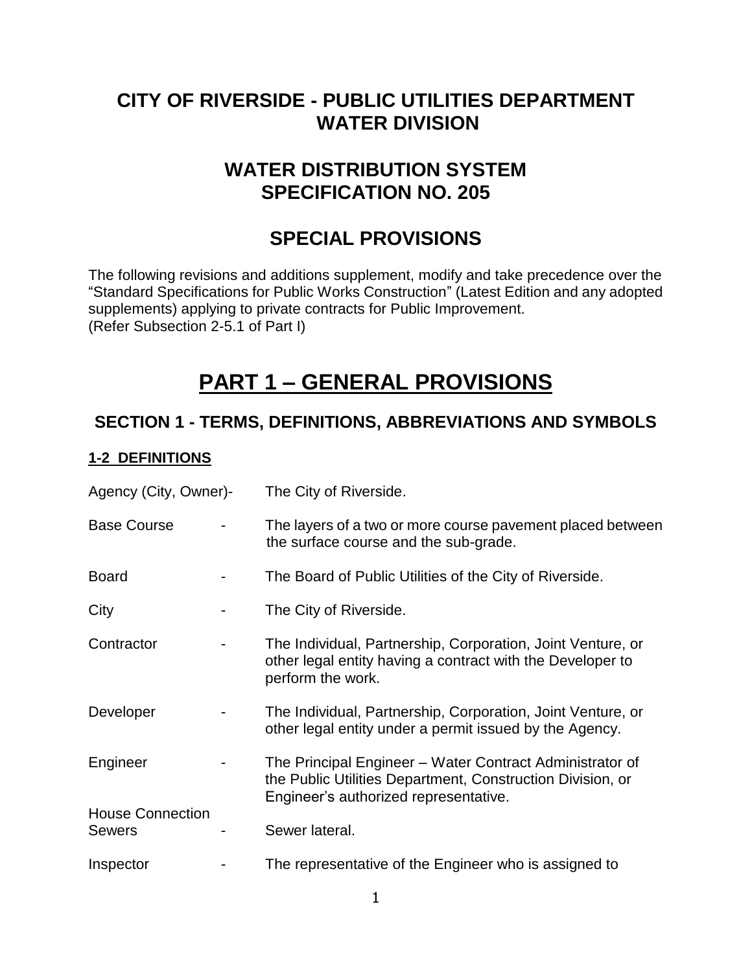# **CITY OF RIVERSIDE - PUBLIC UTILITIES DEPARTMENT WATER DIVISION**

# **WATER DISTRIBUTION SYSTEM SPECIFICATION NO. 205**

# **SPECIAL PROVISIONS**

The following revisions and additions supplement, modify and take precedence over the "Standard Specifications for Public Works Construction" (Latest Edition and any adopted supplements) applying to private contracts for Public Improvement. (Refer Subsection 2-5.1 of Part I)

# **PART 1 – GENERAL PROVISIONS**

# **SECTION 1 - TERMS, DEFINITIONS, ABBREVIATIONS AND SYMBOLS**

## **1-2 DEFINITIONS**

| Agency (City, Owner)-                    | The City of Riverside.                                                                                                                                          |
|------------------------------------------|-----------------------------------------------------------------------------------------------------------------------------------------------------------------|
| <b>Base Course</b>                       | The layers of a two or more course pavement placed between<br>the surface course and the sub-grade.                                                             |
| <b>Board</b>                             | The Board of Public Utilities of the City of Riverside.                                                                                                         |
| City                                     | The City of Riverside.                                                                                                                                          |
| Contractor                               | The Individual, Partnership, Corporation, Joint Venture, or<br>other legal entity having a contract with the Developer to<br>perform the work.                  |
| Developer                                | The Individual, Partnership, Corporation, Joint Venture, or<br>other legal entity under a permit issued by the Agency.                                          |
| Engineer                                 | The Principal Engineer – Water Contract Administrator of<br>the Public Utilities Department, Construction Division, or<br>Engineer's authorized representative. |
| <b>House Connection</b><br><b>Sewers</b> | Sewer lateral.                                                                                                                                                  |
| Inspector                                | The representative of the Engineer who is assigned to                                                                                                           |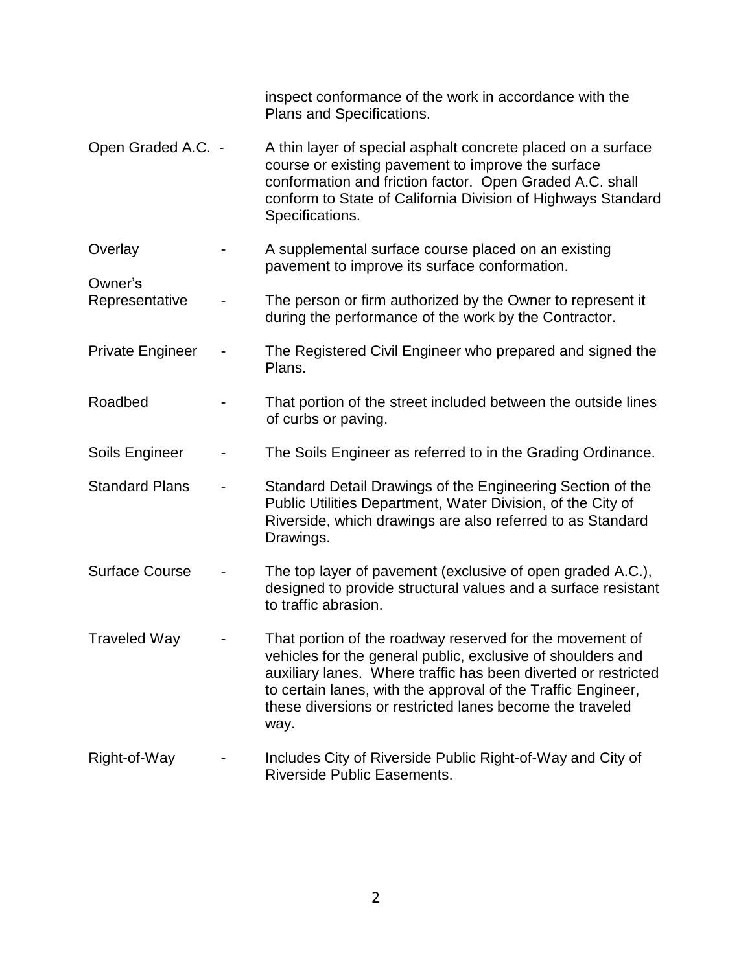|                           | inspect conformance of the work in accordance with the<br>Plans and Specifications.                                                                                                                                                                                                                                           |
|---------------------------|-------------------------------------------------------------------------------------------------------------------------------------------------------------------------------------------------------------------------------------------------------------------------------------------------------------------------------|
| Open Graded A.C. -        | A thin layer of special asphalt concrete placed on a surface<br>course or existing pavement to improve the surface<br>conformation and friction factor. Open Graded A.C. shall<br>conform to State of California Division of Highways Standard<br>Specifications.                                                             |
| Overlay                   | A supplemental surface course placed on an existing<br>pavement to improve its surface conformation.                                                                                                                                                                                                                          |
| Owner's<br>Representative | The person or firm authorized by the Owner to represent it<br>during the performance of the work by the Contractor.                                                                                                                                                                                                           |
| <b>Private Engineer</b>   | The Registered Civil Engineer who prepared and signed the<br>Plans.                                                                                                                                                                                                                                                           |
| Roadbed                   | That portion of the street included between the outside lines<br>of curbs or paving.                                                                                                                                                                                                                                          |
| Soils Engineer            | The Soils Engineer as referred to in the Grading Ordinance.                                                                                                                                                                                                                                                                   |
| <b>Standard Plans</b>     | Standard Detail Drawings of the Engineering Section of the<br>Public Utilities Department, Water Division, of the City of<br>Riverside, which drawings are also referred to as Standard<br>Drawings.                                                                                                                          |
| <b>Surface Course</b>     | The top layer of pavement (exclusive of open graded A.C.),<br>designed to provide structural values and a surface resistant<br>to traffic abrasion.                                                                                                                                                                           |
| <b>Traveled Way</b>       | That portion of the roadway reserved for the movement of<br>vehicles for the general public, exclusive of shoulders and<br>auxiliary lanes. Where traffic has been diverted or restricted<br>to certain lanes, with the approval of the Traffic Engineer,<br>these diversions or restricted lanes become the traveled<br>way. |
| Right-of-Way              | Includes City of Riverside Public Right-of-Way and City of<br>Riverside Public Easements.                                                                                                                                                                                                                                     |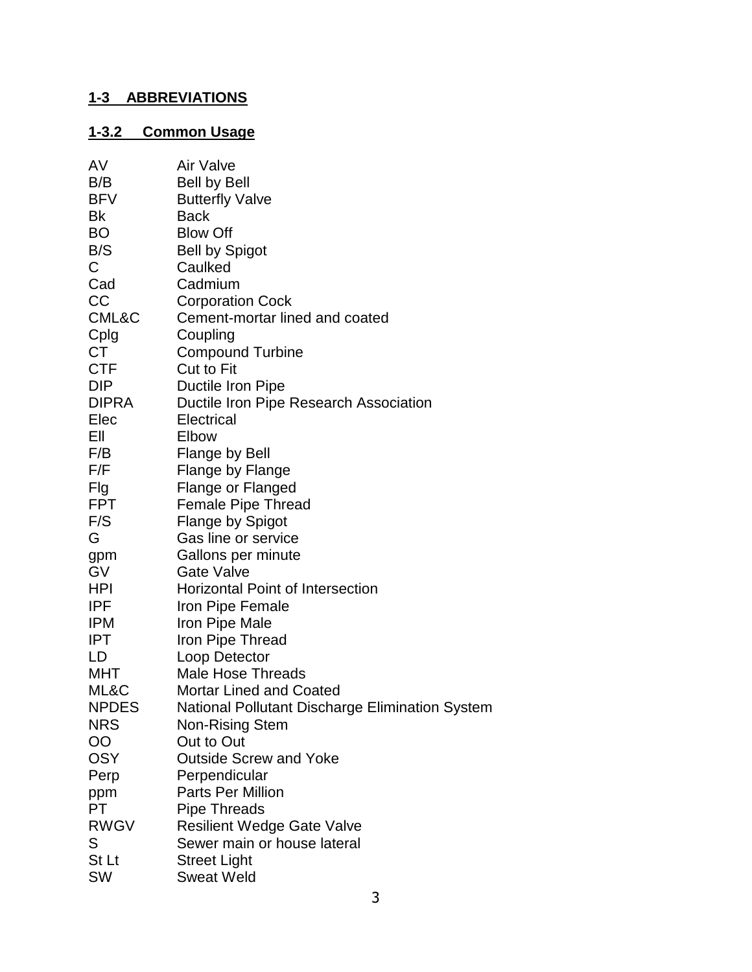# **1-3 ABBREVIATIONS**

# **1-3.2 Common Usage**

| AV           | Air Valve                                       |
|--------------|-------------------------------------------------|
| B/B          | <b>Bell by Bell</b>                             |
| <b>BFV</b>   | <b>Butterfly Valve</b>                          |
| Bk           | <b>Back</b>                                     |
| <b>BO</b>    | <b>Blow Off</b>                                 |
| B/S          | <b>Bell by Spigot</b>                           |
| $\mathsf C$  | Caulked                                         |
| Cad          | Cadmium                                         |
| CC           | <b>Corporation Cock</b>                         |
| CML&C        | Cement-mortar lined and coated                  |
| Cplg         | Coupling                                        |
| <b>CT</b>    | <b>Compound Turbine</b>                         |
| CTF          | <b>Cut to Fit</b>                               |
| DIP          | Ductile Iron Pipe                               |
| <b>DIPRA</b> | Ductile Iron Pipe Research Association          |
| Elec         | Electrical                                      |
| Ell          | Elbow                                           |
| F/B          | Flange by Bell                                  |
| F/F          | Flange by Flange                                |
| Flg          | <b>Flange or Flanged</b>                        |
| <b>FPT</b>   | <b>Female Pipe Thread</b>                       |
| F/S          | <b>Flange by Spigot</b>                         |
| G            | Gas line or service                             |
| gpm          | Gallons per minute                              |
| <b>GV</b>    | <b>Gate Valve</b>                               |
| HPI          | <b>Horizontal Point of Intersection</b>         |
| <b>IPF</b>   | Iron Pipe Female                                |
| <b>IPM</b>   | Iron Pipe Male                                  |
| <b>IPT</b>   | Iron Pipe Thread                                |
| LD           | Loop Detector                                   |
| MHT          | <b>Male Hose Threads</b>                        |
| ML&C         | <b>Mortar Lined and Coated</b>                  |
| <b>NPDES</b> | National Pollutant Discharge Elimination System |
| <b>NRS</b>   | <b>Non-Rising Stem</b>                          |
| OO           | Out to Out                                      |
| <b>OSY</b>   | <b>Outside Screw and Yoke</b>                   |
| Perp         | Perpendicular                                   |
| ppm          | <b>Parts Per Million</b>                        |
| PT           | <b>Pipe Threads</b>                             |
| <b>RWGV</b>  | <b>Resilient Wedge Gate Valve</b>               |
| S            | Sewer main or house lateral                     |
| St Lt        | <b>Street Light</b>                             |
| <b>SW</b>    | <b>Sweat Weld</b>                               |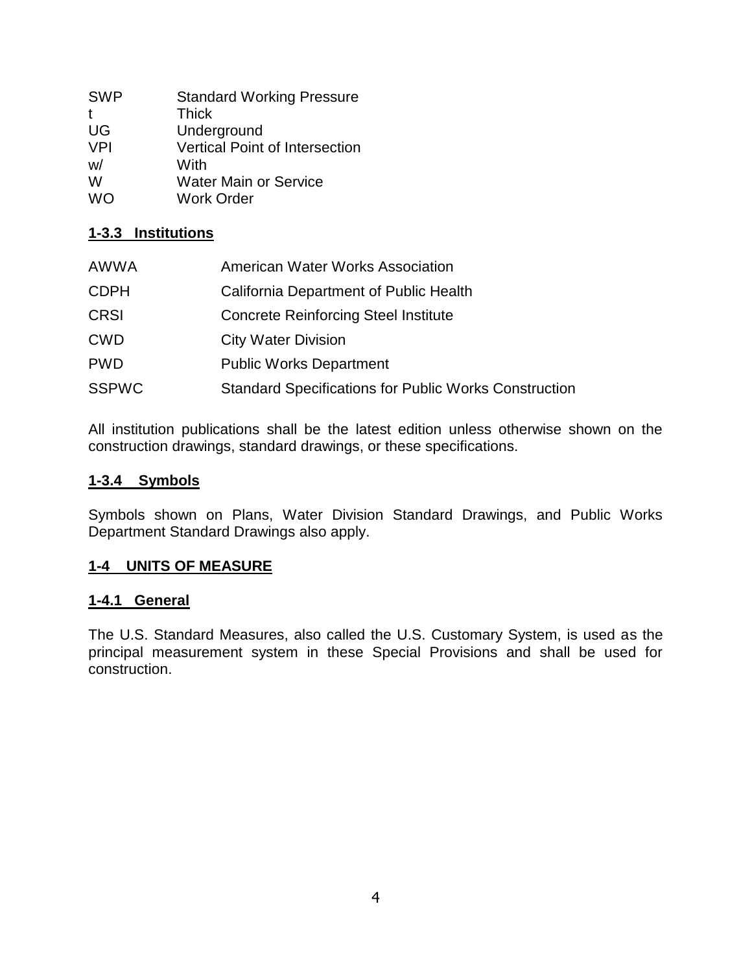| <b>SWP</b> | <b>Standard Working Pressure</b> |
|------------|----------------------------------|
| t          | <b>Thick</b>                     |
| UG         | Underground                      |
| <b>VPI</b> | Vertical Point of Intersection   |
| W/         | With                             |
| W          | <b>Water Main or Service</b>     |
| <b>WO</b>  | <b>Work Order</b>                |

## **1-3.3 Institutions**

| <b>AWWA</b>  | American Water Works Association                             |
|--------------|--------------------------------------------------------------|
| <b>CDPH</b>  | California Department of Public Health                       |
| <b>CRSI</b>  | <b>Concrete Reinforcing Steel Institute</b>                  |
| <b>CWD</b>   | <b>City Water Division</b>                                   |
| <b>PWD</b>   | <b>Public Works Department</b>                               |
| <b>SSPWC</b> | <b>Standard Specifications for Public Works Construction</b> |

All institution publications shall be the latest edition unless otherwise shown on the construction drawings, standard drawings, or these specifications.

#### **1-3.4 Symbols**

Symbols shown on Plans, Water Division Standard Drawings, and Public Works Department Standard Drawings also apply.

## **1-4 UNITS OF MEASURE**

#### **1-4.1 General**

The U.S. Standard Measures, also called the U.S. Customary System, is used as the principal measurement system in these Special Provisions and shall be used for construction.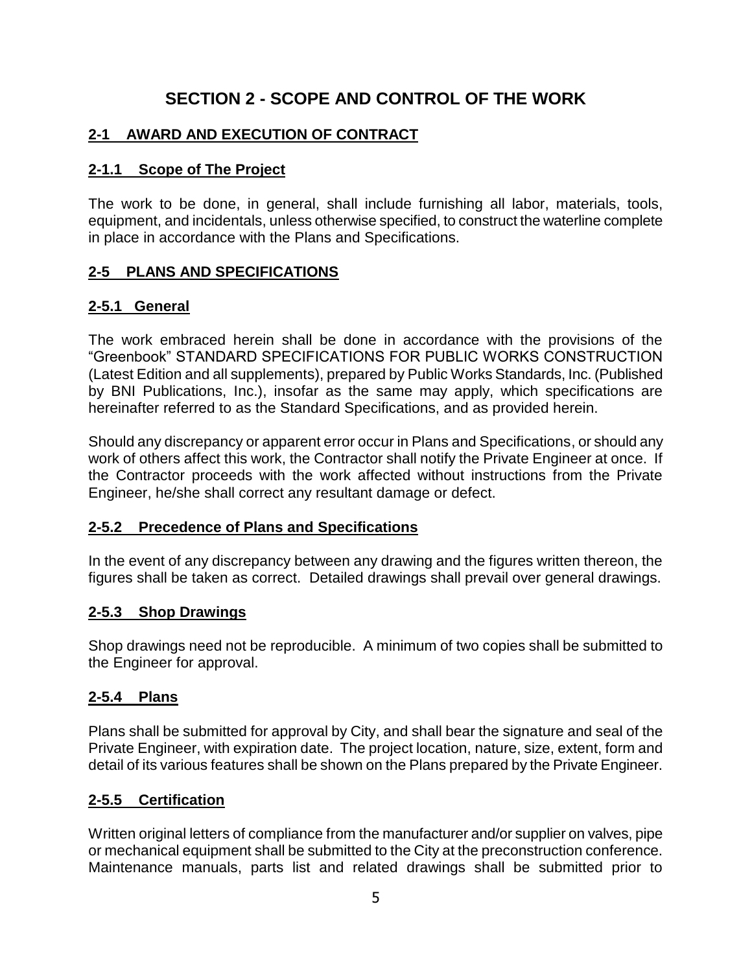# **SECTION 2 - SCOPE AND CONTROL OF THE WORK**

## **2-1 AWARD AND EXECUTION OF CONTRACT**

## **2-1.1 Scope of The Project**

The work to be done, in general, shall include furnishing all labor, materials, tools, equipment, and incidentals, unless otherwise specified, to construct the waterline complete in place in accordance with the Plans and Specifications.

## **2-5 PLANS AND SPECIFICATIONS**

## **2-5.1 General**

The work embraced herein shall be done in accordance with the provisions of the "Greenbook" STANDARD SPECIFICATIONS FOR PUBLIC WORKS CONSTRUCTION (Latest Edition and all supplements), prepared by Public Works Standards, Inc. (Published by BNI Publications, Inc.), insofar as the same may apply, which specifications are hereinafter referred to as the Standard Specifications, and as provided herein.

Should any discrepancy or apparent error occur in Plans and Specifications, or should any work of others affect this work, the Contractor shall notify the Private Engineer at once. If the Contractor proceeds with the work affected without instructions from the Private Engineer, he/she shall correct any resultant damage or defect.

## **2-5.2 Precedence of Plans and Specifications**

In the event of any discrepancy between any drawing and the figures written thereon, the figures shall be taken as correct. Detailed drawings shall prevail over general drawings.

## **2-5.3 Shop Drawings**

Shop drawings need not be reproducible. A minimum of two copies shall be submitted to the Engineer for approval.

## **2-5.4 Plans**

Plans shall be submitted for approval by City, and shall bear the signature and seal of the Private Engineer, with expiration date. The project location, nature, size, extent, form and detail of its various features shall be shown on the Plans prepared by the Private Engineer.

## **2-5.5 Certification**

Written original letters of compliance from the manufacturer and/or supplier on valves, pipe or mechanical equipment shall be submitted to the City at the preconstruction conference. Maintenance manuals, parts list and related drawings shall be submitted prior to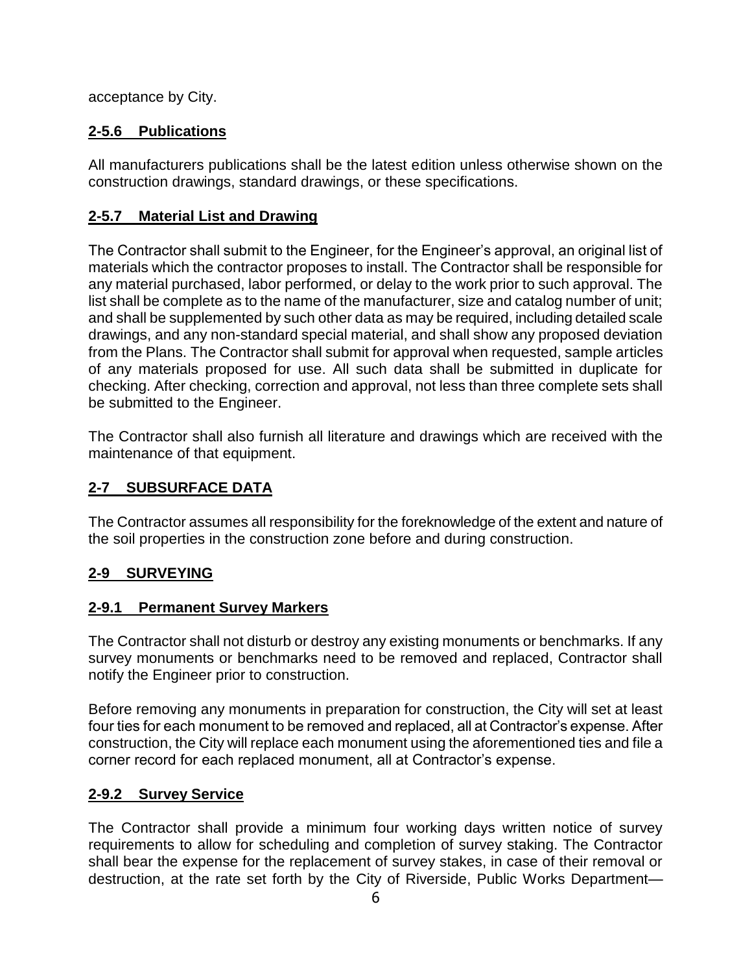acceptance by City.

# **2-5.6 Publications**

All manufacturers publications shall be the latest edition unless otherwise shown on the construction drawings, standard drawings, or these specifications.

## **2-5.7 Material List and Drawing**

The Contractor shall submit to the Engineer, for the Engineer's approval, an original list of materials which the contractor proposes to install. The Contractor shall be responsible for any material purchased, labor performed, or delay to the work prior to such approval. The list shall be complete as to the name of the manufacturer, size and catalog number of unit; and shall be supplemented by such other data as may be required, including detailed scale drawings, and any non-standard special material, and shall show any proposed deviation from the Plans. The Contractor shall submit for approval when requested, sample articles of any materials proposed for use. All such data shall be submitted in duplicate for checking. After checking, correction and approval, not less than three complete sets shall be submitted to the Engineer.

The Contractor shall also furnish all literature and drawings which are received with the maintenance of that equipment.

## **2-7 SUBSURFACE DATA**

The Contractor assumes all responsibility for the foreknowledge of the extent and nature of the soil properties in the construction zone before and during construction.

## **2-9 SURVEYING**

## **2-9.1 Permanent Survey Markers**

The Contractor shall not disturb or destroy any existing monuments or benchmarks. If any survey monuments or benchmarks need to be removed and replaced, Contractor shall notify the Engineer prior to construction.

Before removing any monuments in preparation for construction, the City will set at least four ties for each monument to be removed and replaced, all at Contractor's expense. After construction, the City will replace each monument using the aforementioned ties and file a corner record for each replaced monument, all at Contractor's expense.

## **2-9.2 Survey Service**

The Contractor shall provide a minimum four working days written notice of survey requirements to allow for scheduling and completion of survey staking. The Contractor shall bear the expense for the replacement of survey stakes, in case of their removal or destruction, at the rate set forth by the City of Riverside, Public Works Department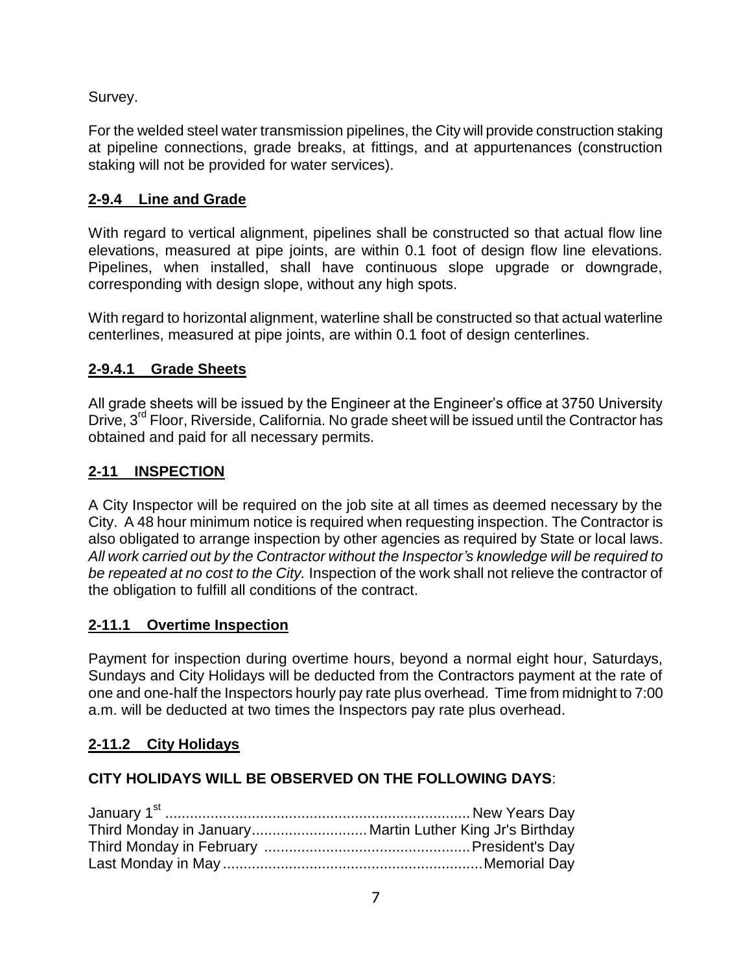Survey.

For the welded steel water transmission pipelines, the City will provide construction staking at pipeline connections, grade breaks, at fittings, and at appurtenances (construction staking will not be provided for water services).

# **2-9.4 Line and Grade**

With regard to vertical alignment, pipelines shall be constructed so that actual flow line elevations, measured at pipe joints, are within 0.1 foot of design flow line elevations. Pipelines, when installed, shall have continuous slope upgrade or downgrade, corresponding with design slope, without any high spots.

With regard to horizontal alignment, waterline shall be constructed so that actual waterline centerlines, measured at pipe joints, are within 0.1 foot of design centerlines.

# **2-9.4.1 Grade Sheets**

All grade sheets will be issued by the Engineer at the Engineer's office at 3750 University Drive, 3<sup>rd</sup> Floor, Riverside, California. No grade sheet will be issued until the Contractor has obtained and paid for all necessary permits.

# **2-11 INSPECTION**

A City Inspector will be required on the job site at all times as deemed necessary by the City. A 48 hour minimum notice is required when requesting inspection. The Contractor is also obligated to arrange inspection by other agencies as required by State or local laws. *All work carried out by the Contractor without the Inspector's knowledge will be required to be repeated at no cost to the City.* Inspection of the work shall not relieve the contractor of the obligation to fulfill all conditions of the contract.

# **2-11.1 Overtime Inspection**

Payment for inspection during overtime hours, beyond a normal eight hour, Saturdays, Sundays and City Holidays will be deducted from the Contractors payment at the rate of one and one-half the Inspectors hourly pay rate plus overhead. Time from midnight to 7:00 a.m. will be deducted at two times the Inspectors pay rate plus overhead.

# **2-11.2 City Holidays**

# **CITY HOLIDAYS WILL BE OBSERVED ON THE FOLLOWING DAYS**: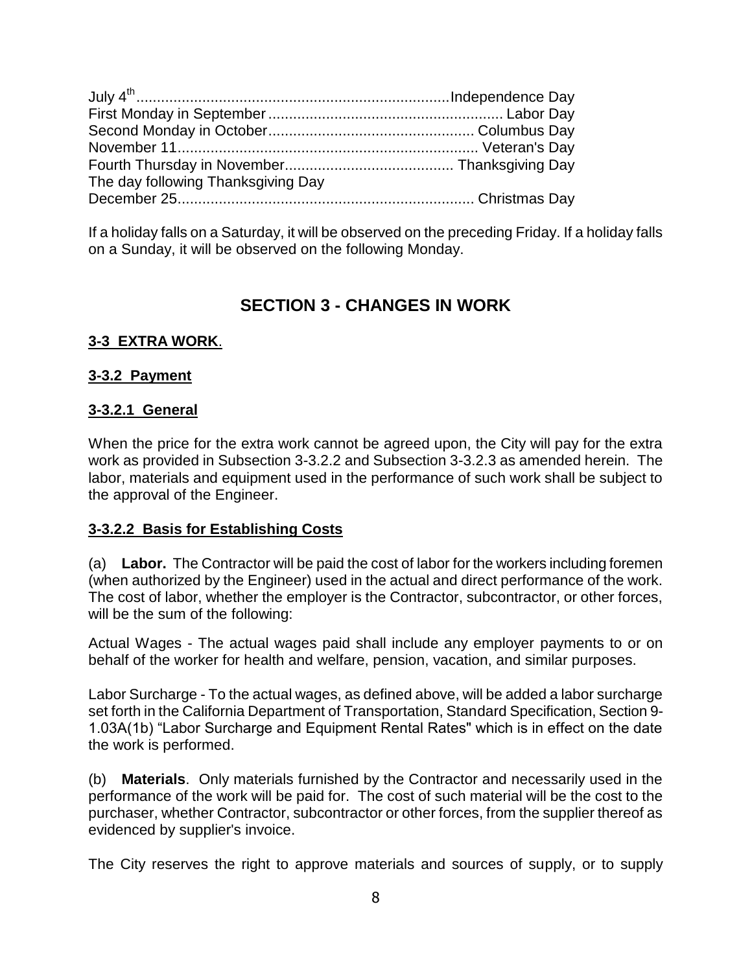| The day following Thanksgiving Day |  |
|------------------------------------|--|
|                                    |  |

If a holiday falls on a Saturday, it will be observed on the preceding Friday. If a holiday falls on a Sunday, it will be observed on the following Monday.

# **SECTION 3 - CHANGES IN WORK**

## **3-3 EXTRA WORK**.

#### **3-3.2 Payment**

#### **3-3.2.1 General**

When the price for the extra work cannot be agreed upon, the City will pay for the extra work as provided in Subsection 3-3.2.2 and Subsection 3-3.2.3 as amended herein. The labor, materials and equipment used in the performance of such work shall be subject to the approval of the Engineer.

#### **3-3.2.2 Basis for Establishing Costs**

(a) **Labor.** The Contractor will be paid the cost of labor for the workers including foremen (when authorized by the Engineer) used in the actual and direct performance of the work. The cost of labor, whether the employer is the Contractor, subcontractor, or other forces, will be the sum of the following:

Actual Wages - The actual wages paid shall include any employer payments to or on behalf of the worker for health and welfare, pension, vacation, and similar purposes.

Labor Surcharge - To the actual wages, as defined above, will be added a labor surcharge set forth in the California Department of Transportation, Standard Specification, Section 9- 1.03A(1b) "Labor Surcharge and Equipment Rental Rates" which is in effect on the date the work is performed.

(b) **Materials**. Only materials furnished by the Contractor and necessarily used in the performance of the work will be paid for. The cost of such material will be the cost to the purchaser, whether Contractor, subcontractor or other forces, from the supplier thereof as evidenced by supplier's invoice.

The City reserves the right to approve materials and sources of supply, or to supply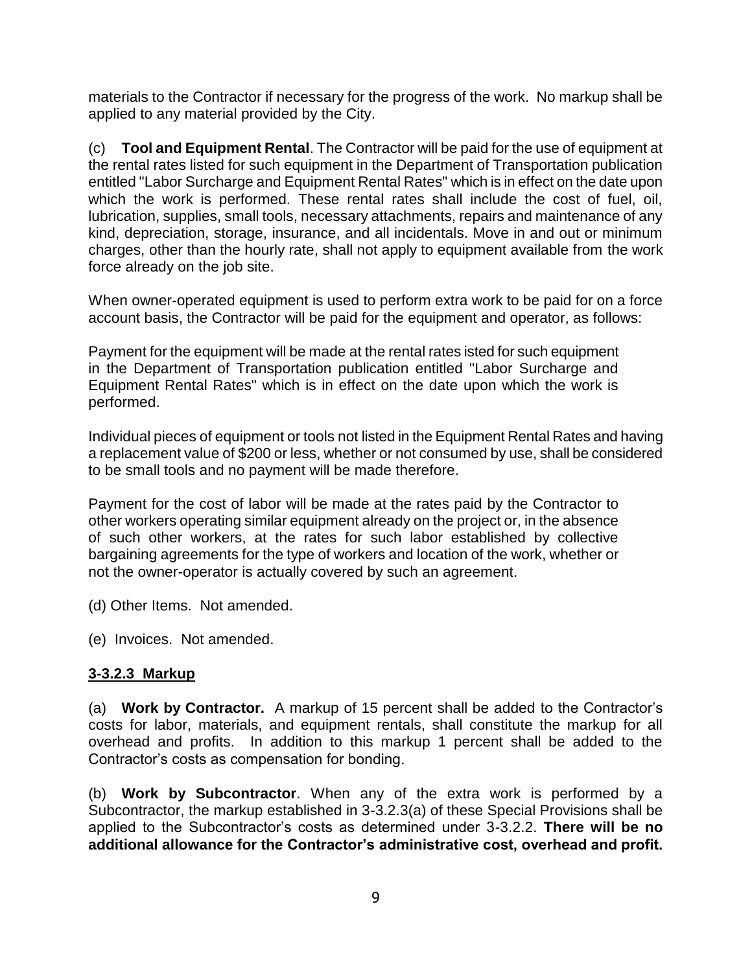materials to the Contractor if necessary for the progress of the work. No markup shall be applied to any material provided by the City.

(c) **Tool and Equipment Rental**. The Contractor will be paid for the use of equipment at the rental rates listed for such equipment in the Department of Transportation publication entitled "Labor Surcharge and Equipment Rental Rates" which is in effect on the date upon which the work is performed. These rental rates shall include the cost of fuel, oil, lubrication, supplies, small tools, necessary attachments, repairs and maintenance of any kind, depreciation, storage, insurance, and all incidentals. Move in and out or minimum charges, other than the hourly rate, shall not apply to equipment available from the work force already on the job site.

When owner-operated equipment is used to perform extra work to be paid for on a force account basis, the Contractor will be paid for the equipment and operator, as follows:

Payment for the equipment will be made at the rental rates isted for such equipment in the Department of Transportation publication entitled "Labor Surcharge and Equipment Rental Rates" which is in effect on the date upon which the work is performed.

Individual pieces of equipment or tools not listed in the Equipment Rental Rates and having a replacement value of \$200 or less, whether or not consumed by use, shall be considered to be small tools and no payment will be made therefore.

Payment for the cost of labor will be made at the rates paid by the Contractor to other workers operating similar equipment already on the project or, in the absence of such other workers, at the rates for such labor established by collective bargaining agreements for the type of workers and location of the work, whether or not the owner-operator is actually covered by such an agreement.

(d) Other Items. Not amended.

(e) Invoices. Not amended.

#### **3-3.2.3 Markup**

(a) **Work by Contractor.** A markup of 15 percent shall be added to the Contractor's costs for labor, materials, and equipment rentals, shall constitute the markup for all overhead and profits. In addition to this markup 1 percent shall be added to the Contractor's costs as compensation for bonding.

(b) **Work by Subcontractor**. When any of the extra work is performed by a Subcontractor, the markup established in 3-3.2.3(a) of these Special Provisions shall be applied to the Subcontractor's costs as determined under 3-3.2.2. **There will be no additional allowance for the Contractor's administrative cost, overhead and profit.**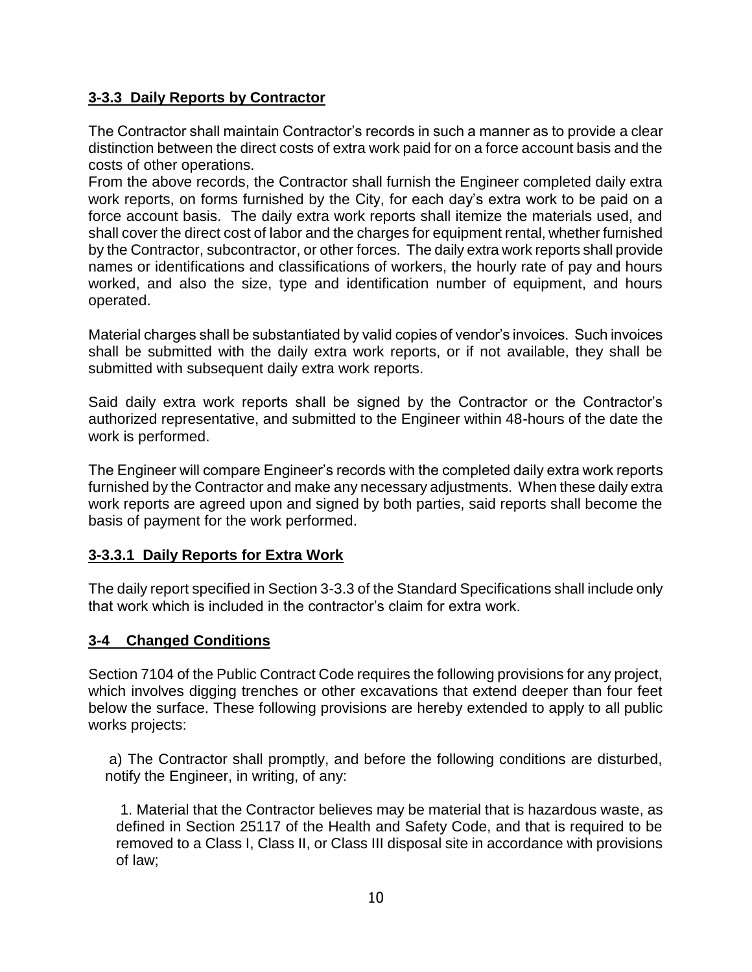## **3-3.3 Daily Reports by Contractor**

The Contractor shall maintain Contractor's records in such a manner as to provide a clear distinction between the direct costs of extra work paid for on a force account basis and the costs of other operations.

From the above records, the Contractor shall furnish the Engineer completed daily extra work reports, on forms furnished by the City, for each day's extra work to be paid on a force account basis. The daily extra work reports shall itemize the materials used, and shall cover the direct cost of labor and the charges for equipment rental, whether furnished by the Contractor, subcontractor, or other forces. The daily extra work reports shall provide names or identifications and classifications of workers, the hourly rate of pay and hours worked, and also the size, type and identification number of equipment, and hours operated.

Material charges shall be substantiated by valid copies of vendor's invoices. Such invoices shall be submitted with the daily extra work reports, or if not available, they shall be submitted with subsequent daily extra work reports.

Said daily extra work reports shall be signed by the Contractor or the Contractor's authorized representative, and submitted to the Engineer within 48-hours of the date the work is performed.

The Engineer will compare Engineer's records with the completed daily extra work reports furnished by the Contractor and make any necessary adjustments. When these daily extra work reports are agreed upon and signed by both parties, said reports shall become the basis of payment for the work performed.

## **3-3.3.1 Daily Reports for Extra Work**

The daily report specified in Section 3-3.3 of the Standard Specifications shall include only that work which is included in the contractor's claim for extra work.

## **3-4 Changed Conditions**

Section 7104 of the Public Contract Code requires the following provisions for any project, which involves digging trenches or other excavations that extend deeper than four feet below the surface. These following provisions are hereby extended to apply to all public works projects:

a) The Contractor shall promptly, and before the following conditions are disturbed, notify the Engineer, in writing, of any:

1. Material that the Contractor believes may be material that is hazardous waste, as defined in Section 25117 of the Health and Safety Code, and that is required to be removed to a Class I, Class II, or Class III disposal site in accordance with provisions of law;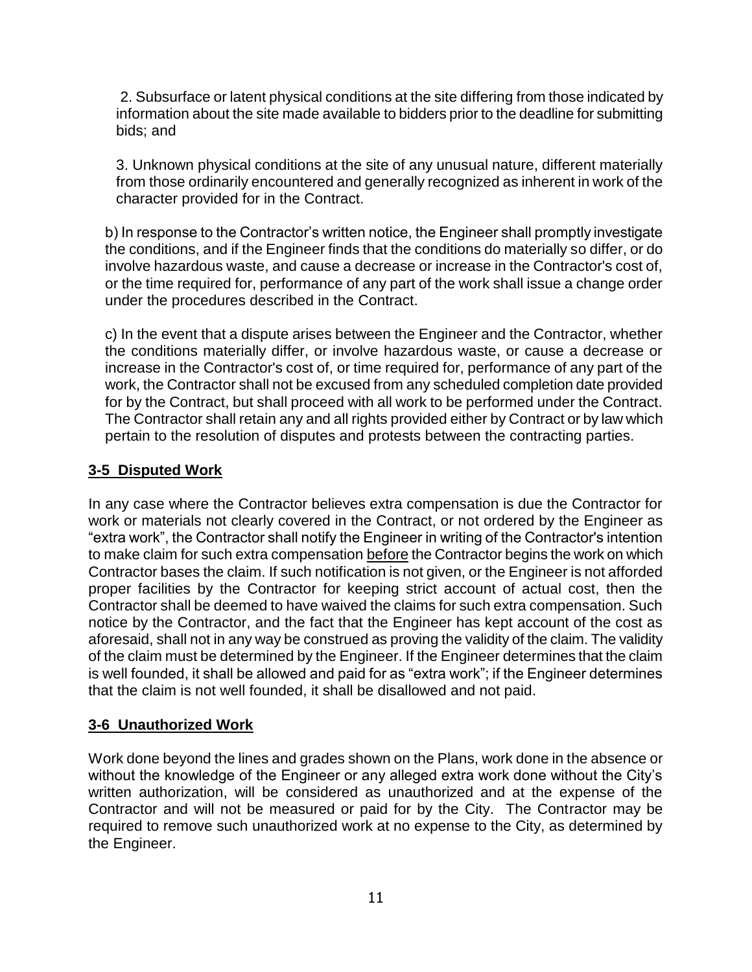2. Subsurface or latent physical conditions at the site differing from those indicated by information about the site made available to bidders prior to the deadline for submitting bids; and

3. Unknown physical conditions at the site of any unusual nature, different materially from those ordinarily encountered and generally recognized as inherent in work of the character provided for in the Contract.

b) In response to the Contractor's written notice, the Engineer shall promptly investigate the conditions, and if the Engineer finds that the conditions do materially so differ, or do involve hazardous waste, and cause a decrease or increase in the Contractor's cost of, or the time required for, performance of any part of the work shall issue a change order under the procedures described in the Contract.

c) In the event that a dispute arises between the Engineer and the Contractor, whether the conditions materially differ, or involve hazardous waste, or cause a decrease or increase in the Contractor's cost of, or time required for, performance of any part of the work, the Contractor shall not be excused from any scheduled completion date provided for by the Contract, but shall proceed with all work to be performed under the Contract. The Contractor shall retain any and all rights provided either by Contract or by law which pertain to the resolution of disputes and protests between the contracting parties.

## **3-5 Disputed Work**

In any case where the Contractor believes extra compensation is due the Contractor for work or materials not clearly covered in the Contract, or not ordered by the Engineer as "extra work", the Contractor shall notify the Engineer in writing of the Contractor's intention to make claim for such extra compensation before the Contractor begins the work on which Contractor bases the claim. If such notification is not given, or the Engineer is not afforded proper facilities by the Contractor for keeping strict account of actual cost, then the Contractor shall be deemed to have waived the claims for such extra compensation. Such notice by the Contractor, and the fact that the Engineer has kept account of the cost as aforesaid, shall not in any way be construed as proving the validity of the claim. The validity of the claim must be determined by the Engineer. If the Engineer determines that the claim is well founded, it shall be allowed and paid for as "extra work"; if the Engineer determines that the claim is not well founded, it shall be disallowed and not paid.

## **3-6 Unauthorized Work**

Work done beyond the lines and grades shown on the Plans, work done in the absence or without the knowledge of the Engineer or any alleged extra work done without the City's written authorization, will be considered as unauthorized and at the expense of the Contractor and will not be measured or paid for by the City. The Contractor may be required to remove such unauthorized work at no expense to the City, as determined by the Engineer.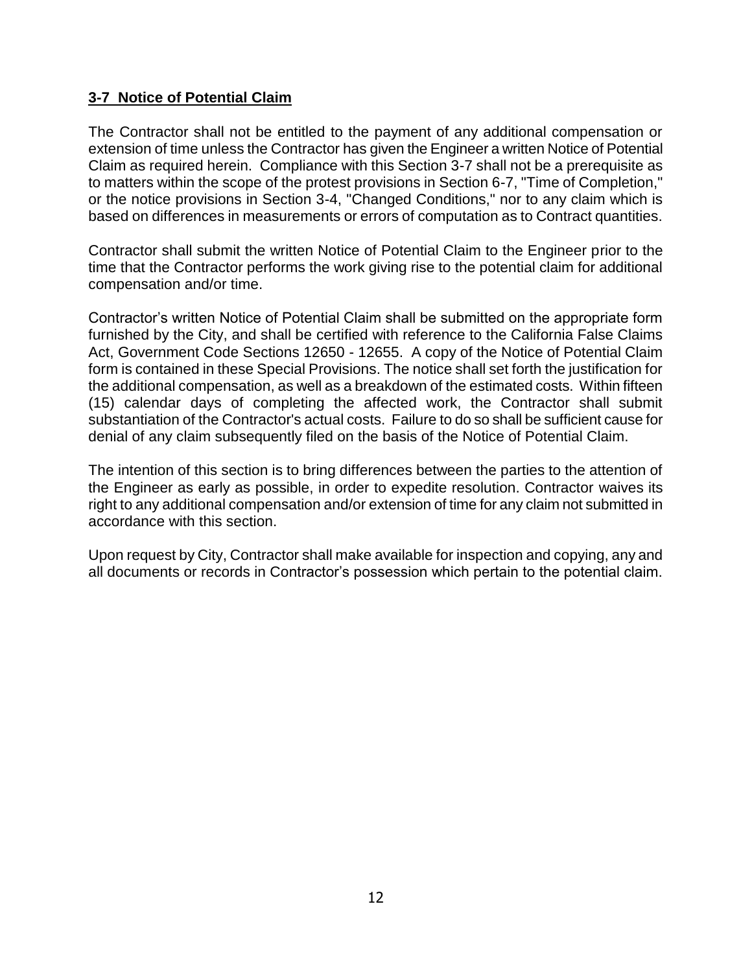#### **3-7 Notice of Potential Claim**

The Contractor shall not be entitled to the payment of any additional compensation or extension of time unless the Contractor has given the Engineer a written Notice of Potential Claim as required herein. Compliance with this Section 3-7 shall not be a prerequisite as to matters within the scope of the protest provisions in Section 6-7, "Time of Completion," or the notice provisions in Section 3-4, "Changed Conditions," nor to any claim which is based on differences in measurements or errors of computation as to Contract quantities.

Contractor shall submit the written Notice of Potential Claim to the Engineer prior to the time that the Contractor performs the work giving rise to the potential claim for additional compensation and/or time.

Contractor's written Notice of Potential Claim shall be submitted on the appropriate form furnished by the City, and shall be certified with reference to the California False Claims Act, Government Code Sections 12650 - 12655. A copy of the Notice of Potential Claim form is contained in these Special Provisions. The notice shall set forth the justification for the additional compensation, as well as a breakdown of the estimated costs. Within fifteen (15) calendar days of completing the affected work, the Contractor shall submit substantiation of the Contractor's actual costs. Failure to do so shall be sufficient cause for denial of any claim subsequently filed on the basis of the Notice of Potential Claim.

The intention of this section is to bring differences between the parties to the attention of the Engineer as early as possible, in order to expedite resolution. Contractor waives its right to any additional compensation and/or extension of time for any claim not submitted in accordance with this section.

Upon request by City, Contractor shall make available for inspection and copying, any and all documents or records in Contractor's possession which pertain to the potential claim.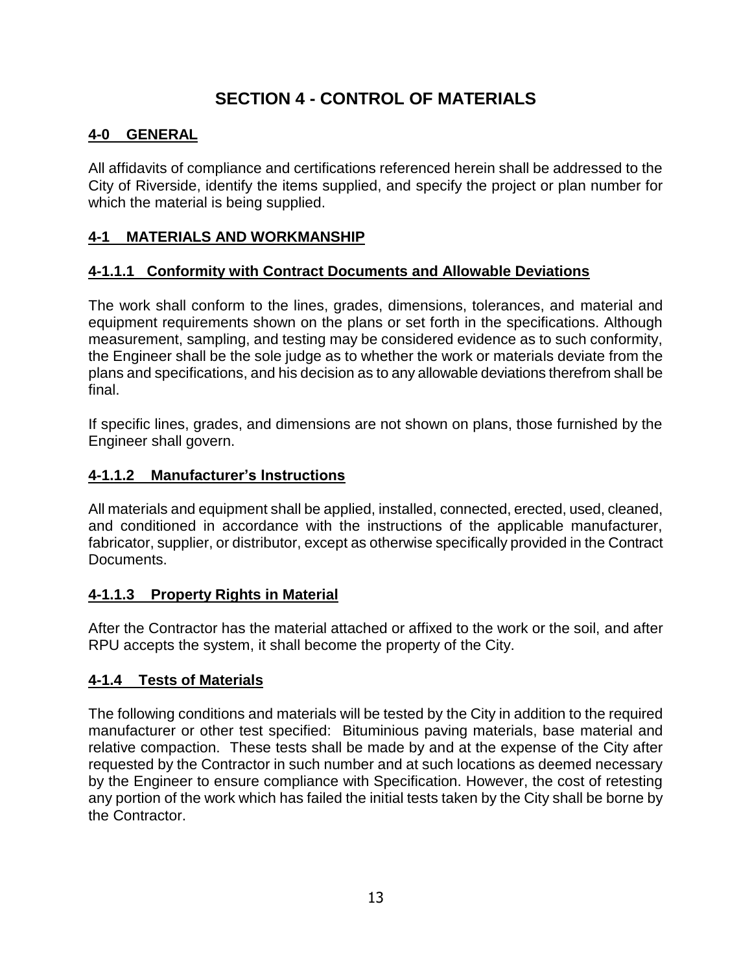# **SECTION 4 - CONTROL OF MATERIALS**

## **4-0 GENERAL**

All affidavits of compliance and certifications referenced herein shall be addressed to the City of Riverside, identify the items supplied, and specify the project or plan number for which the material is being supplied.

## **4-1 MATERIALS AND WORKMANSHIP**

## **4-1.1.1 Conformity with Contract Documents and Allowable Deviations**

The work shall conform to the lines, grades, dimensions, tolerances, and material and equipment requirements shown on the plans or set forth in the specifications. Although measurement, sampling, and testing may be considered evidence as to such conformity, the Engineer shall be the sole judge as to whether the work or materials deviate from the plans and specifications, and his decision as to any allowable deviations therefrom shall be final.

If specific lines, grades, and dimensions are not shown on plans, those furnished by the Engineer shall govern.

## **4-1.1.2 Manufacturer's Instructions**

All materials and equipment shall be applied, installed, connected, erected, used, cleaned, and conditioned in accordance with the instructions of the applicable manufacturer, fabricator, supplier, or distributor, except as otherwise specifically provided in the Contract Documents.

## **4-1.1.3 Property Rights in Material**

After the Contractor has the material attached or affixed to the work or the soil, and after RPU accepts the system, it shall become the property of the City.

## **4-1.4 Tests of Materials**

The following conditions and materials will be tested by the City in addition to the required manufacturer or other test specified: Bituminious paving materials, base material and relative compaction. These tests shall be made by and at the expense of the City after requested by the Contractor in such number and at such locations as deemed necessary by the Engineer to ensure compliance with Specification. However, the cost of retesting any portion of the work which has failed the initial tests taken by the City shall be borne by the Contractor.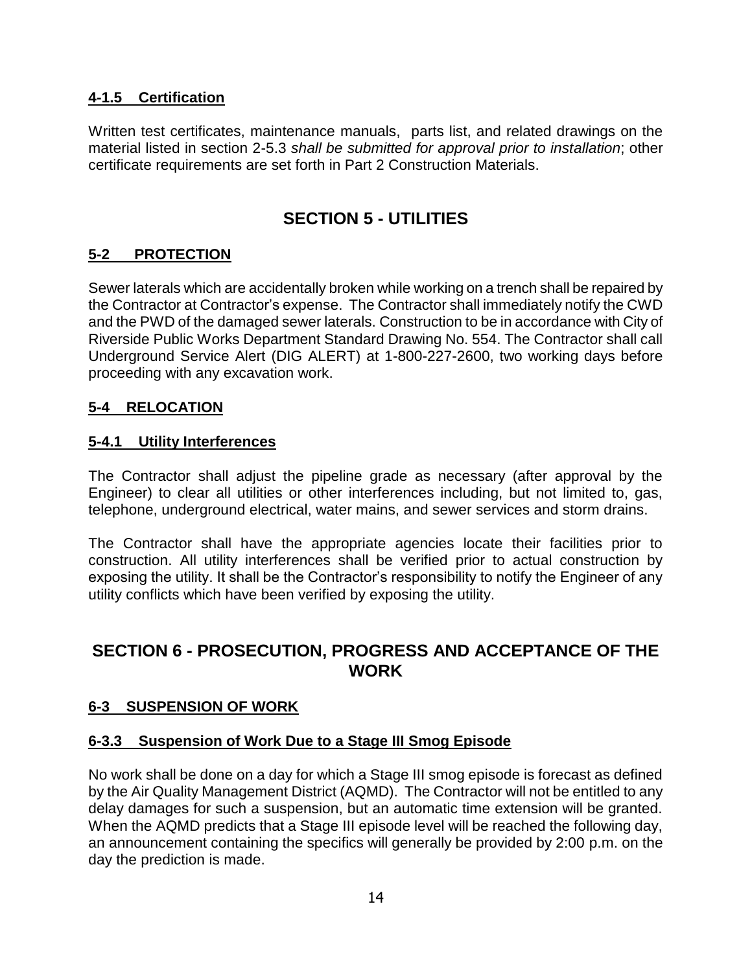## **4-1.5 Certification**

Written test certificates, maintenance manuals, parts list, and related drawings on the material listed in section 2-5.3 *shall be submitted for approval prior to installation*; other certificate requirements are set forth in Part 2 Construction Materials.

# **SECTION 5 - UTILITIES**

## **5-2 PROTECTION**

Sewer laterals which are accidentally broken while working on a trench shall be repaired by the Contractor at Contractor's expense. The Contractor shall immediately notify the CWD and the PWD of the damaged sewer laterals. Construction to be in accordance with City of Riverside Public Works Department Standard Drawing No. 554. The Contractor shall call Underground Service Alert (DIG ALERT) at 1-800-227-2600, two working days before proceeding with any excavation work.

#### **5-4 RELOCATION**

#### **5-4.1 Utility Interferences**

The Contractor shall adjust the pipeline grade as necessary (after approval by the Engineer) to clear all utilities or other interferences including, but not limited to, gas, telephone, underground electrical, water mains, and sewer services and storm drains.

The Contractor shall have the appropriate agencies locate their facilities prior to construction. All utility interferences shall be verified prior to actual construction by exposing the utility. It shall be the Contractor's responsibility to notify the Engineer of any utility conflicts which have been verified by exposing the utility.

# **SECTION 6 - PROSECUTION, PROGRESS AND ACCEPTANCE OF THE WORK**

#### **6-3 SUSPENSION OF WORK**

#### **6-3.3 Suspension of Work Due to a Stage III Smog Episode**

No work shall be done on a day for which a Stage III smog episode is forecast as defined by the Air Quality Management District (AQMD). The Contractor will not be entitled to any delay damages for such a suspension, but an automatic time extension will be granted. When the AQMD predicts that a Stage III episode level will be reached the following day, an announcement containing the specifics will generally be provided by 2:00 p.m. on the day the prediction is made.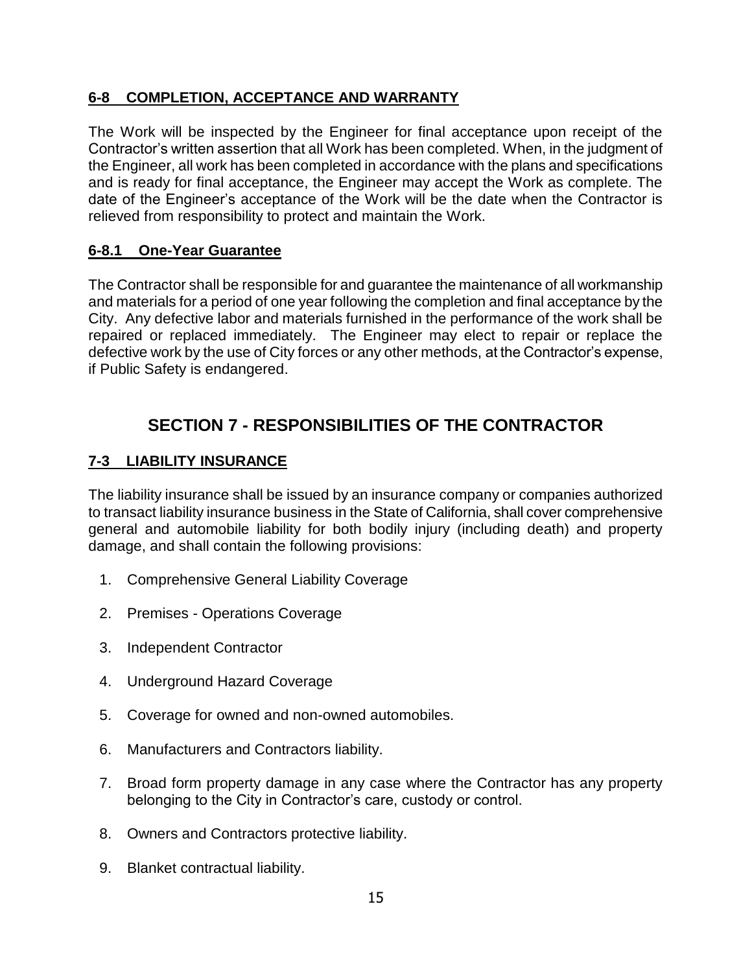# **6-8 COMPLETION, ACCEPTANCE AND WARRANTY**

The Work will be inspected by the Engineer for final acceptance upon receipt of the Contractor's written assertion that all Work has been completed. When, in the judgment of the Engineer, all work has been completed in accordance with the plans and specifications and is ready for final acceptance, the Engineer may accept the Work as complete. The date of the Engineer's acceptance of the Work will be the date when the Contractor is relieved from responsibility to protect and maintain the Work.

## **6-8.1 One-Year Guarantee**

The Contractor shall be responsible for and guarantee the maintenance of all workmanship and materials for a period of one year following the completion and final acceptance by the City. Any defective labor and materials furnished in the performance of the work shall be repaired or replaced immediately. The Engineer may elect to repair or replace the defective work by the use of City forces or any other methods, at the Contractor's expense, if Public Safety is endangered.

# **SECTION 7 - RESPONSIBILITIES OF THE CONTRACTOR**

## **7-3 LIABILITY INSURANCE**

The liability insurance shall be issued by an insurance company or companies authorized to transact liability insurance business in the State of California, shall cover comprehensive general and automobile liability for both bodily injury (including death) and property damage, and shall contain the following provisions:

- 1. Comprehensive General Liability Coverage
- 2. Premises Operations Coverage
- 3. Independent Contractor
- 4. Underground Hazard Coverage
- 5. Coverage for owned and non-owned automobiles.
- 6. Manufacturers and Contractors liability.
- 7. Broad form property damage in any case where the Contractor has any property belonging to the City in Contractor's care, custody or control.
- 8. Owners and Contractors protective liability.
- 9. Blanket contractual liability.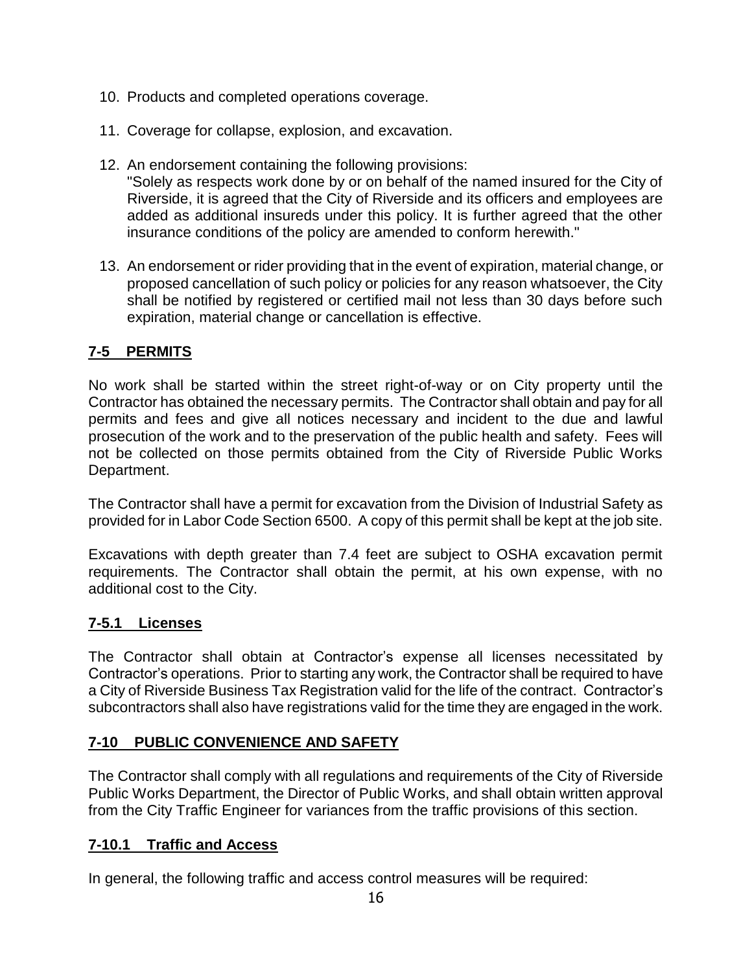- 10. Products and completed operations coverage.
- 11. Coverage for collapse, explosion, and excavation.
- 12. An endorsement containing the following provisions: "Solely as respects work done by or on behalf of the named insured for the City of Riverside, it is agreed that the City of Riverside and its officers and employees are added as additional insureds under this policy. It is further agreed that the other insurance conditions of the policy are amended to conform herewith."
- 13. An endorsement or rider providing that in the event of expiration, material change, or proposed cancellation of such policy or policies for any reason whatsoever, the City shall be notified by registered or certified mail not less than 30 days before such expiration, material change or cancellation is effective.

#### **7-5 PERMITS**

No work shall be started within the street right-of-way or on City property until the Contractor has obtained the necessary permits. The Contractor shall obtain and pay for all permits and fees and give all notices necessary and incident to the due and lawful prosecution of the work and to the preservation of the public health and safety. Fees will not be collected on those permits obtained from the City of Riverside Public Works Department.

The Contractor shall have a permit for excavation from the Division of Industrial Safety as provided for in Labor Code Section 6500. A copy of this permit shall be kept at the job site.

Excavations with depth greater than 7.4 feet are subject to OSHA excavation permit requirements. The Contractor shall obtain the permit, at his own expense, with no additional cost to the City.

#### **7-5.1 Licenses**

The Contractor shall obtain at Contractor's expense all licenses necessitated by Contractor's operations. Prior to starting any work, the Contractor shall be required to have a City of Riverside Business Tax Registration valid for the life of the contract. Contractor's subcontractors shall also have registrations valid for the time they are engaged in the work.

## **7-10 PUBLIC CONVENIENCE AND SAFETY**

The Contractor shall comply with all regulations and requirements of the City of Riverside Public Works Department, the Director of Public Works, and shall obtain written approval from the City Traffic Engineer for variances from the traffic provisions of this section.

## **7-10.1 Traffic and Access**

In general, the following traffic and access control measures will be required: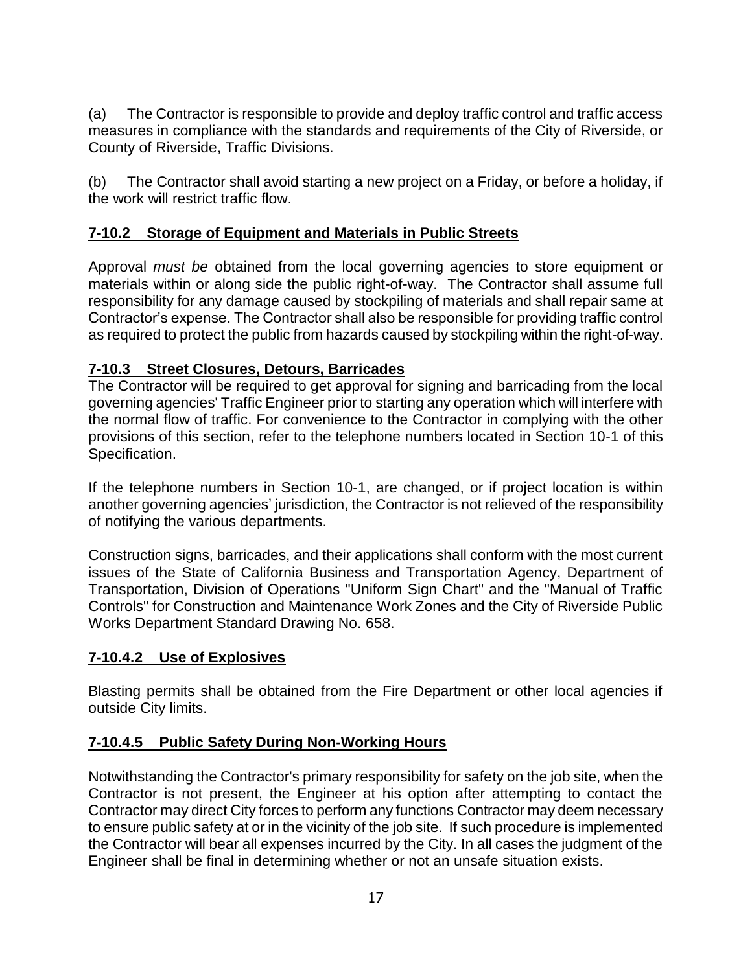(a) The Contractor is responsible to provide and deploy traffic control and traffic access measures in compliance with the standards and requirements of the City of Riverside, or County of Riverside, Traffic Divisions.

(b) The Contractor shall avoid starting a new project on a Friday, or before a holiday, if the work will restrict traffic flow.

## **7-10.2 Storage of Equipment and Materials in Public Streets**

Approval *must be* obtained from the local governing agencies to store equipment or materials within or along side the public right-of-way. The Contractor shall assume full responsibility for any damage caused by stockpiling of materials and shall repair same at Contractor's expense. The Contractor shall also be responsible for providing traffic control as required to protect the public from hazards caused by stockpiling within the right-of-way.

## **7-10.3 Street Closures, Detours, Barricades**

The Contractor will be required to get approval for signing and barricading from the local governing agencies' Traffic Engineer prior to starting any operation which will interfere with the normal flow of traffic. For convenience to the Contractor in complying with the other provisions of this section, refer to the telephone numbers located in Section 10-1 of this Specification.

If the telephone numbers in Section 10-1, are changed, or if project location is within another governing agencies' jurisdiction, the Contractor is not relieved of the responsibility of notifying the various departments.

Construction signs, barricades, and their applications shall conform with the most current issues of the State of California Business and Transportation Agency, Department of Transportation, Division of Operations "Uniform Sign Chart" and the "Manual of Traffic Controls" for Construction and Maintenance Work Zones and the City of Riverside Public Works Department Standard Drawing No. 658.

## **7-10.4.2 Use of Explosives**

Blasting permits shall be obtained from the Fire Department or other local agencies if outside City limits.

# **7-10.4.5 Public Safety During Non-Working Hours**

Notwithstanding the Contractor's primary responsibility for safety on the job site, when the Contractor is not present, the Engineer at his option after attempting to contact the Contractor may direct City forces to perform any functions Contractor may deem necessary to ensure public safety at or in the vicinity of the job site. If such procedure is implemented the Contractor will bear all expenses incurred by the City. In all cases the judgment of the Engineer shall be final in determining whether or not an unsafe situation exists.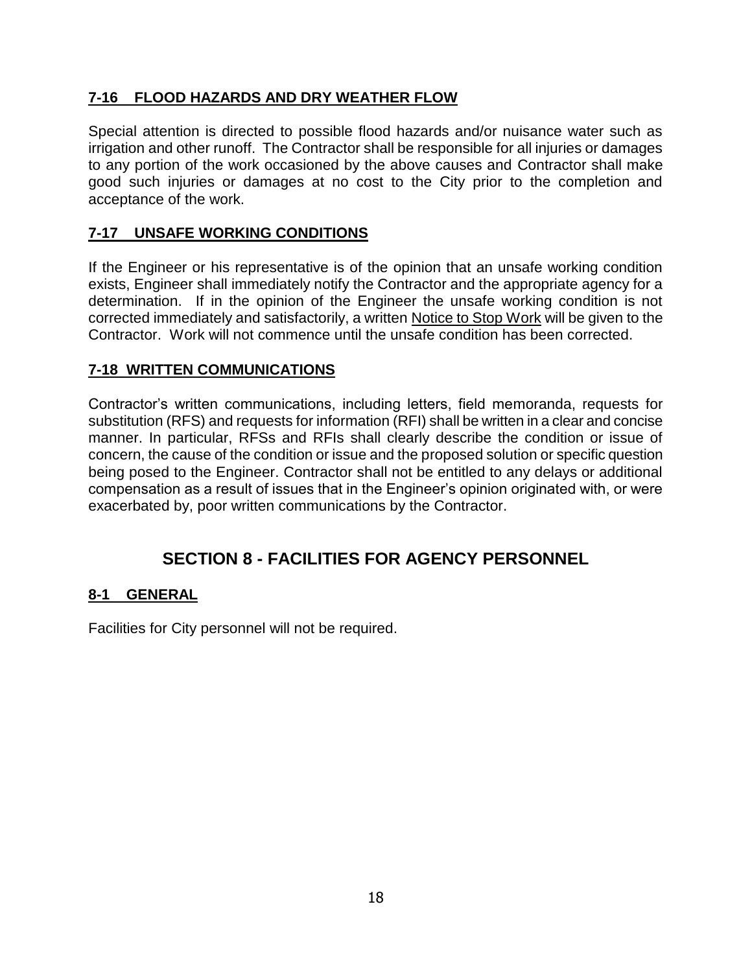# **7-16 FLOOD HAZARDS AND DRY WEATHER FLOW**

Special attention is directed to possible flood hazards and/or nuisance water such as irrigation and other runoff. The Contractor shall be responsible for all injuries or damages to any portion of the work occasioned by the above causes and Contractor shall make good such injuries or damages at no cost to the City prior to the completion and acceptance of the work.

# **7-17 UNSAFE WORKING CONDITIONS**

If the Engineer or his representative is of the opinion that an unsafe working condition exists, Engineer shall immediately notify the Contractor and the appropriate agency for a determination. If in the opinion of the Engineer the unsafe working condition is not corrected immediately and satisfactorily, a written Notice to Stop Work will be given to the Contractor. Work will not commence until the unsafe condition has been corrected.

## **7-18 WRITTEN COMMUNICATIONS**

Contractor's written communications, including letters, field memoranda, requests for substitution (RFS) and requests for information (RFI) shall be written in a clear and concise manner. In particular, RFSs and RFIs shall clearly describe the condition or issue of concern, the cause of the condition or issue and the proposed solution or specific question being posed to the Engineer. Contractor shall not be entitled to any delays or additional compensation as a result of issues that in the Engineer's opinion originated with, or were exacerbated by, poor written communications by the Contractor.

# **SECTION 8 - FACILITIES FOR AGENCY PERSONNEL**

## **8-1 GENERAL**

Facilities for City personnel will not be required.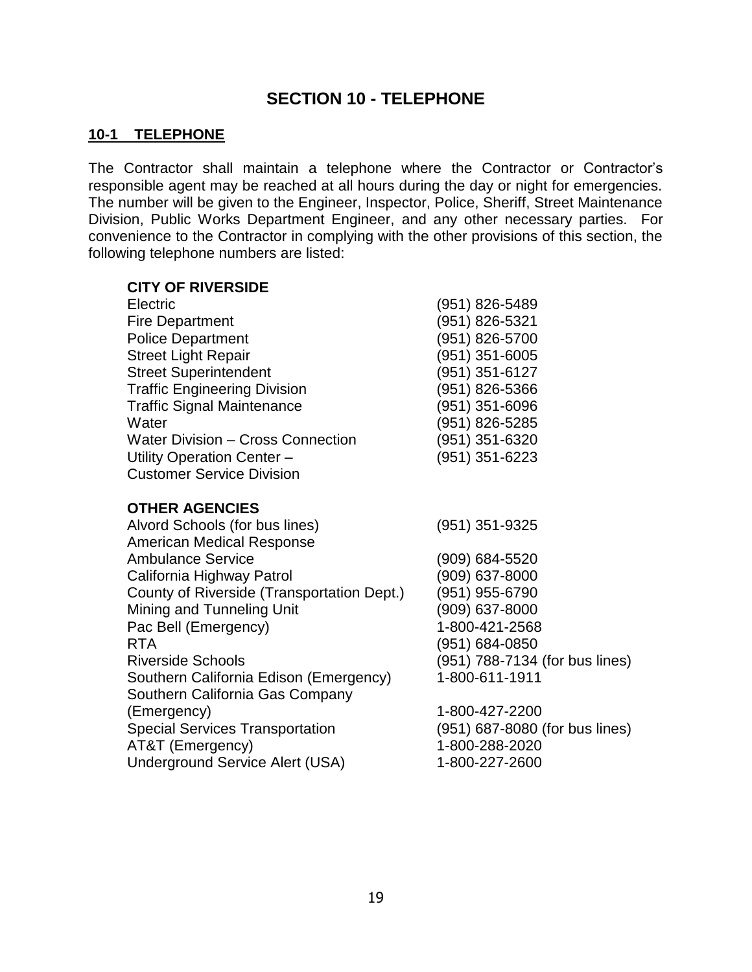# **SECTION 10 - TELEPHONE**

#### **10-1 TELEPHONE**

The Contractor shall maintain a telephone where the Contractor or Contractor's responsible agent may be reached at all hours during the day or night for emergencies. The number will be given to the Engineer, Inspector, Police, Sheriff, Street Maintenance Division, Public Works Department Engineer, and any other necessary parties. For convenience to the Contractor in complying with the other provisions of this section, the following telephone numbers are listed:

#### **CITY OF RIVERSIDE**

| Electric                                 | (951) 826-5489   |
|------------------------------------------|------------------|
| <b>Fire Department</b>                   | (951) 826-5321   |
| <b>Police Department</b>                 | (951) 826-5700   |
| <b>Street Light Repair</b>               | $(951)$ 351-6005 |
| <b>Street Superintendent</b>             | (951) 351-6127   |
| <b>Traffic Engineering Division</b>      | (951) 826-5366   |
| <b>Traffic Signal Maintenance</b>        | (951) 351-6096   |
| Water                                    | (951) 826-5285   |
| <b>Water Division - Cross Connection</b> | (951) 351-6320   |
| Utility Operation Center -               | $(951)$ 351-6223 |
| <b>Customer Service Division</b>         |                  |

#### **OTHER AGENCIES**

| (951) 351-9325                 |
|--------------------------------|
|                                |
| (909) 684-5520                 |
| (909) 637-8000                 |
| (951) 955-6790                 |
| (909) 637-8000                 |
| 1-800-421-2568                 |
| (951) 684-0850                 |
| (951) 788-7134 (for bus lines) |
| 1-800-611-1911                 |
|                                |
| 1-800-427-2200                 |
| (951) 687-8080 (for bus lines) |
| 1-800-288-2020                 |
| 1-800-227-2600                 |
|                                |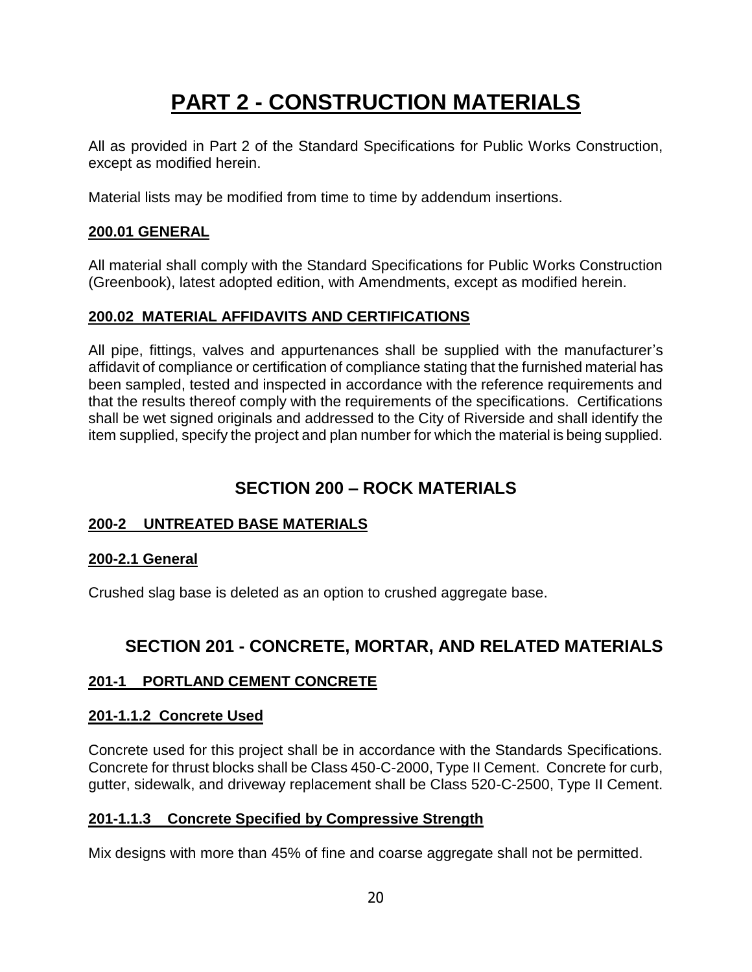# **PART 2 - CONSTRUCTION MATERIALS**

All as provided in Part 2 of the Standard Specifications for Public Works Construction, except as modified herein.

Material lists may be modified from time to time by addendum insertions.

## **200.01 GENERAL**

All material shall comply with the Standard Specifications for Public Works Construction (Greenbook), latest adopted edition, with Amendments, except as modified herein.

## **200.02 MATERIAL AFFIDAVITS AND CERTIFICATIONS**

All pipe, fittings, valves and appurtenances shall be supplied with the manufacturer's affidavit of compliance or certification of compliance stating that the furnished material has been sampled, tested and inspected in accordance with the reference requirements and that the results thereof comply with the requirements of the specifications. Certifications shall be wet signed originals and addressed to the City of Riverside and shall identify the item supplied, specify the project and plan number for which the material is being supplied.

# **SECTION 200 – ROCK MATERIALS**

## **200-2 UNTREATED BASE MATERIALS**

#### **200-2.1 General**

Crushed slag base is deleted as an option to crushed aggregate base.

# **SECTION 201 - CONCRETE, MORTAR, AND RELATED MATERIALS**

## **201-1 PORTLAND CEMENT CONCRETE**

#### **201-1.1.2 Concrete Used**

Concrete used for this project shall be in accordance with the Standards Specifications. Concrete for thrust blocks shall be Class 450-C-2000, Type II Cement. Concrete for curb, gutter, sidewalk, and driveway replacement shall be Class 520-C-2500, Type II Cement.

#### **201-1.1.3 Concrete Specified by Compressive Strength**

Mix designs with more than 45% of fine and coarse aggregate shall not be permitted.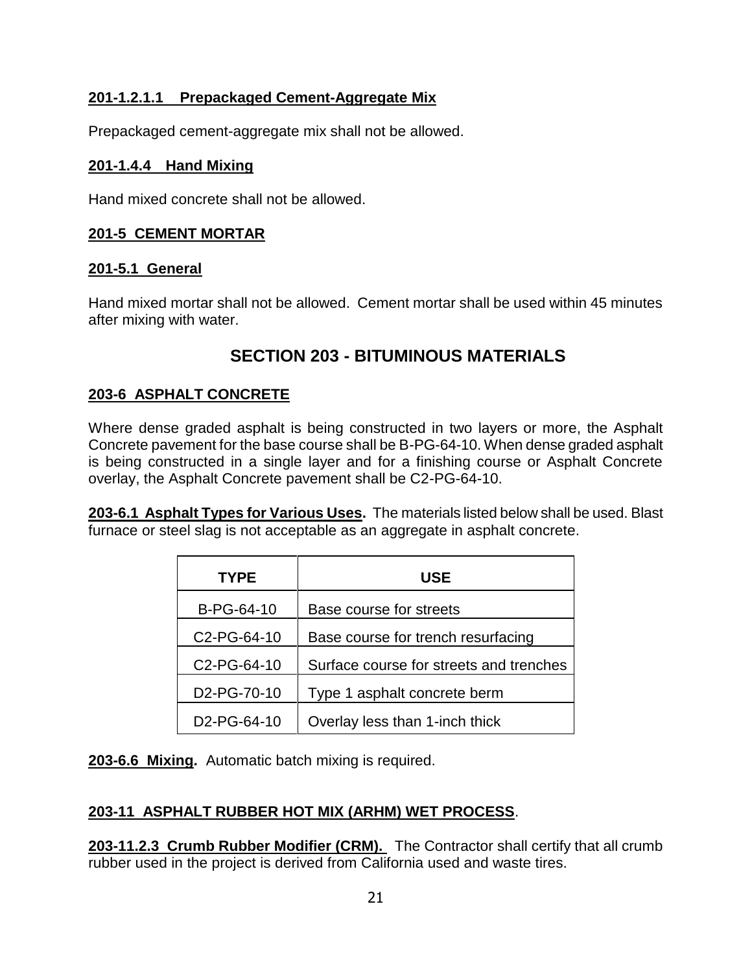## **201-1.2.1.1 Prepackaged Cement-Aggregate Mix**

Prepackaged cement-aggregate mix shall not be allowed.

#### **201-1.4.4 Hand Mixing**

Hand mixed concrete shall not be allowed.

#### **201-5 CEMENT MORTAR**

#### **201-5.1 General**

Hand mixed mortar shall not be allowed. Cement mortar shall be used within 45 minutes after mixing with water.

# **SECTION 203 - BITUMINOUS MATERIALS**

## **203-6 ASPHALT CONCRETE**

Where dense graded asphalt is being constructed in two layers or more, the Asphalt Concrete pavement for the base course shall be B-PG-64-10. When dense graded asphalt is being constructed in a single layer and for a finishing course or Asphalt Concrete overlay, the Asphalt Concrete pavement shall be C2-PG-64-10.

**203-6.1 Asphalt Types for Various Uses.** The materials listed below shall be used. Blast furnace or steel slag is not acceptable as an aggregate in asphalt concrete.

| <b>TYPE</b>              | <b>USE</b>                              |
|--------------------------|-----------------------------------------|
| B-PG-64-10               | Base course for streets                 |
| C <sub>2</sub> -PG-64-10 | Base course for trench resurfacing      |
| C2-PG-64-10              | Surface course for streets and trenches |
| D2-PG-70-10              | Type 1 asphalt concrete berm            |
| D <sub>2</sub> -PG-64-10 | Overlay less than 1-inch thick          |

**203-6.6 Mixing.** Automatic batch mixing is required.

# **203-11 ASPHALT RUBBER HOT MIX (ARHM) WET PROCESS**.

**203-11.2.3 Crumb Rubber Modifier (CRM).** The Contractor shall certify that all crumb rubber used in the project is derived from California used and waste tires.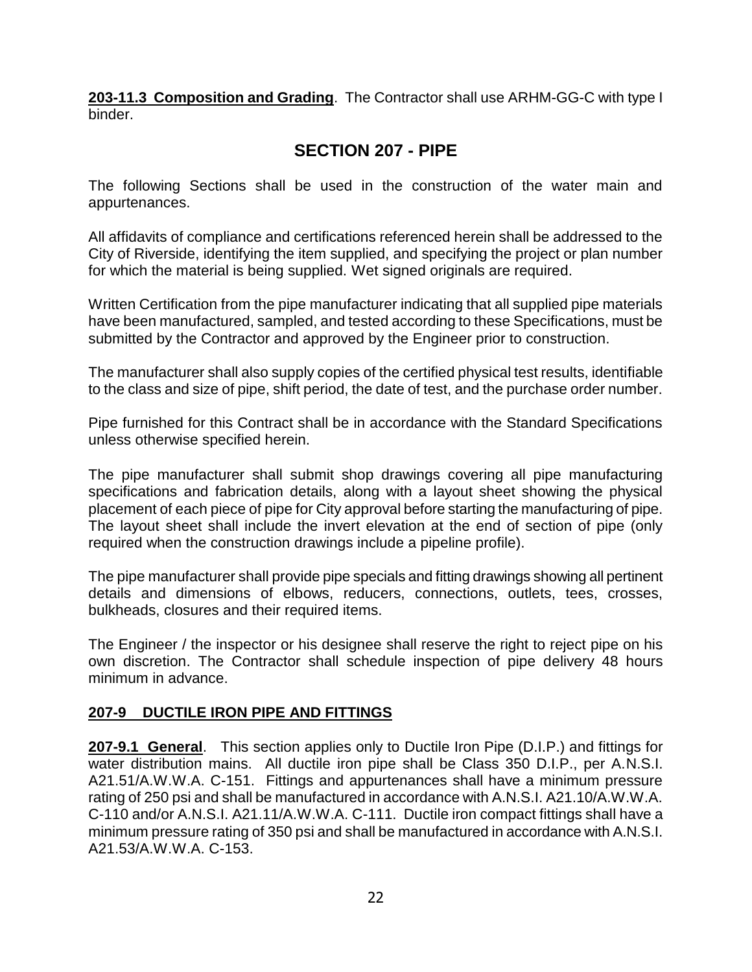**203-11.3 Composition and Grading**. The Contractor shall use ARHM-GG-C with type I binder.

# **SECTION 207 - PIPE**

The following Sections shall be used in the construction of the water main and appurtenances.

All affidavits of compliance and certifications referenced herein shall be addressed to the City of Riverside, identifying the item supplied, and specifying the project or plan number for which the material is being supplied. Wet signed originals are required.

Written Certification from the pipe manufacturer indicating that all supplied pipe materials have been manufactured, sampled, and tested according to these Specifications, must be submitted by the Contractor and approved by the Engineer prior to construction.

The manufacturer shall also supply copies of the certified physical test results, identifiable to the class and size of pipe, shift period, the date of test, and the purchase order number.

Pipe furnished for this Contract shall be in accordance with the Standard Specifications unless otherwise specified herein.

The pipe manufacturer shall submit shop drawings covering all pipe manufacturing specifications and fabrication details, along with a layout sheet showing the physical placement of each piece of pipe for City approval before starting the manufacturing of pipe. The layout sheet shall include the invert elevation at the end of section of pipe (only required when the construction drawings include a pipeline profile).

The pipe manufacturer shall provide pipe specials and fitting drawings showing all pertinent details and dimensions of elbows, reducers, connections, outlets, tees, crosses, bulkheads, closures and their required items.

The Engineer / the inspector or his designee shall reserve the right to reject pipe on his own discretion. The Contractor shall schedule inspection of pipe delivery 48 hours minimum in advance.

## **207-9 DUCTILE IRON PIPE AND FITTINGS**

**207-9.1 General**. This section applies only to Ductile Iron Pipe (D.I.P.) and fittings for water distribution mains. All ductile iron pipe shall be Class 350 D.I.P., per A.N.S.I. A21.51/A.W.W.A. C-151. Fittings and appurtenances shall have a minimum pressure rating of 250 psi and shall be manufactured in accordance with A.N.S.I. A21.10/A.W.W.A. C-110 and/or A.N.S.I. A21.11/A.W.W.A. C-111. Ductile iron compact fittings shall have a minimum pressure rating of 350 psi and shall be manufactured in accordance with A.N.S.I. A21.53/A.W.W.A. C-153.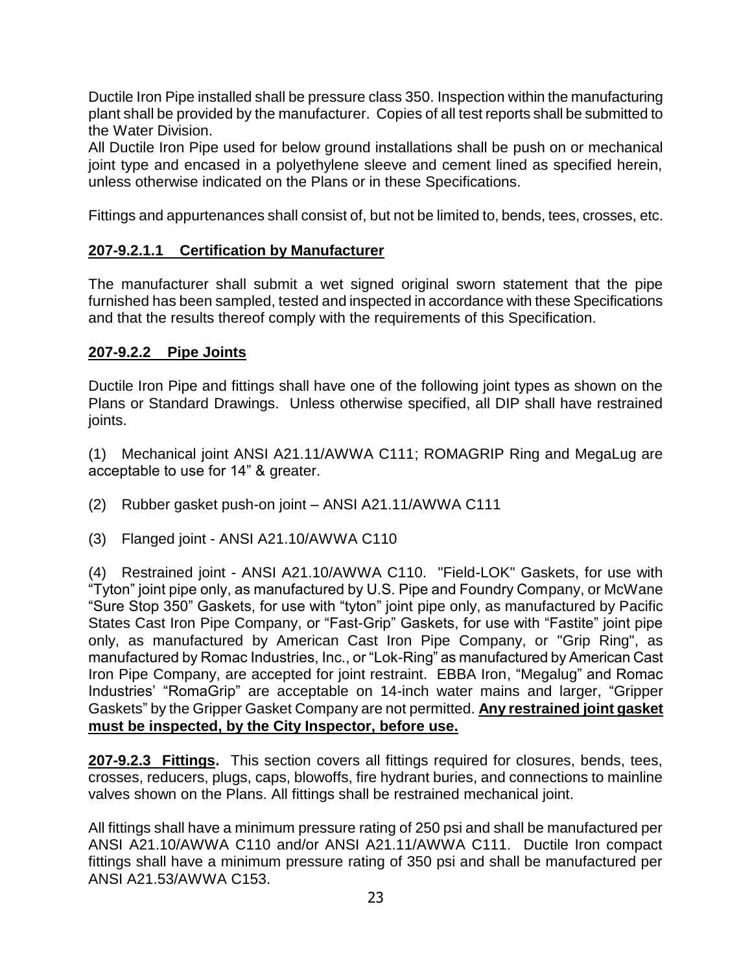Ductile Iron Pipe installed shall be pressure class 350. Inspection within the manufacturing plant shall be provided by the manufacturer. Copies of all test reports shall be submitted to the Water Division.

All Ductile Iron Pipe used for below ground installations shall be push on or mechanical joint type and encased in a polyethylene sleeve and cement lined as specified herein, unless otherwise indicated on the Plans or in these Specifications.

Fittings and appurtenances shall consist of, but not be limited to, bends, tees, crosses, etc.

## **207-9.2.1.1 Certification by Manufacturer**

The manufacturer shall submit a wet signed original sworn statement that the pipe furnished has been sampled, tested and inspected in accordance with these Specifications and that the results thereof comply with the requirements of this Specification.

#### **207-9.2.2 Pipe Joints**

Ductile Iron Pipe and fittings shall have one of the following joint types as shown on the Plans or Standard Drawings. Unless otherwise specified, all DIP shall have restrained joints.

(1) Mechanical joint ANSI A21.11/AWWA C111; ROMAGRIP Ring and MegaLug are acceptable to use for 14" & greater.

(2) Rubber gasket push-on joint – ANSI A21.11/AWWA C111

(3) Flanged joint - ANSI A21.10/AWWA C110

(4) Restrained joint - ANSI A21.10/AWWA C110. "Field-LOK" Gaskets, for use with "Tyton" joint pipe only, as manufactured by U.S. Pipe and Foundry Company, or McWane "Sure Stop 350" Gaskets, for use with "tyton" joint pipe only, as manufactured by Pacific States Cast Iron Pipe Company, or "Fast-Grip" Gaskets, for use with "Fastite" joint pipe only, as manufactured by American Cast Iron Pipe Company, or "Grip Ring", as manufactured by Romac Industries, Inc., or "Lok-Ring" as manufactured by American Cast Iron Pipe Company, are accepted for joint restraint. EBBA Iron, "Megalug" and Romac Industries' "RomaGrip" are acceptable on 14-inch water mains and larger, "Gripper Gaskets" by the Gripper Gasket Company are not permitted. **Any restrained joint gasket must be inspected, by the City Inspector, before use.** 

**207-9.2.3 Fittings.** This section covers all fittings required for closures, bends, tees, crosses, reducers, plugs, caps, blowoffs, fire hydrant buries, and connections to mainline valves shown on the Plans. All fittings shall be restrained mechanical joint.

All fittings shall have a minimum pressure rating of 250 psi and shall be manufactured per ANSI A21.10/AWWA C110 and/or ANSI A21.11/AWWA C111. Ductile Iron compact fittings shall have a minimum pressure rating of 350 psi and shall be manufactured per ANSI A21.53/AWWA C153.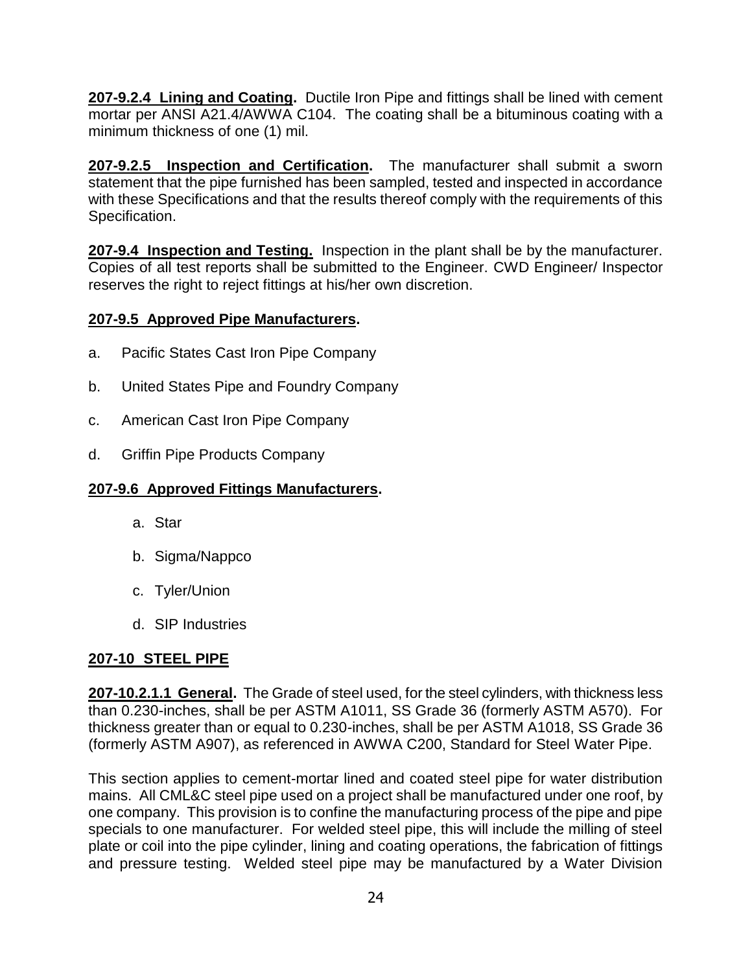**207-9.2.4 Lining and Coating.** Ductile Iron Pipe and fittings shall be lined with cement mortar per ANSI A21.4/AWWA C104. The coating shall be a bituminous coating with a minimum thickness of one (1) mil.

**207-9.2.5 Inspection and Certification.** The manufacturer shall submit a sworn statement that the pipe furnished has been sampled, tested and inspected in accordance with these Specifications and that the results thereof comply with the requirements of this Specification.

**207-9.4 Inspection and Testing.** Inspection in the plant shall be by the manufacturer. Copies of all test reports shall be submitted to the Engineer. CWD Engineer/ Inspector reserves the right to reject fittings at his/her own discretion.

# **207-9.5 Approved Pipe Manufacturers.**

- a. Pacific States Cast Iron Pipe Company
- b. United States Pipe and Foundry Company
- c. American Cast Iron Pipe Company
- d. Griffin Pipe Products Company

#### **207-9.6 Approved Fittings Manufacturers.**

- a. Star
- b. Sigma/Nappco
- c. Tyler/Union
- d. SIP Industries

#### **207-10 STEEL PIPE**

**207-10.2.1.1 General.** The Grade of steel used, for the steel cylinders, with thickness less than 0.230-inches, shall be per ASTM A1011, SS Grade 36 (formerly ASTM A570). For thickness greater than or equal to 0.230-inches, shall be per ASTM A1018, SS Grade 36 (formerly ASTM A907), as referenced in AWWA C200, Standard for Steel Water Pipe.

This section applies to cement-mortar lined and coated steel pipe for water distribution mains. All CML&C steel pipe used on a project shall be manufactured under one roof, by one company. This provision is to confine the manufacturing process of the pipe and pipe specials to one manufacturer. For welded steel pipe, this will include the milling of steel plate or coil into the pipe cylinder, lining and coating operations, the fabrication of fittings and pressure testing. Welded steel pipe may be manufactured by a Water Division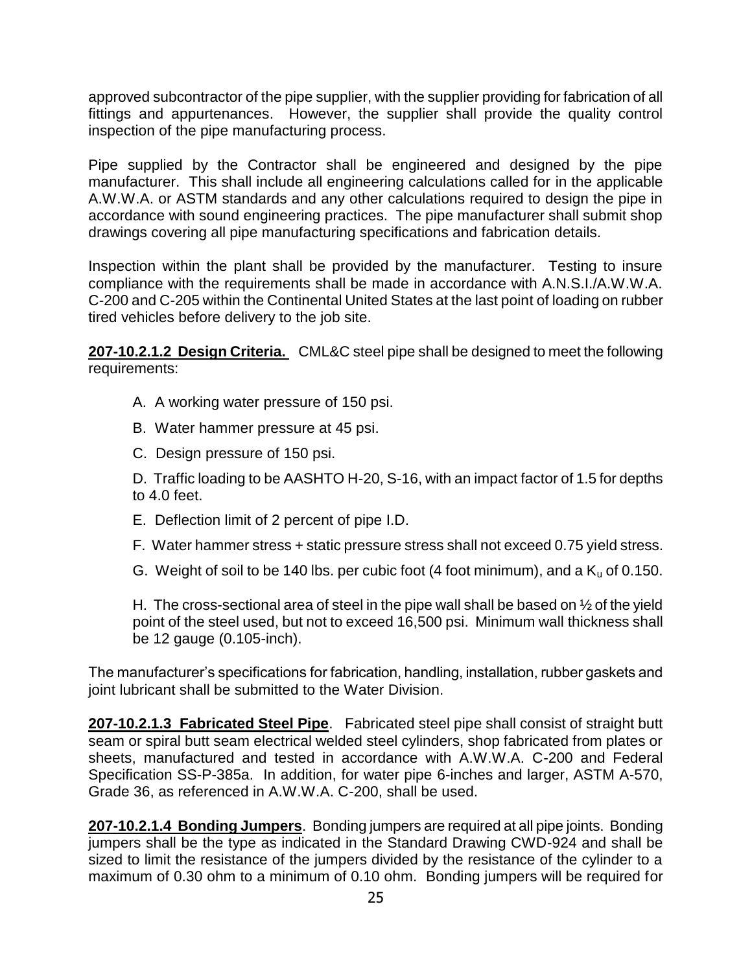approved subcontractor of the pipe supplier, with the supplier providing for fabrication of all fittings and appurtenances. However, the supplier shall provide the quality control inspection of the pipe manufacturing process.

Pipe supplied by the Contractor shall be engineered and designed by the pipe manufacturer. This shall include all engineering calculations called for in the applicable A.W.W.A. or ASTM standards and any other calculations required to design the pipe in accordance with sound engineering practices. The pipe manufacturer shall submit shop drawings covering all pipe manufacturing specifications and fabrication details.

Inspection within the plant shall be provided by the manufacturer. Testing to insure compliance with the requirements shall be made in accordance with A.N.S.I./A.W.W.A. C-200 and C-205 within the Continental United States at the last point of loading on rubber tired vehicles before delivery to the job site.

**207-10.2.1.2 Design Criteria.** CML&C steel pipe shall be designed to meet the following requirements:

- A. A working water pressure of 150 psi.
- B. Water hammer pressure at 45 psi.
- C. Design pressure of 150 psi.

D. Traffic loading to be AASHTO H-20, S-16, with an impact factor of 1.5 for depths to 4.0 feet.

- E. Deflection limit of 2 percent of pipe I.D.
- F. Water hammer stress + static pressure stress shall not exceed 0.75 yield stress.
- G. Weight of soil to be 140 lbs. per cubic foot (4 foot minimum), and a  $K_u$  of 0.150.

H. The cross-sectional area of steel in the pipe wall shall be based on  $\frac{1}{2}$  of the yield point of the steel used, but not to exceed 16,500 psi. Minimum wall thickness shall be 12 gauge (0.105-inch).

The manufacturer's specifications for fabrication, handling, installation, rubber gaskets and joint lubricant shall be submitted to the Water Division.

**207-10.2.1.3 Fabricated Steel Pipe**. Fabricated steel pipe shall consist of straight butt seam or spiral butt seam electrical welded steel cylinders, shop fabricated from plates or sheets, manufactured and tested in accordance with A.W.W.A. C-200 and Federal Specification SS-P-385a. In addition, for water pipe 6-inches and larger, ASTM A-570, Grade 36, as referenced in A.W.W.A. C-200, shall be used.

**207-10.2.1.4 Bonding Jumpers**. Bonding jumpers are required at all pipe joints. Bonding jumpers shall be the type as indicated in the Standard Drawing CWD-924 and shall be sized to limit the resistance of the jumpers divided by the resistance of the cylinder to a maximum of 0.30 ohm to a minimum of 0.10 ohm. Bonding jumpers will be required for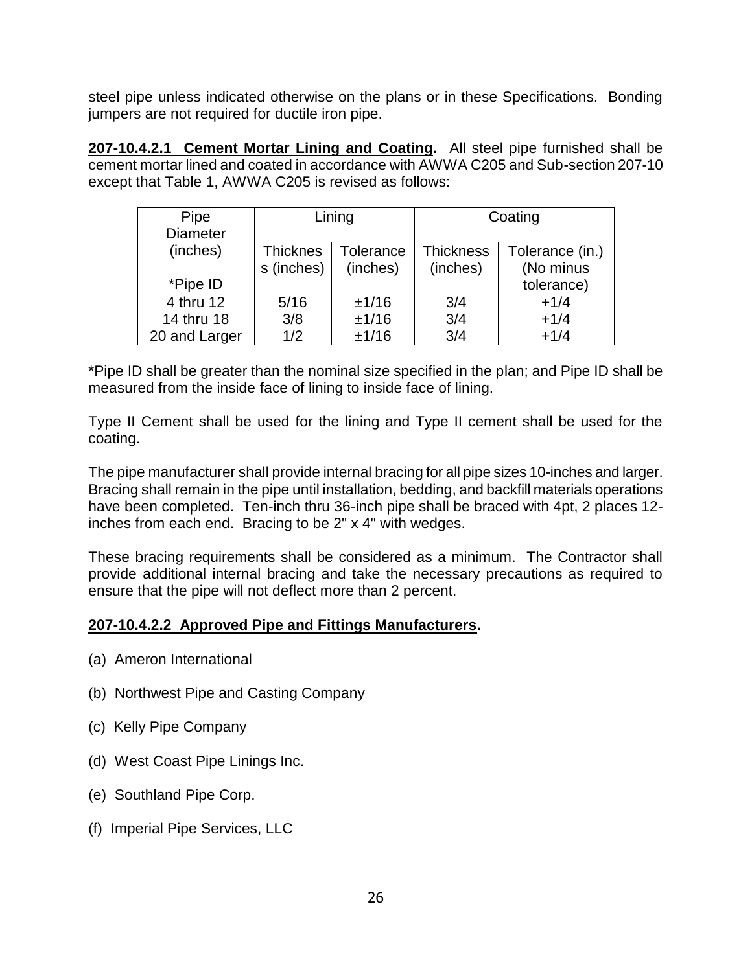steel pipe unless indicated otherwise on the plans or in these Specifications. Bonding jumpers are not required for ductile iron pipe.

**207-10.4.2.1 Cement Mortar Lining and Coating.** All steel pipe furnished shall be cement mortar lined and coated in accordance with AWWA C205 and Sub-section 207-10 except that Table 1, AWWA C205 is revised as follows:

| Pipe            | Lining          |                  | Coating          |                 |
|-----------------|-----------------|------------------|------------------|-----------------|
| <b>Diameter</b> |                 |                  |                  |                 |
| (inches)        | <b>Thicknes</b> | <b>Tolerance</b> | <b>Thickness</b> | Tolerance (in.) |
|                 | s (inches)      | (inches)         | (inches)         | (No minus       |
| *Pipe ID        |                 |                  |                  | tolerance)      |
| 4 thru 12       | 5/16            | ±1/16            | 3/4              | $+1/4$          |
| 14 thru 18      | 3/8             | ±1/16            | 3/4              | $+1/4$          |
| 20 and Larger   | 1/2             | ±1/16            | 3/4              | $+1/4$          |

\*Pipe ID shall be greater than the nominal size specified in the plan; and Pipe ID shall be measured from the inside face of lining to inside face of lining.

Type II Cement shall be used for the lining and Type II cement shall be used for the coating.

The pipe manufacturer shall provide internal bracing for all pipe sizes 10-inches and larger. Bracing shall remain in the pipe until installation, bedding, and backfill materials operations have been completed. Ten-inch thru 36-inch pipe shall be braced with 4pt, 2 places 12 inches from each end. Bracing to be 2" x 4" with wedges.

These bracing requirements shall be considered as a minimum. The Contractor shall provide additional internal bracing and take the necessary precautions as required to ensure that the pipe will not deflect more than 2 percent.

## **207-10.4.2.2 Approved Pipe and Fittings Manufacturers.**

- (a) Ameron International
- (b) Northwest Pipe and Casting Company
- (c) Kelly Pipe Company
- (d) West Coast Pipe Linings Inc.
- (e) Southland Pipe Corp.
- (f) Imperial Pipe Services, LLC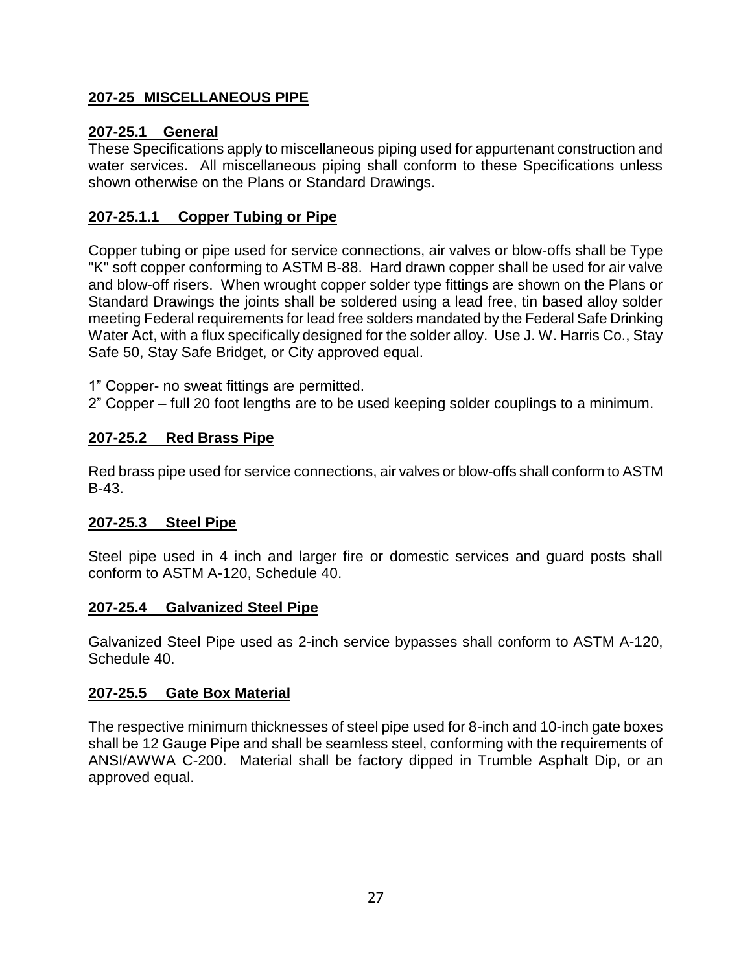## **207-25 MISCELLANEOUS PIPE**

## **207-25.1 General**

These Specifications apply to miscellaneous piping used for appurtenant construction and water services. All miscellaneous piping shall conform to these Specifications unless shown otherwise on the Plans or Standard Drawings.

## **207-25.1.1 Copper Tubing or Pipe**

Copper tubing or pipe used for service connections, air valves or blow-offs shall be Type "K" soft copper conforming to ASTM B-88. Hard drawn copper shall be used for air valve and blow-off risers. When wrought copper solder type fittings are shown on the Plans or Standard Drawings the joints shall be soldered using a lead free, tin based alloy solder meeting Federal requirements for lead free solders mandated by the Federal Safe Drinking Water Act, with a flux specifically designed for the solder alloy. Use J. W. Harris Co., Stay Safe 50, Stay Safe Bridget, or City approved equal.

1" Copper- no sweat fittings are permitted.

2" Copper – full 20 foot lengths are to be used keeping solder couplings to a minimum.

## **207-25.2 Red Brass Pipe**

Red brass pipe used for service connections, air valves or blow-offs shall conform to ASTM B-43.

## **207-25.3 Steel Pipe**

Steel pipe used in 4 inch and larger fire or domestic services and guard posts shall conform to ASTM A-120, Schedule 40.

#### **207-25.4 Galvanized Steel Pipe**

Galvanized Steel Pipe used as 2-inch service bypasses shall conform to ASTM A-120, Schedule 40.

#### **207-25.5 Gate Box Material**

The respective minimum thicknesses of steel pipe used for 8-inch and 10-inch gate boxes shall be 12 Gauge Pipe and shall be seamless steel, conforming with the requirements of ANSI/AWWA C-200. Material shall be factory dipped in Trumble Asphalt Dip, or an approved equal.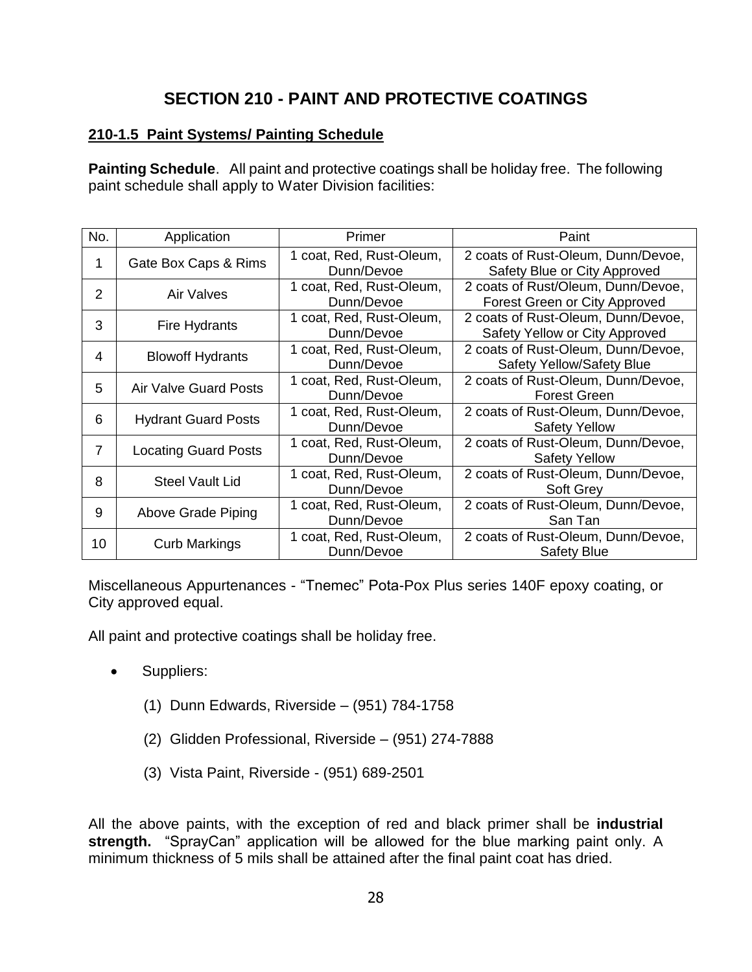# **SECTION 210 - PAINT AND PROTECTIVE COATINGS**

#### **210-1.5 Paint Systems/ Painting Schedule**

**Painting Schedule**. All paint and protective coatings shall be holiday free. The following paint schedule shall apply to Water Division facilities:

| No. | Application                  | Primer                                 | Paint                                                                  |  |
|-----|------------------------------|----------------------------------------|------------------------------------------------------------------------|--|
| 1   | Gate Box Caps & Rims         | 1 coat, Red, Rust-Oleum,<br>Dunn/Devoe | 2 coats of Rust-Oleum, Dunn/Devoe,<br>Safety Blue or City Approved     |  |
| 2   | Air Valves                   | 1 coat, Red, Rust-Oleum,<br>Dunn/Devoe | 2 coats of Rust/Oleum, Dunn/Devoe,<br>Forest Green or City Approved    |  |
| 3   | Fire Hydrants                | 1 coat, Red, Rust-Oleum,<br>Dunn/Devoe | 2 coats of Rust-Oleum, Dunn/Devoe,<br>Safety Yellow or City Approved   |  |
| 4   | <b>Blowoff Hydrants</b>      | 1 coat, Red, Rust-Oleum,<br>Dunn/Devoe | 2 coats of Rust-Oleum, Dunn/Devoe,<br><b>Safety Yellow/Safety Blue</b> |  |
| 5   | <b>Air Valve Guard Posts</b> | 1 coat, Red, Rust-Oleum,<br>Dunn/Devoe | 2 coats of Rust-Oleum, Dunn/Devoe,<br><b>Forest Green</b>              |  |
| 6   | <b>Hydrant Guard Posts</b>   | 1 coat, Red, Rust-Oleum,<br>Dunn/Devoe | 2 coats of Rust-Oleum, Dunn/Devoe,<br><b>Safety Yellow</b>             |  |
| 7   | <b>Locating Guard Posts</b>  | 1 coat, Red, Rust-Oleum,<br>Dunn/Devoe | 2 coats of Rust-Oleum, Dunn/Devoe,<br><b>Safety Yellow</b>             |  |
| 8   | Steel Vault Lid              | 1 coat, Red, Rust-Oleum,<br>Dunn/Devoe | 2 coats of Rust-Oleum, Dunn/Devoe,<br>Soft Grey                        |  |
| 9   | Above Grade Piping           | 1 coat, Red, Rust-Oleum,<br>Dunn/Devoe | 2 coats of Rust-Oleum, Dunn/Devoe,<br>San Tan                          |  |
| 10  | <b>Curb Markings</b>         | 1 coat, Red, Rust-Oleum,<br>Dunn/Devoe | 2 coats of Rust-Oleum, Dunn/Devoe,<br><b>Safety Blue</b>               |  |

Miscellaneous Appurtenances - "Tnemec" Pota-Pox Plus series 140F epoxy coating, or City approved equal.

All paint and protective coatings shall be holiday free.

- Suppliers:
	- (1) Dunn Edwards, Riverside (951) 784-1758
	- (2) Glidden Professional, Riverside (951) 274-7888
	- (3) Vista Paint, Riverside (951) 689-2501

All the above paints, with the exception of red and black primer shall be **industrial strength.** "SprayCan" application will be allowed for the blue marking paint only. A minimum thickness of 5 mils shall be attained after the final paint coat has dried.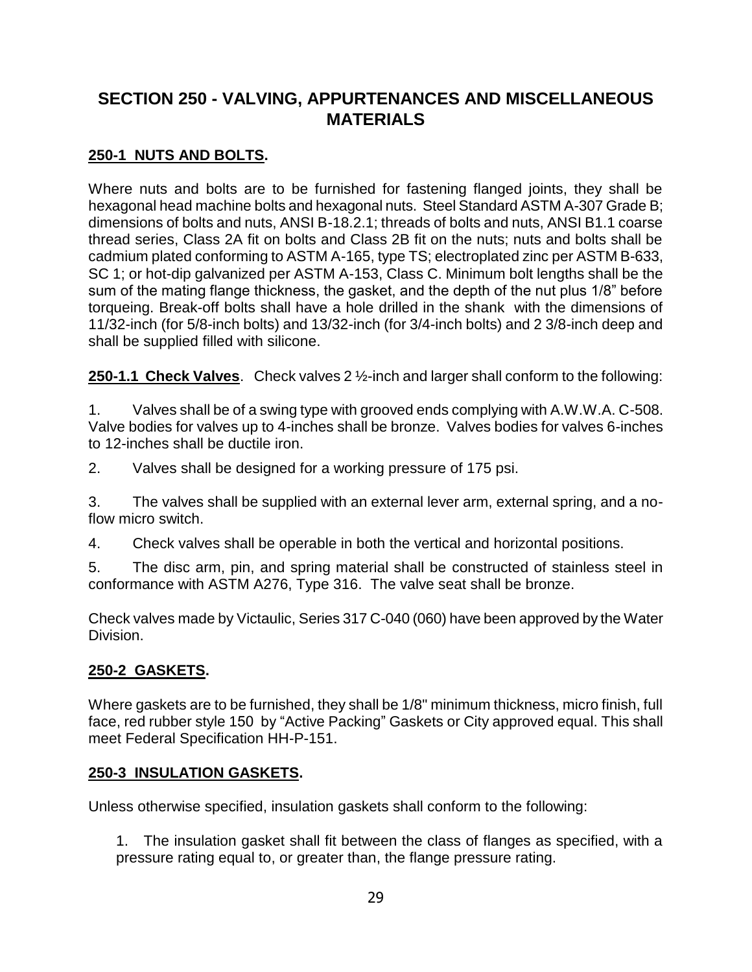# **SECTION 250 - VALVING, APPURTENANCES AND MISCELLANEOUS MATERIALS**

# **250-1 NUTS AND BOLTS.**

Where nuts and bolts are to be furnished for fastening flanged joints, they shall be hexagonal head machine bolts and hexagonal nuts. Steel Standard ASTM A-307 Grade B; dimensions of bolts and nuts, ANSI B-18.2.1; threads of bolts and nuts, ANSI B1.1 coarse thread series, Class 2A fit on bolts and Class 2B fit on the nuts; nuts and bolts shall be cadmium plated conforming to ASTM A-165, type TS; electroplated zinc per ASTM B-633, SC 1; or hot-dip galvanized per ASTM A-153, Class C. Minimum bolt lengths shall be the sum of the mating flange thickness, the gasket, and the depth of the nut plus 1/8" before torqueing. Break-off bolts shall have a hole drilled in the shank with the dimensions of 11/32-inch (for 5/8-inch bolts) and 13/32-inch (for 3/4-inch bolts) and 2 3/8-inch deep and shall be supplied filled with silicone.

**250-1.1 Check Valves**. Check valves 2 ½-inch and larger shall conform to the following:

1. Valves shall be of a swing type with grooved ends complying with A.W.W.A. C-508. Valve bodies for valves up to 4-inches shall be bronze. Valves bodies for valves 6-inches to 12-inches shall be ductile iron.

2. Valves shall be designed for a working pressure of 175 psi.

3. The valves shall be supplied with an external lever arm, external spring, and a noflow micro switch.

4. Check valves shall be operable in both the vertical and horizontal positions.

5. The disc arm, pin, and spring material shall be constructed of stainless steel in conformance with ASTM A276, Type 316. The valve seat shall be bronze.

Check valves made by Victaulic, Series 317 C-040 (060) have been approved by the Water Division.

## **250-2 GASKETS.**

Where gaskets are to be furnished, they shall be 1/8" minimum thickness, micro finish, full face, red rubber style 150 by "Active Packing" Gaskets or City approved equal. This shall meet Federal Specification HH-P-151.

#### **250-3 INSULATION GASKETS.**

Unless otherwise specified, insulation gaskets shall conform to the following:

1. The insulation gasket shall fit between the class of flanges as specified, with a pressure rating equal to, or greater than, the flange pressure rating.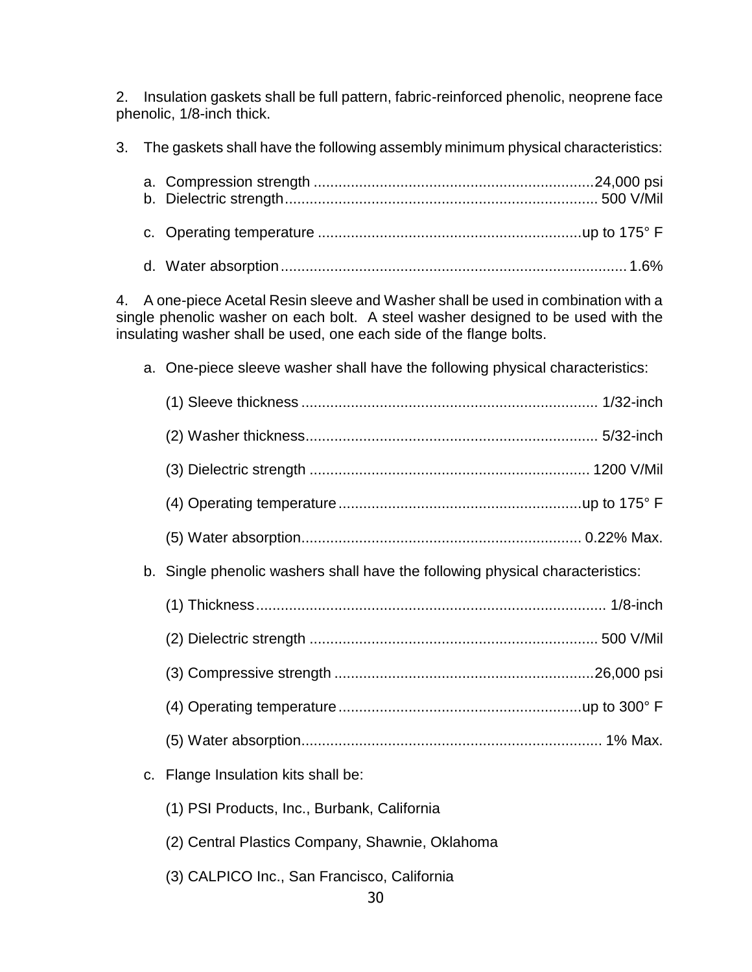2. Insulation gaskets shall be full pattern, fabric-reinforced phenolic, neoprene face phenolic, 1/8-inch thick.

3. The gaskets shall have the following assembly minimum physical characteristics:

4. A one-piece Acetal Resin sleeve and Washer shall be used in combination with a single phenolic washer on each bolt. A steel washer designed to be used with the insulating washer shall be used, one each side of the flange bolts.

a. One-piece sleeve washer shall have the following physical characteristics:

| b. Single phenolic washers shall have the following physical characteristics: |
|-------------------------------------------------------------------------------|
|                                                                               |
|                                                                               |
|                                                                               |
|                                                                               |
|                                                                               |
| c. Flange Insulation kits shall be:                                           |
| (1) PSI Products, Inc., Burbank, California                                   |
| (2) Central Plastics Company, Shawnie, Oklahoma                               |

(3) CALPICO Inc., San Francisco, California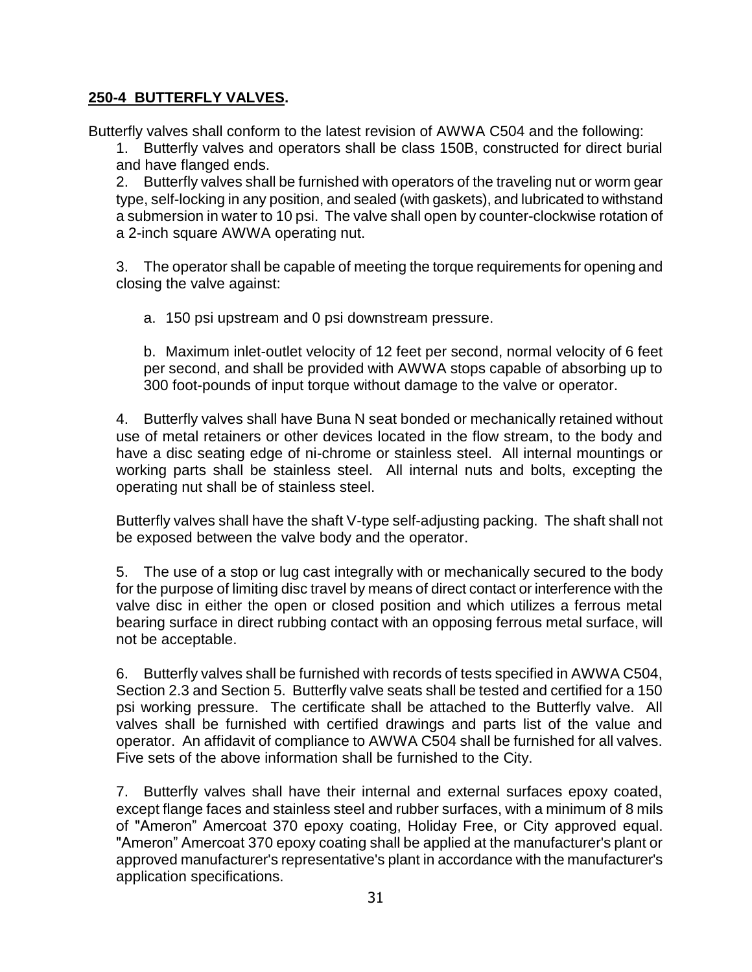#### **250-4 BUTTERFLY VALVES.**

Butterfly valves shall conform to the latest revision of AWWA C504 and the following:

1. Butterfly valves and operators shall be class 150B, constructed for direct burial and have flanged ends.

2. Butterfly valves shall be furnished with operators of the traveling nut or worm gear type, self-locking in any position, and sealed (with gaskets), and lubricated to withstand a submersion in water to 10 psi. The valve shall open by counter-clockwise rotation of a 2-inch square AWWA operating nut.

3. The operator shall be capable of meeting the torque requirements for opening and closing the valve against:

a. 150 psi upstream and 0 psi downstream pressure.

b. Maximum inlet-outlet velocity of 12 feet per second, normal velocity of 6 feet per second, and shall be provided with AWWA stops capable of absorbing up to 300 foot-pounds of input torque without damage to the valve or operator.

4. Butterfly valves shall have Buna N seat bonded or mechanically retained without use of metal retainers or other devices located in the flow stream, to the body and have a disc seating edge of ni-chrome or stainless steel. All internal mountings or working parts shall be stainless steel. All internal nuts and bolts, excepting the operating nut shall be of stainless steel.

Butterfly valves shall have the shaft V-type self-adjusting packing. The shaft shall not be exposed between the valve body and the operator.

5. The use of a stop or lug cast integrally with or mechanically secured to the body for the purpose of limiting disc travel by means of direct contact or interference with the valve disc in either the open or closed position and which utilizes a ferrous metal bearing surface in direct rubbing contact with an opposing ferrous metal surface, will not be acceptable.

6. Butterfly valves shall be furnished with records of tests specified in AWWA C504, Section 2.3 and Section 5. Butterfly valve seats shall be tested and certified for a 150 psi working pressure. The certificate shall be attached to the Butterfly valve. All valves shall be furnished with certified drawings and parts list of the value and operator. An affidavit of compliance to AWWA C504 shall be furnished for all valves. Five sets of the above information shall be furnished to the City.

7. Butterfly valves shall have their internal and external surfaces epoxy coated, except flange faces and stainless steel and rubber surfaces, with a minimum of 8 mils of "Ameron" Amercoat 370 epoxy coating, Holiday Free, or City approved equal. "Ameron" Amercoat 370 epoxy coating shall be applied at the manufacturer's plant or approved manufacturer's representative's plant in accordance with the manufacturer's application specifications.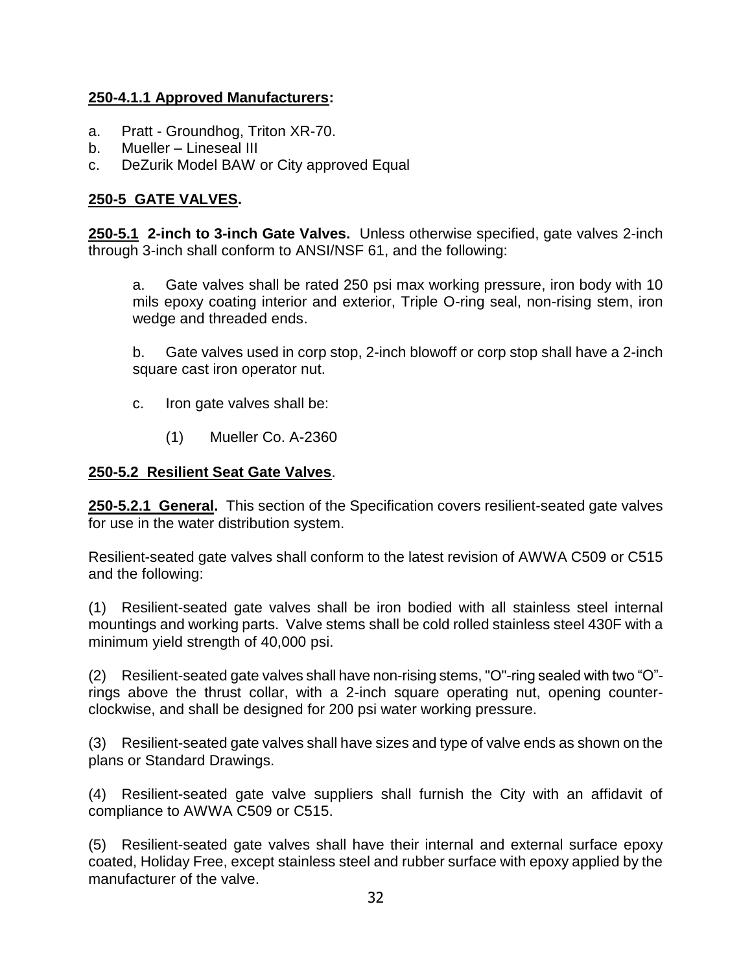#### **250-4.1.1 Approved Manufacturers:**

- a. Pratt Groundhog, Triton XR-70.
- b. Mueller Lineseal III
- c. DeZurik Model BAW or City approved Equal

## **250-5 GATE VALVES.**

**250-5.1 2-inch to 3-inch Gate Valves.** Unless otherwise specified, gate valves 2-inch through 3-inch shall conform to ANSI/NSF 61, and the following:

a. Gate valves shall be rated 250 psi max working pressure, iron body with 10 mils epoxy coating interior and exterior, Triple O-ring seal, non-rising stem, iron wedge and threaded ends.

b. Gate valves used in corp stop, 2-inch blowoff or corp stop shall have a 2-inch square cast iron operator nut.

- c. Iron gate valves shall be:
	- (1) Mueller Co. A-2360

#### **250-5.2 Resilient Seat Gate Valves**.

**250-5.2.1 General.** This section of the Specification covers resilient-seated gate valves for use in the water distribution system.

Resilient-seated gate valves shall conform to the latest revision of AWWA C509 or C515 and the following:

(1) Resilient-seated gate valves shall be iron bodied with all stainless steel internal mountings and working parts. Valve stems shall be cold rolled stainless steel 430F with a minimum yield strength of 40,000 psi.

(2) Resilient-seated gate valves shall have non-rising stems, "O"-ring sealed with two "O" rings above the thrust collar, with a 2-inch square operating nut, opening counterclockwise, and shall be designed for 200 psi water working pressure.

(3) Resilient-seated gate valves shall have sizes and type of valve ends as shown on the plans or Standard Drawings.

(4) Resilient-seated gate valve suppliers shall furnish the City with an affidavit of compliance to AWWA C509 or C515.

(5) Resilient-seated gate valves shall have their internal and external surface epoxy coated, Holiday Free, except stainless steel and rubber surface with epoxy applied by the manufacturer of the valve.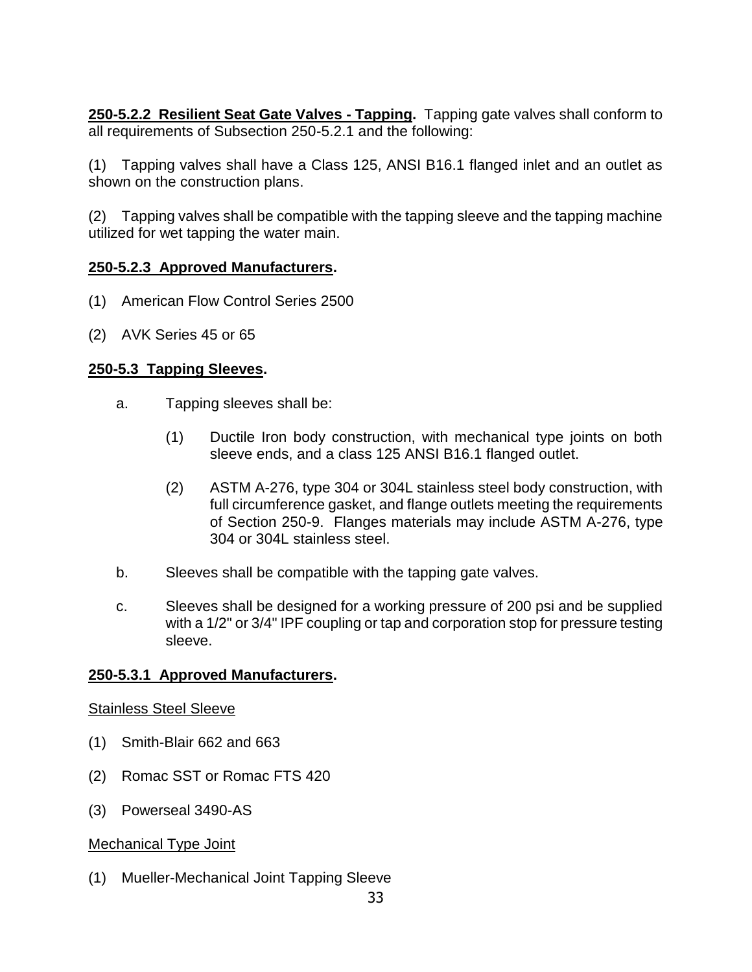**250-5.2.2 Resilient Seat Gate Valves - Tapping.** Tapping gate valves shall conform to all requirements of Subsection 250-5.2.1 and the following:

(1) Tapping valves shall have a Class 125, ANSI B16.1 flanged inlet and an outlet as shown on the construction plans.

(2) Tapping valves shall be compatible with the tapping sleeve and the tapping machine utilized for wet tapping the water main.

#### **250-5.2.3 Approved Manufacturers.**

- (1) American Flow Control Series 2500
- (2) AVK Series 45 or 65

#### **250-5.3 Tapping Sleeves.**

- a. Tapping sleeves shall be:
	- (1) Ductile Iron body construction, with mechanical type joints on both sleeve ends, and a class 125 ANSI B16.1 flanged outlet.
	- (2) ASTM A-276, type 304 or 304L stainless steel body construction, with full circumference gasket, and flange outlets meeting the requirements of Section 250-9. Flanges materials may include ASTM A-276, type 304 or 304L stainless steel.
- b. Sleeves shall be compatible with the tapping gate valves.
- c. Sleeves shall be designed for a working pressure of 200 psi and be supplied with a 1/2" or 3/4" IPF coupling or tap and corporation stop for pressure testing sleeve.

#### **250-5.3.1 Approved Manufacturers.**

#### Stainless Steel Sleeve

- (1) Smith-Blair 662 and 663
- (2) Romac SST or Romac FTS 420
- (3) Powerseal 3490-AS

#### Mechanical Type Joint

(1) Mueller-Mechanical Joint Tapping Sleeve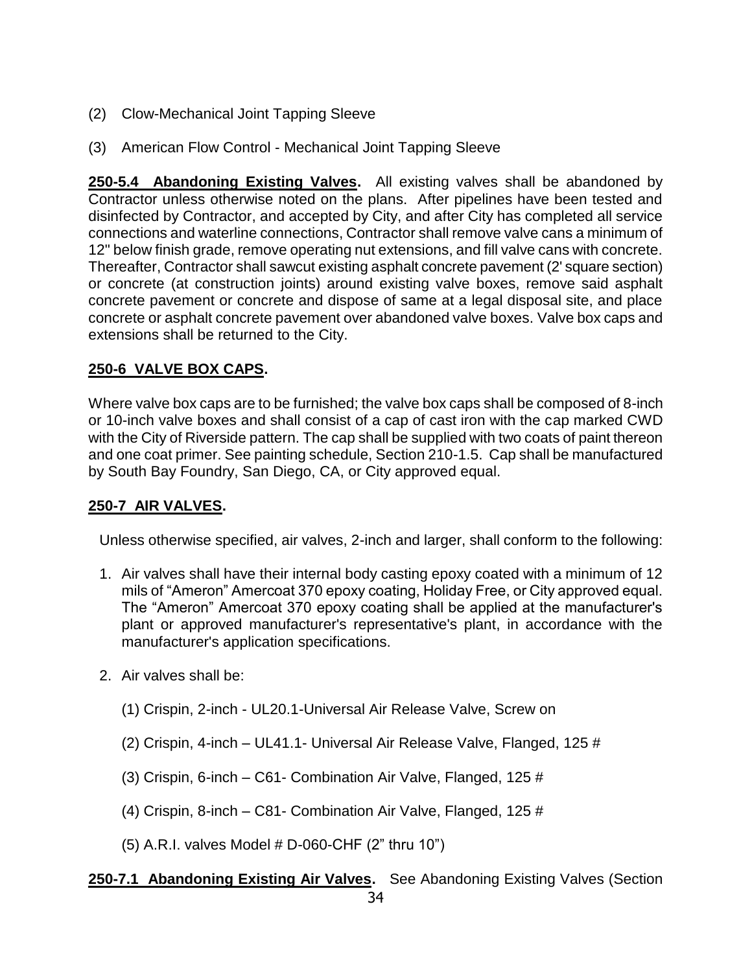- (2) Clow-Mechanical Joint Tapping Sleeve
- (3) American Flow Control Mechanical Joint Tapping Sleeve

**250-5.4 Abandoning Existing Valves.** All existing valves shall be abandoned by Contractor unless otherwise noted on the plans. After pipelines have been tested and disinfected by Contractor, and accepted by City, and after City has completed all service connections and waterline connections, Contractor shall remove valve cans a minimum of 12" below finish grade, remove operating nut extensions, and fill valve cans with concrete. Thereafter, Contractor shall sawcut existing asphalt concrete pavement (2' square section) or concrete (at construction joints) around existing valve boxes, remove said asphalt concrete pavement or concrete and dispose of same at a legal disposal site, and place concrete or asphalt concrete pavement over abandoned valve boxes. Valve box caps and extensions shall be returned to the City.

### **250-6 VALVE BOX CAPS.**

Where valve box caps are to be furnished; the valve box caps shall be composed of 8-inch or 10-inch valve boxes and shall consist of a cap of cast iron with the cap marked CWD with the City of Riverside pattern. The cap shall be supplied with two coats of paint thereon and one coat primer. See painting schedule, Section 210-1.5. Cap shall be manufactured by South Bay Foundry, San Diego, CA, or City approved equal.

# **250-7 AIR VALVES.**

Unless otherwise specified, air valves, 2-inch and larger, shall conform to the following:

- 1. Air valves shall have their internal body casting epoxy coated with a minimum of 12 mils of "Ameron" Amercoat 370 epoxy coating, Holiday Free, or City approved equal. The "Ameron" Amercoat 370 epoxy coating shall be applied at the manufacturer's plant or approved manufacturer's representative's plant, in accordance with the manufacturer's application specifications.
- 2. Air valves shall be:
	- (1) Crispin, 2-inch UL20.1-Universal Air Release Valve, Screw on
	- (2) Crispin, 4-inch UL41.1- Universal Air Release Valve, Flanged, 125 #
	- (3) Crispin, 6-inch C61- Combination Air Valve, Flanged, 125 #
	- (4) Crispin, 8-inch C81- Combination Air Valve, Flanged, 125 #
	- (5) A.R.I. valves Model # D-060-CHF (2" thru 10")

# **250-7.1 Abandoning Existing Air Valves.** See Abandoning Existing Valves (Section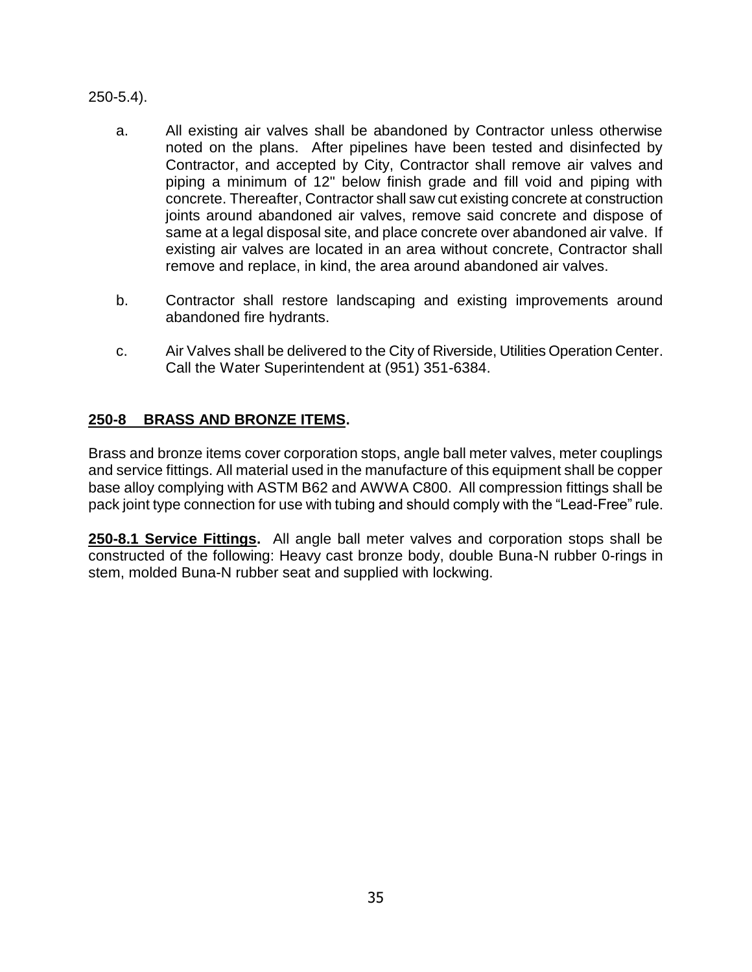250-5.4).

- a. All existing air valves shall be abandoned by Contractor unless otherwise noted on the plans. After pipelines have been tested and disinfected by Contractor, and accepted by City, Contractor shall remove air valves and piping a minimum of 12" below finish grade and fill void and piping with concrete. Thereafter, Contractor shall saw cut existing concrete at construction joints around abandoned air valves, remove said concrete and dispose of same at a legal disposal site, and place concrete over abandoned air valve. If existing air valves are located in an area without concrete, Contractor shall remove and replace, in kind, the area around abandoned air valves.
- b. Contractor shall restore landscaping and existing improvements around abandoned fire hydrants.
- c. Air Valves shall be delivered to the City of Riverside, Utilities Operation Center. Call the Water Superintendent at (951) 351-6384.

# **250-8 BRASS AND BRONZE ITEMS.**

Brass and bronze items cover corporation stops, angle ball meter valves, meter couplings and service fittings. All material used in the manufacture of this equipment shall be copper base alloy complying with ASTM B62 and AWWA C800. All compression fittings shall be pack joint type connection for use with tubing and should comply with the "Lead-Free" rule.

**250-8.1 Service Fittings.** All angle ball meter valves and corporation stops shall be constructed of the following: Heavy cast bronze body, double Buna-N rubber 0-rings in stem, molded Buna-N rubber seat and supplied with lockwing.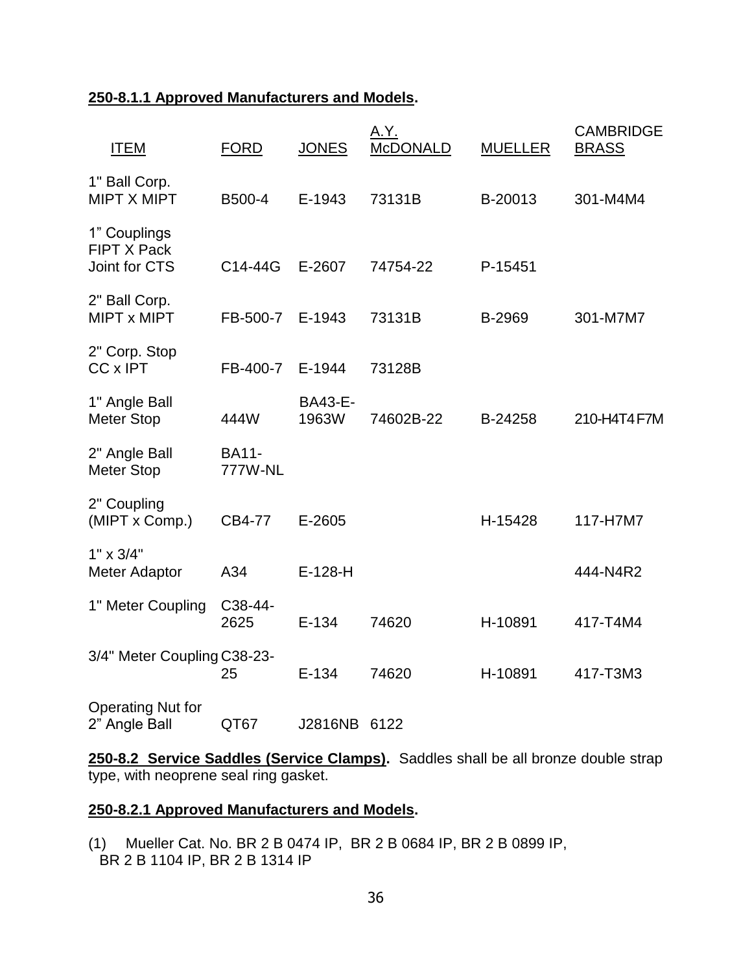# **250-8.1.1 Approved Manufacturers and Models.**

| <b>ITEM</b>                                         | <b>FORD</b>             | <b>JONES</b>            | A.Y.<br><b>McDONALD</b> | <b>MUELLER</b> | <b>CAMBRIDGE</b><br><b>BRASS</b> |
|-----------------------------------------------------|-------------------------|-------------------------|-------------------------|----------------|----------------------------------|
| 1" Ball Corp.<br><b>MIPT X MIPT</b>                 | B500-4                  | E-1943                  | 73131B                  | B-20013        | 301-M4M4                         |
| 1" Couplings<br><b>FIPT X Pack</b><br>Joint for CTS | C14-44G                 | E-2607                  | 74754-22                | P-15451        |                                  |
| 2" Ball Corp.<br>MIPT x MIPT                        | FB-500-7                | E-1943                  | 73131B                  | B-2969         | 301-M7M7                         |
| 2" Corp. Stop<br>CC x IPT                           | FB-400-7                | E-1944                  | 73128B                  |                |                                  |
| 1" Angle Ball<br><b>Meter Stop</b>                  | 444W                    | <b>BA43-E-</b><br>1963W | 74602B-22               | B-24258        | 210-H4T4 F7M                     |
| 2" Angle Ball<br><b>Meter Stop</b>                  | <b>BA11-</b><br>777W-NL |                         |                         |                |                                  |
| 2" Coupling<br>(MIPT x Comp.)                       | CB4-77                  | E-2605                  |                         | H-15428        | 117-H7M7                         |
| $1" \times 3/4"$<br>Meter Adaptor                   | A34                     | $E-128-H$               |                         |                | 444-N4R2                         |
| 1" Meter Coupling                                   | C38-44-<br>2625         | $E-134$                 | 74620                   | H-10891        | 417-T4M4                         |
| 3/4" Meter Coupling C38-23-                         | 25                      | $E-134$                 | 74620                   | H-10891        | 417-T3M3                         |
| <b>Operating Nut for</b><br>2" Angle Ball           | QT67                    | J2816NB                 | 6122                    |                |                                  |

**250-8.2 Service Saddles (Service Clamps).** Saddles shall be all bronze double strap type, with neoprene seal ring gasket.

### **250-8.2.1 Approved Manufacturers and Models.**

(1) Mueller Cat. No. BR 2 B 0474 IP, BR 2 B 0684 IP, BR 2 B 0899 IP, BR 2 B 1104 IP, BR 2 B 1314 IP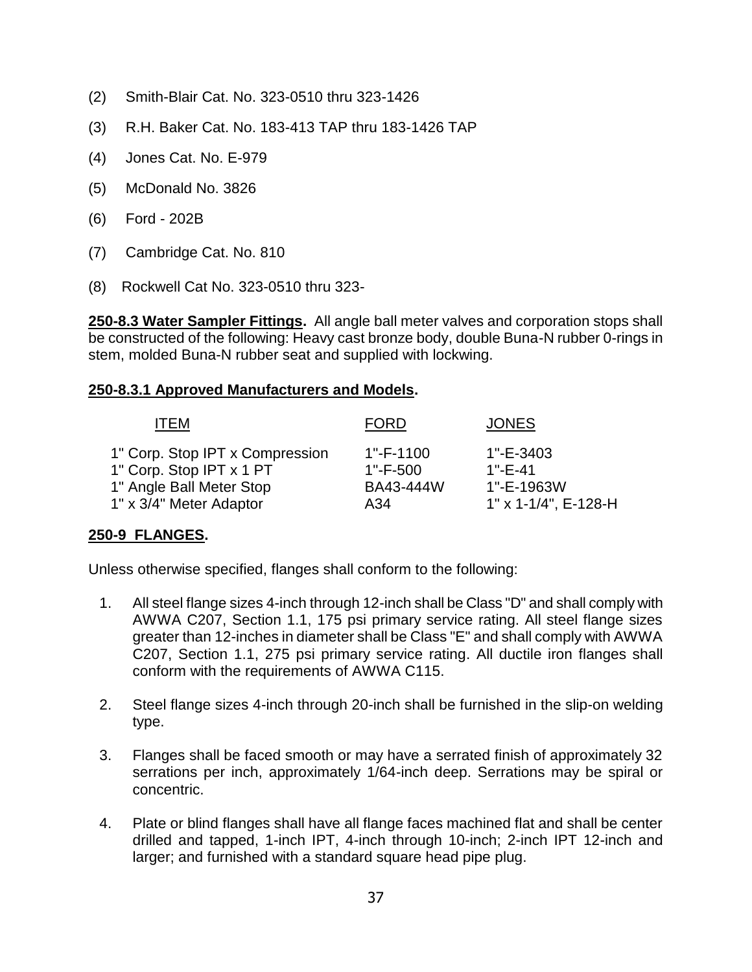- (2) Smith-Blair Cat. No. 323-0510 thru 323-1426
- (3) R.H. Baker Cat. No. 183-413 TAP thru 183-1426 TAP
- (4) Jones Cat. No. E-979
- (5) McDonald No. 3826
- (6) Ford 202B
- (7) Cambridge Cat. No. 810
- (8) Rockwell Cat No. 323-0510 thru 323-

**250-8.3 Water Sampler Fittings.** All angle ball meter valves and corporation stops shall be constructed of the following: Heavy cast bronze body, double Buna-N rubber 0-rings in stem, molded Buna-N rubber seat and supplied with lockwing.

### **250-8.3.1 Approved Manufacturers and Models.**

| <b>ITEM</b>                     | <b>FORD</b>   | <b>JONES</b>         |
|---------------------------------|---------------|----------------------|
| 1" Corp. Stop IPT x Compression | 1"-F-1100     | 1"-E-3403            |
| 1" Corp. Stop IPT x 1 PT        | $1 - F - 500$ | $1"$ -F-41           |
| 1" Angle Ball Meter Stop        | BA43-444W     | 1"-E-1963W           |
| 1" x 3/4" Meter Adaptor         | A34           | 1" x 1-1/4", E-128-H |

# **250-9 FLANGES.**

Unless otherwise specified, flanges shall conform to the following:

- 1. All steel flange sizes 4-inch through 12-inch shall be Class "D" and shall comply with AWWA C207, Section 1.1, 175 psi primary service rating. All steel flange sizes greater than 12-inches in diameter shall be Class "E" and shall comply with AWWA C207, Section 1.1, 275 psi primary service rating. All ductile iron flanges shall conform with the requirements of AWWA C115.
- 2. Steel flange sizes 4-inch through 20-inch shall be furnished in the slip-on welding type.
- 3. Flanges shall be faced smooth or may have a serrated finish of approximately 32 serrations per inch, approximately 1/64-inch deep. Serrations may be spiral or concentric.
- 4. Plate or blind flanges shall have all flange faces machined flat and shall be center drilled and tapped, 1-inch IPT, 4-inch through 10-inch; 2-inch IPT 12-inch and larger; and furnished with a standard square head pipe plug.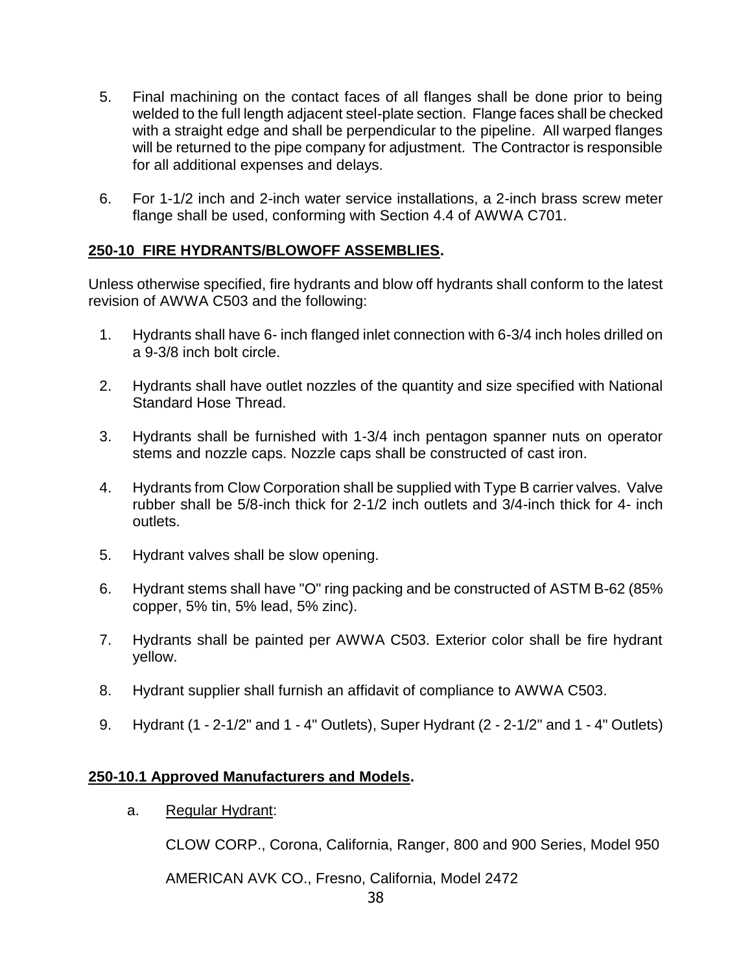- 5. Final machining on the contact faces of all flanges shall be done prior to being welded to the full length adjacent steel-plate section. Flange faces shall be checked with a straight edge and shall be perpendicular to the pipeline. All warped flanges will be returned to the pipe company for adjustment. The Contractor is responsible for all additional expenses and delays.
- 6. For 1-1/2 inch and 2-inch water service installations, a 2-inch brass screw meter flange shall be used, conforming with Section 4.4 of AWWA C701.

# **250-10 FIRE HYDRANTS/BLOWOFF ASSEMBLIES.**

Unless otherwise specified, fire hydrants and blow off hydrants shall conform to the latest revision of AWWA C503 and the following:

- 1. Hydrants shall have 6- inch flanged inlet connection with 6-3/4 inch holes drilled on a 9-3/8 inch bolt circle.
- 2. Hydrants shall have outlet nozzles of the quantity and size specified with National Standard Hose Thread.
- 3. Hydrants shall be furnished with 1-3/4 inch pentagon spanner nuts on operator stems and nozzle caps. Nozzle caps shall be constructed of cast iron.
- 4. Hydrants from Clow Corporation shall be supplied with Type B carrier valves. Valve rubber shall be 5/8-inch thick for 2-1/2 inch outlets and 3/4-inch thick for 4- inch outlets.
- 5. Hydrant valves shall be slow opening.
- 6. Hydrant stems shall have "O" ring packing and be constructed of ASTM B-62 (85% copper, 5% tin, 5% lead, 5% zinc).
- 7. Hydrants shall be painted per AWWA C503. Exterior color shall be fire hydrant yellow.
- 8. Hydrant supplier shall furnish an affidavit of compliance to AWWA C503.
- 9. Hydrant (1 2-1/2" and 1 4" Outlets), Super Hydrant (2 2-1/2" and 1 4" Outlets)

### **250-10.1 Approved Manufacturers and Models.**

a. Regular Hydrant:

CLOW CORP., Corona, California, Ranger, 800 and 900 Series, Model 950

AMERICAN AVK CO., Fresno, California, Model 2472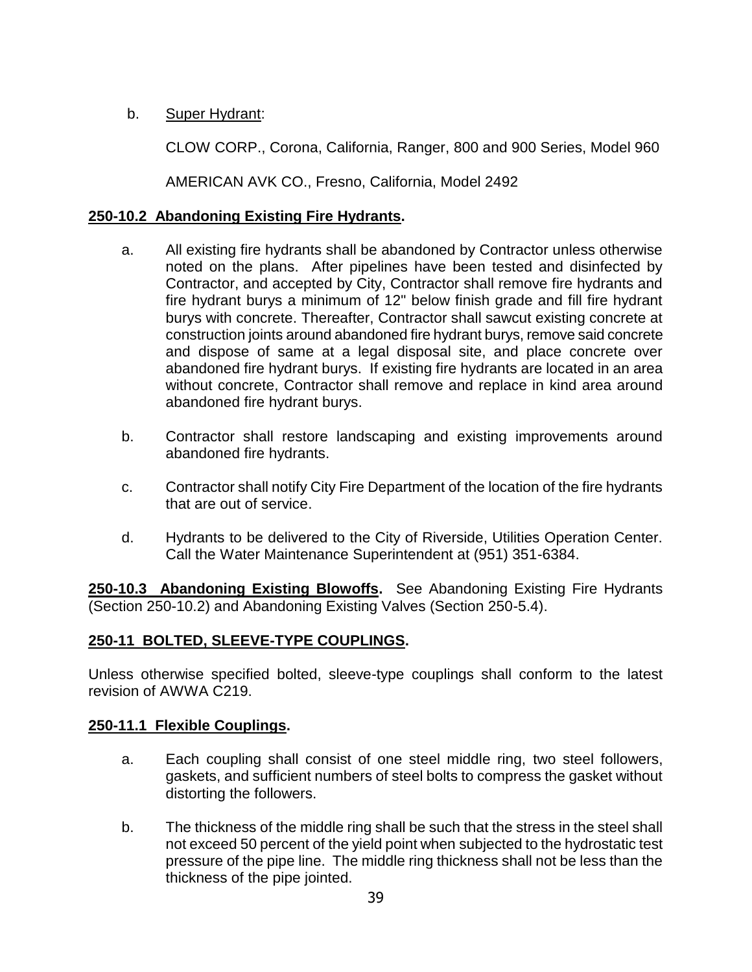# b. Super Hydrant:

CLOW CORP., Corona, California, Ranger, 800 and 900 Series, Model 960

AMERICAN AVK CO., Fresno, California, Model 2492

# **250-10.2 Abandoning Existing Fire Hydrants.**

- a. All existing fire hydrants shall be abandoned by Contractor unless otherwise noted on the plans. After pipelines have been tested and disinfected by Contractor, and accepted by City, Contractor shall remove fire hydrants and fire hydrant burys a minimum of 12" below finish grade and fill fire hydrant burys with concrete. Thereafter, Contractor shall sawcut existing concrete at construction joints around abandoned fire hydrant burys, remove said concrete and dispose of same at a legal disposal site, and place concrete over abandoned fire hydrant burys. If existing fire hydrants are located in an area without concrete, Contractor shall remove and replace in kind area around abandoned fire hydrant burys.
- b. Contractor shall restore landscaping and existing improvements around abandoned fire hydrants.
- c. Contractor shall notify City Fire Department of the location of the fire hydrants that are out of service.
- d. Hydrants to be delivered to the City of Riverside, Utilities Operation Center. Call the Water Maintenance Superintendent at (951) 351-6384.

**250-10.3 Abandoning Existing Blowoffs.** See Abandoning Existing Fire Hydrants (Section 250-10.2) and Abandoning Existing Valves (Section 250-5.4).

# **250-11 BOLTED, SLEEVE-TYPE COUPLINGS.**

Unless otherwise specified bolted, sleeve-type couplings shall conform to the latest revision of AWWA C219.

### **250-11.1 Flexible Couplings.**

- a. Each coupling shall consist of one steel middle ring, two steel followers, gaskets, and sufficient numbers of steel bolts to compress the gasket without distorting the followers.
- b. The thickness of the middle ring shall be such that the stress in the steel shall not exceed 50 percent of the yield point when subjected to the hydrostatic test pressure of the pipe line. The middle ring thickness shall not be less than the thickness of the pipe jointed.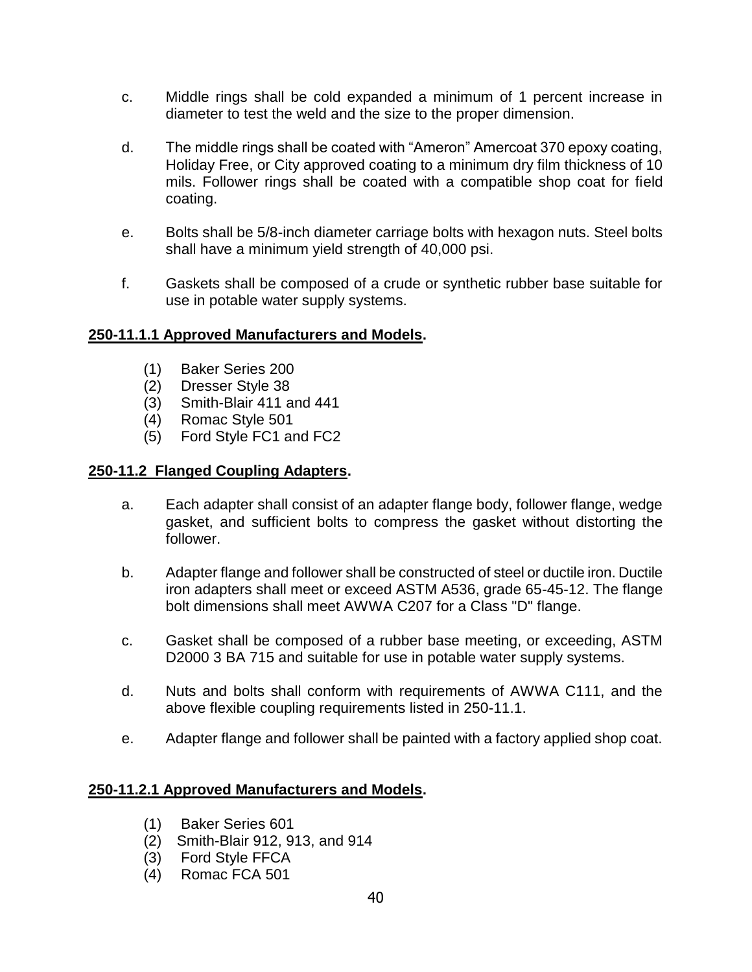- c. Middle rings shall be cold expanded a minimum of 1 percent increase in diameter to test the weld and the size to the proper dimension.
- d. The middle rings shall be coated with "Ameron" Amercoat 370 epoxy coating, Holiday Free, or City approved coating to a minimum dry film thickness of 10 mils. Follower rings shall be coated with a compatible shop coat for field coating.
- e. Bolts shall be 5/8-inch diameter carriage bolts with hexagon nuts. Steel bolts shall have a minimum yield strength of 40,000 psi.
- f. Gaskets shall be composed of a crude or synthetic rubber base suitable for use in potable water supply systems.

### **250-11.1.1 Approved Manufacturers and Models.**

- (1) Baker Series 200
- (2) Dresser Style 38
- (3) Smith-Blair 411 and 441
- (4) Romac Style 501
- (5) Ford Style FC1 and FC2

### **250-11.2 Flanged Coupling Adapters.**

- a. Each adapter shall consist of an adapter flange body, follower flange, wedge gasket, and sufficient bolts to compress the gasket without distorting the follower.
- b. Adapter flange and follower shall be constructed of steel or ductile iron. Ductile iron adapters shall meet or exceed ASTM A536, grade 65-45-12. The flange bolt dimensions shall meet AWWA C207 for a Class "D" flange.
- c. Gasket shall be composed of a rubber base meeting, or exceeding, ASTM D2000 3 BA 715 and suitable for use in potable water supply systems.
- d. Nuts and bolts shall conform with requirements of AWWA C111, and the above flexible coupling requirements listed in 250-11.1.
- e. Adapter flange and follower shall be painted with a factory applied shop coat.

### **250-11.2.1 Approved Manufacturers and Models.**

- (1) Baker Series 601
- (2) Smith-Blair 912, 913, and 914
- (3) Ford Style FFCA
- (4) Romac FCA 501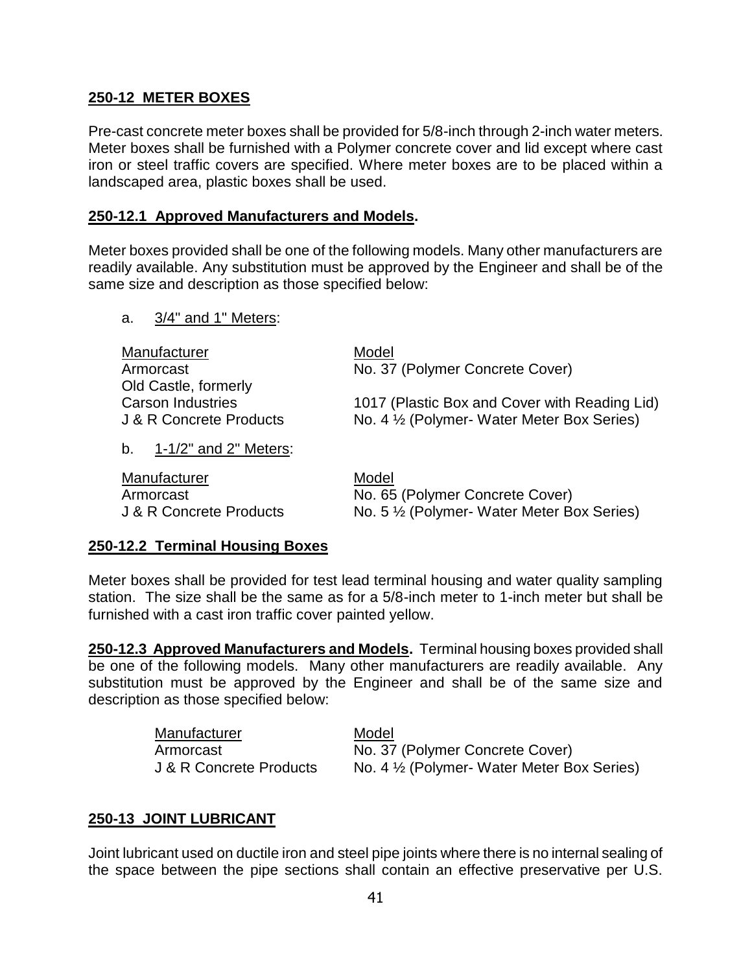### **250-12 METER BOXES**

Pre-cast concrete meter boxes shall be provided for 5/8-inch through 2-inch water meters. Meter boxes shall be furnished with a Polymer concrete cover and lid except where cast iron or steel traffic covers are specified. Where meter boxes are to be placed within a landscaped area, plastic boxes shall be used.

### **250-12.1 Approved Manufacturers and Models.**

Meter boxes provided shall be one of the following models. Many other manufacturers are readily available. Any substitution must be approved by the Engineer and shall be of the same size and description as those specified below:

a. 3/4" and 1" Meters:

| Manufacturer<br>Armorcast                        | Model<br>No. 37 (Polymer Concrete Cover)      |
|--------------------------------------------------|-----------------------------------------------|
| Old Castle, formerly<br><b>Carson Industries</b> | 1017 (Plastic Box and Cover with Reading Lid) |
| J & R Concrete Products                          | No. 4 1/2 (Polymer- Water Meter Box Series)   |
| 1-1/2" and 2" Meters:<br>b.                      |                                               |

| Manufacturer            | Model                                                  |
|-------------------------|--------------------------------------------------------|
| Armorcast               | No. 65 (Polymer Concrete Cover)                        |
| J & R Concrete Products | No. 5 <sup>1/2</sup> (Polymer- Water Meter Box Series) |

### **250-12.2 Terminal Housing Boxes**

Meter boxes shall be provided for test lead terminal housing and water quality sampling station. The size shall be the same as for a 5/8-inch meter to 1-inch meter but shall be furnished with a cast iron traffic cover painted yellow.

**250-12.3 Approved Manufacturers and Models.** Terminal housing boxes provided shall be one of the following models. Many other manufacturers are readily available. Any substitution must be approved by the Engineer and shall be of the same size and description as those specified below:

| Manufacturer            | Model                                                |
|-------------------------|------------------------------------------------------|
| Armorcast               | No. 37 (Polymer Concrete Cover)                      |
| J & R Concrete Products | No. 4 $\frac{1}{2}$ (Polymer-Water Meter Box Series) |

# **250-13 JOINT LUBRICANT**

Joint lubricant used on ductile iron and steel pipe joints where there is no internal sealing of the space between the pipe sections shall contain an effective preservative per U.S.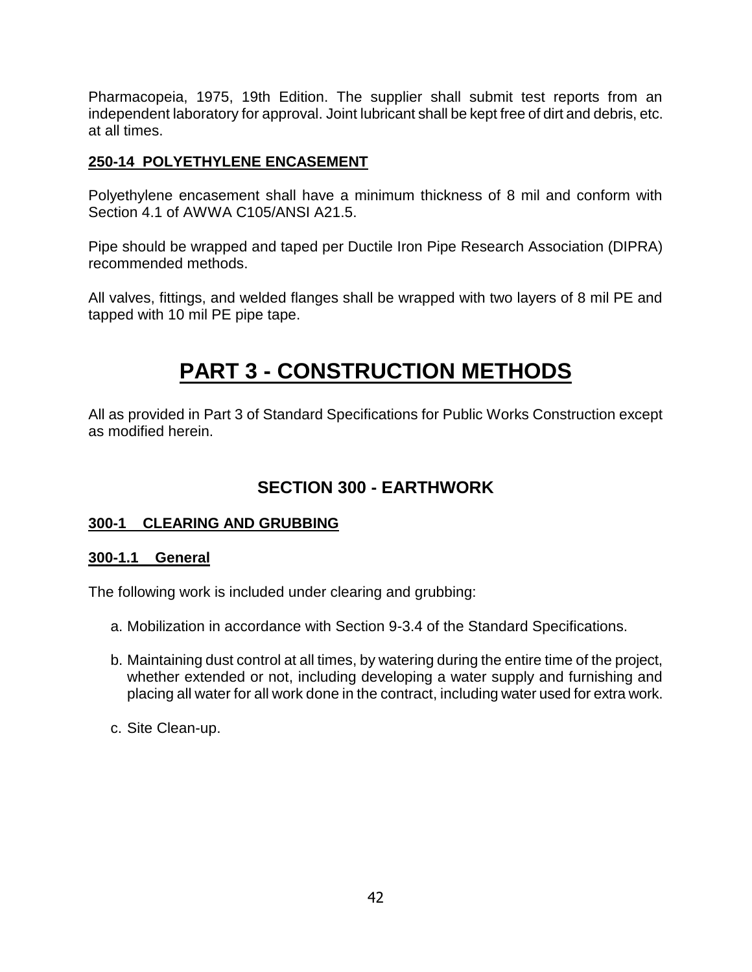Pharmacopeia, 1975, 19th Edition. The supplier shall submit test reports from an independent laboratory for approval. Joint lubricant shall be kept free of dirt and debris, etc. at all times.

# **250-14 POLYETHYLENE ENCASEMENT**

Polyethylene encasement shall have a minimum thickness of 8 mil and conform with Section 4.1 of AWWA C105/ANSI A21.5.

Pipe should be wrapped and taped per Ductile Iron Pipe Research Association (DIPRA) recommended methods.

All valves, fittings, and welded flanges shall be wrapped with two layers of 8 mil PE and tapped with 10 mil PE pipe tape.

# **PART 3 - CONSTRUCTION METHODS**

All as provided in Part 3 of Standard Specifications for Public Works Construction except as modified herein.

# **SECTION 300 - EARTHWORK**

### **300-1 CLEARING AND GRUBBING**

### **300-1.1 General**

The following work is included under clearing and grubbing:

- a. Mobilization in accordance with Section 9-3.4 of the Standard Specifications.
- b. Maintaining dust control at all times, by watering during the entire time of the project, whether extended or not, including developing a water supply and furnishing and placing all water for all work done in the contract, including water used for extra work.
- c. Site Clean-up.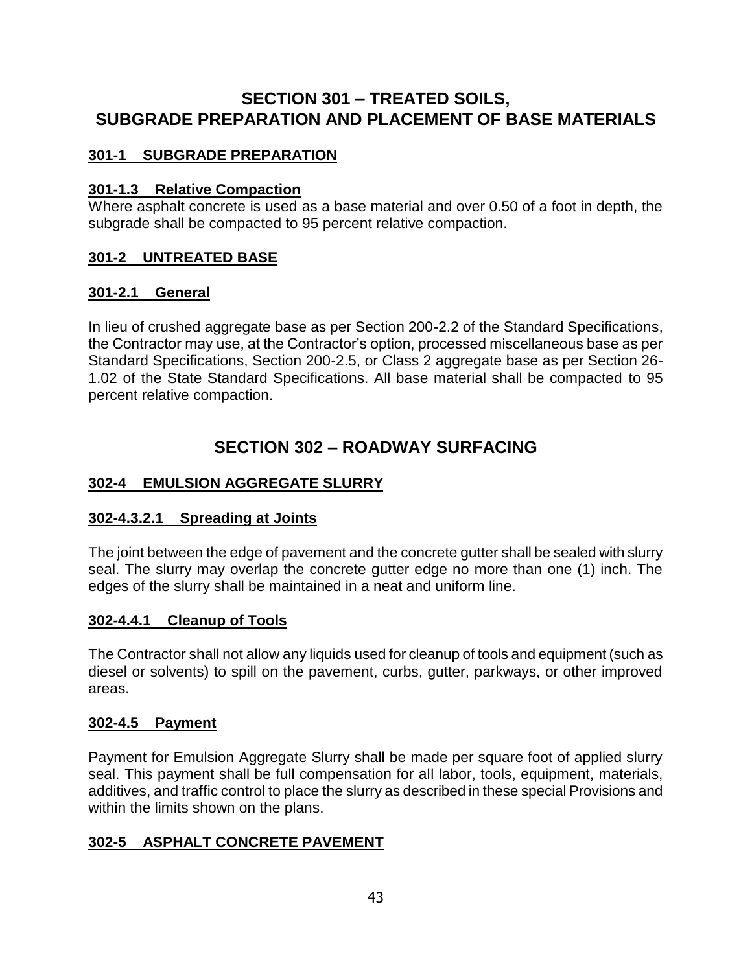# **SECTION 301 – TREATED SOILS, SUBGRADE PREPARATION AND PLACEMENT OF BASE MATERIALS**

# **301-1 SUBGRADE PREPARATION**

### **301-1.3 Relative Compaction**

Where asphalt concrete is used as a base material and over 0.50 of a foot in depth, the subgrade shall be compacted to 95 percent relative compaction.

# **301-2 UNTREATED BASE**

### **301-2.1 General**

In lieu of crushed aggregate base as per Section 200-2.2 of the Standard Specifications, the Contractor may use, at the Contractor's option, processed miscellaneous base as per Standard Specifications, Section 200-2.5, or Class 2 aggregate base as per Section 26- 1.02 of the State Standard Specifications. All base material shall be compacted to 95 percent relative compaction.

# **SECTION 302 – ROADWAY SURFACING**

# **302-4 EMULSION AGGREGATE SLURRY**

# **302-4.3.2.1 Spreading at Joints**

The joint between the edge of pavement and the concrete gutter shall be sealed with slurry seal. The slurry may overlap the concrete gutter edge no more than one (1) inch. The edges of the slurry shall be maintained in a neat and uniform line.

# **302-4.4.1 Cleanup of Tools**

The Contractor shall not allow any liquids used for cleanup of tools and equipment (such as diesel or solvents) to spill on the pavement, curbs, gutter, parkways, or other improved areas.

### **302-4.5 Payment**

Payment for Emulsion Aggregate Slurry shall be made per square foot of applied slurry seal. This payment shall be full compensation for all labor, tools, equipment, materials, additives, and traffic control to place the slurry as described in these special Provisions and within the limits shown on the plans.

# **302-5 ASPHALT CONCRETE PAVEMENT**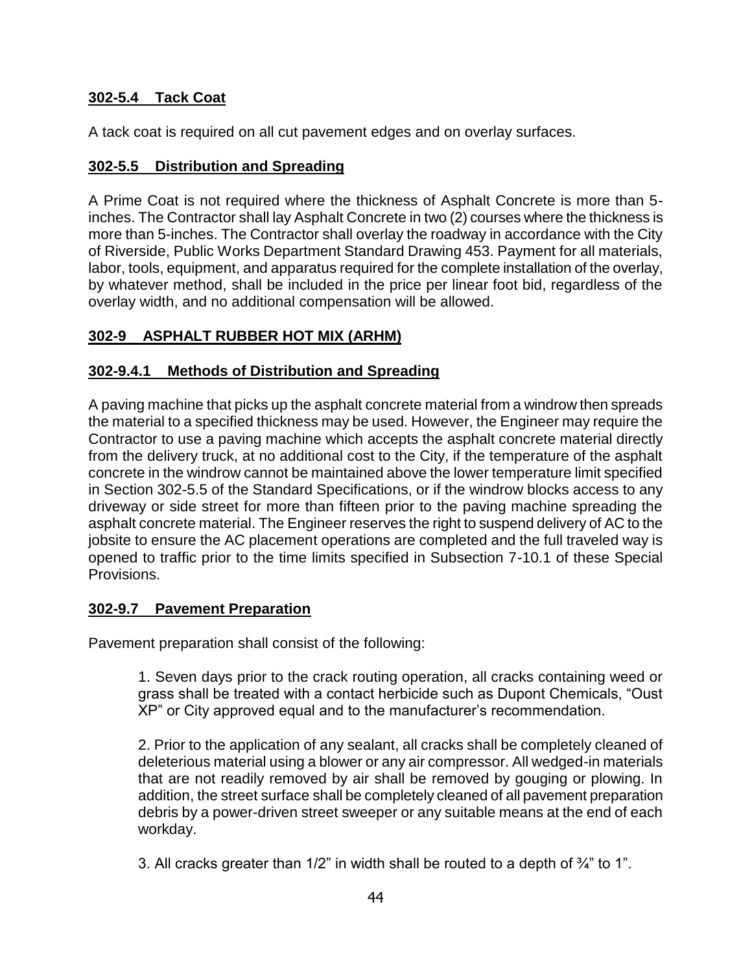# **302-5.4 Tack Coat**

A tack coat is required on all cut pavement edges and on overlay surfaces.

# **302-5.5 Distribution and Spreading**

A Prime Coat is not required where the thickness of Asphalt Concrete is more than 5 inches. The Contractor shall lay Asphalt Concrete in two (2) courses where the thickness is more than 5-inches. The Contractor shall overlay the roadway in accordance with the City of Riverside, Public Works Department Standard Drawing 453. Payment for all materials, labor, tools, equipment, and apparatus required for the complete installation of the overlay, by whatever method, shall be included in the price per linear foot bid, regardless of the overlay width, and no additional compensation will be allowed.

# **302-9 ASPHALT RUBBER HOT MIX (ARHM)**

### **302-9.4.1 Methods of Distribution and Spreading**

A paving machine that picks up the asphalt concrete material from a windrow then spreads the material to a specified thickness may be used. However, the Engineer may require the Contractor to use a paving machine which accepts the asphalt concrete material directly from the delivery truck, at no additional cost to the City, if the temperature of the asphalt concrete in the windrow cannot be maintained above the lower temperature limit specified in Section 302-5.5 of the Standard Specifications, or if the windrow blocks access to any driveway or side street for more than fifteen prior to the paving machine spreading the asphalt concrete material. The Engineer reserves the right to suspend delivery of AC to the jobsite to ensure the AC placement operations are completed and the full traveled way is opened to traffic prior to the time limits specified in Subsection 7-10.1 of these Special Provisions.

### **302-9.7 Pavement Preparation**

Pavement preparation shall consist of the following:

1. Seven days prior to the crack routing operation, all cracks containing weed or grass shall be treated with a contact herbicide such as Dupont Chemicals, "Oust XP" or City approved equal and to the manufacturer's recommendation.

2. Prior to the application of any sealant, all cracks shall be completely cleaned of deleterious material using a blower or any air compressor. All wedged-in materials that are not readily removed by air shall be removed by gouging or plowing. In addition, the street surface shall be completely cleaned of all pavement preparation debris by a power-driven street sweeper or any suitable means at the end of each workday.

3. All cracks greater than 1/2" in width shall be routed to a depth of ¾" to 1".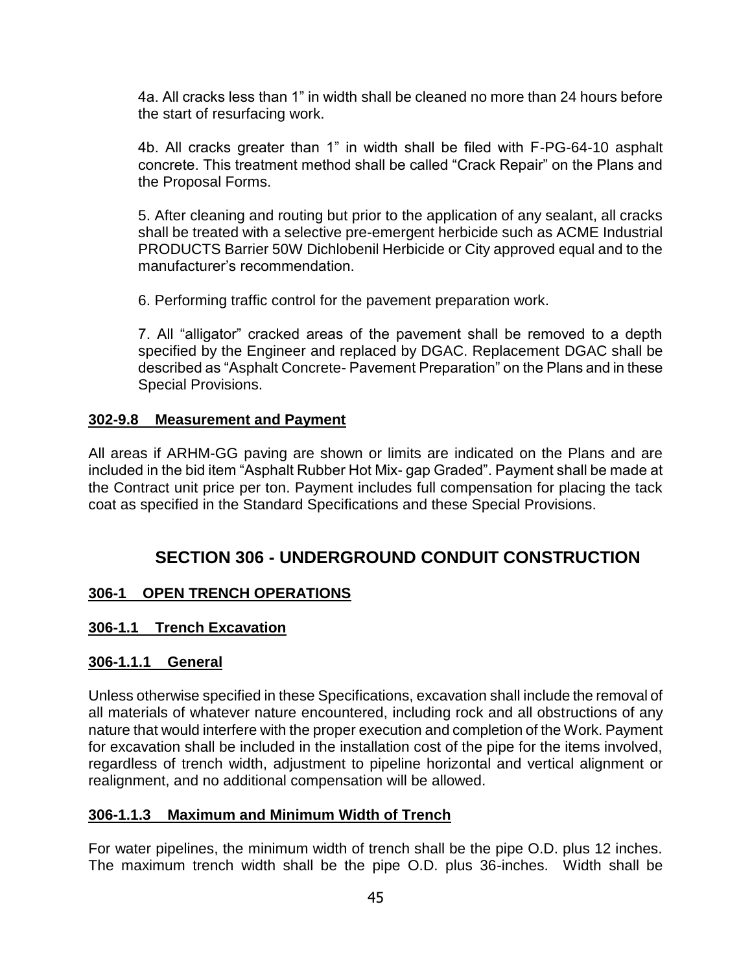4a. All cracks less than 1" in width shall be cleaned no more than 24 hours before the start of resurfacing work.

4b. All cracks greater than 1" in width shall be filed with F-PG-64-10 asphalt concrete. This treatment method shall be called "Crack Repair" on the Plans and the Proposal Forms.

5. After cleaning and routing but prior to the application of any sealant, all cracks shall be treated with a selective pre-emergent herbicide such as ACME Industrial PRODUCTS Barrier 50W Dichlobenil Herbicide or City approved equal and to the manufacturer's recommendation.

6. Performing traffic control for the pavement preparation work.

7. All "alligator" cracked areas of the pavement shall be removed to a depth specified by the Engineer and replaced by DGAC. Replacement DGAC shall be described as "Asphalt Concrete- Pavement Preparation" on the Plans and in these Special Provisions.

# **302-9.8 Measurement and Payment**

All areas if ARHM-GG paving are shown or limits are indicated on the Plans and are included in the bid item "Asphalt Rubber Hot Mix- gap Graded". Payment shall be made at the Contract unit price per ton. Payment includes full compensation for placing the tack coat as specified in the Standard Specifications and these Special Provisions.

# **SECTION 306 - UNDERGROUND CONDUIT CONSTRUCTION**

# **306-1 OPEN TRENCH OPERATIONS**

# **306-1.1 Trench Excavation**

### **306-1.1.1 General**

Unless otherwise specified in these Specifications, excavation shall include the removal of all materials of whatever nature encountered, including rock and all obstructions of any nature that would interfere with the proper execution and completion of the Work. Payment for excavation shall be included in the installation cost of the pipe for the items involved, regardless of trench width, adjustment to pipeline horizontal and vertical alignment or realignment, and no additional compensation will be allowed.

### **306-1.1.3 Maximum and Minimum Width of Trench**

For water pipelines, the minimum width of trench shall be the pipe O.D. plus 12 inches. The maximum trench width shall be the pipe O.D. plus 36-inches. Width shall be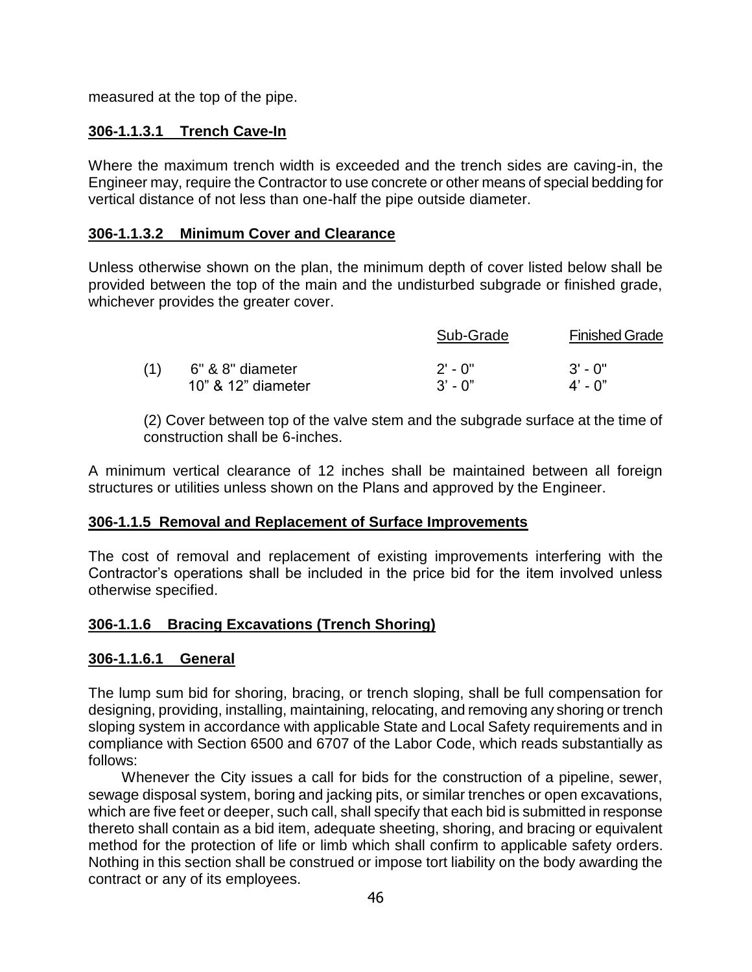measured at the top of the pipe.

# **306-1.1.3.1 Trench Cave-In**

Where the maximum trench width is exceeded and the trench sides are caving-in, the Engineer may, require the Contractor to use concrete or other means of special bedding for vertical distance of not less than one-half the pipe outside diameter.

### **306-1.1.3.2 Minimum Cover and Clearance**

Unless otherwise shown on the plan, the minimum depth of cover listed below shall be provided between the top of the main and the undisturbed subgrade or finished grade, whichever provides the greater cover.

|                    | Sub-Grade | <b>Finished Grade</b> |
|--------------------|-----------|-----------------------|
| 6" & 8" diameter   | $2'$ - 0" | $3'$ - 0"             |
| 10" & 12" diameter | $3'$ - 0" | $4'$ - 0"             |

(2) Cover between top of the valve stem and the subgrade surface at the time of construction shall be 6-inches.

A minimum vertical clearance of 12 inches shall be maintained between all foreign structures or utilities unless shown on the Plans and approved by the Engineer.

### **306-1.1.5 Removal and Replacement of Surface Improvements**

The cost of removal and replacement of existing improvements interfering with the Contractor's operations shall be included in the price bid for the item involved unless otherwise specified.

# **306-1.1.6 Bracing Excavations (Trench Shoring)**

### **306-1.1.6.1 General**

The lump sum bid for shoring, bracing, or trench sloping, shall be full compensation for designing, providing, installing, maintaining, relocating, and removing any shoring or trench sloping system in accordance with applicable State and Local Safety requirements and in compliance with Section 6500 and 6707 of the Labor Code, which reads substantially as follows:

Whenever the City issues a call for bids for the construction of a pipeline, sewer, sewage disposal system, boring and jacking pits, or similar trenches or open excavations, which are five feet or deeper, such call, shall specify that each bid is submitted in response thereto shall contain as a bid item, adequate sheeting, shoring, and bracing or equivalent method for the protection of life or limb which shall confirm to applicable safety orders. Nothing in this section shall be construed or impose tort liability on the body awarding the contract or any of its employees.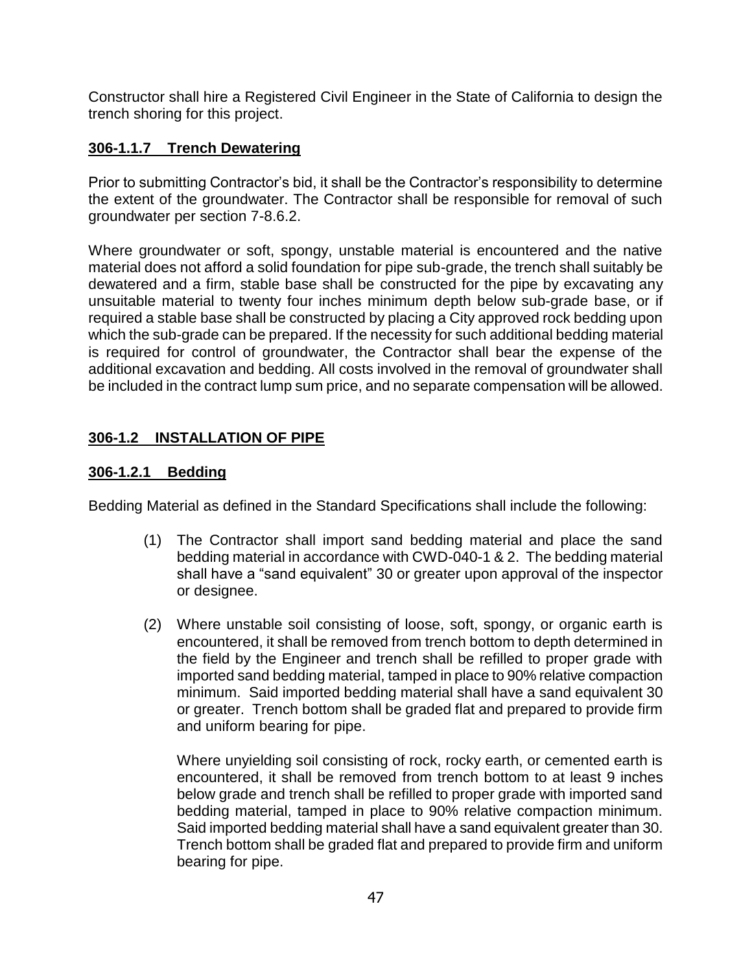Constructor shall hire a Registered Civil Engineer in the State of California to design the trench shoring for this project.

# **306-1.1.7 Trench Dewatering**

Prior to submitting Contractor's bid, it shall be the Contractor's responsibility to determine the extent of the groundwater. The Contractor shall be responsible for removal of such groundwater per section 7-8.6.2.

Where groundwater or soft, spongy, unstable material is encountered and the native material does not afford a solid foundation for pipe sub-grade, the trench shall suitably be dewatered and a firm, stable base shall be constructed for the pipe by excavating any unsuitable material to twenty four inches minimum depth below sub-grade base, or if required a stable base shall be constructed by placing a City approved rock bedding upon which the sub-grade can be prepared. If the necessity for such additional bedding material is required for control of groundwater, the Contractor shall bear the expense of the additional excavation and bedding. All costs involved in the removal of groundwater shall be included in the contract lump sum price, and no separate compensation will be allowed.

# **306-1.2 INSTALLATION OF PIPE**

# **306-1.2.1 Bedding**

Bedding Material as defined in the Standard Specifications shall include the following:

- (1) The Contractor shall import sand bedding material and place the sand bedding material in accordance with CWD-040-1 & 2. The bedding material shall have a "sand equivalent" 30 or greater upon approval of the inspector or designee.
- (2) Where unstable soil consisting of loose, soft, spongy, or organic earth is encountered, it shall be removed from trench bottom to depth determined in the field by the Engineer and trench shall be refilled to proper grade with imported sand bedding material, tamped in place to 90% relative compaction minimum. Said imported bedding material shall have a sand equivalent 30 or greater. Trench bottom shall be graded flat and prepared to provide firm and uniform bearing for pipe.

Where unyielding soil consisting of rock, rocky earth, or cemented earth is encountered, it shall be removed from trench bottom to at least 9 inches below grade and trench shall be refilled to proper grade with imported sand bedding material, tamped in place to 90% relative compaction minimum. Said imported bedding material shall have a sand equivalent greater than 30. Trench bottom shall be graded flat and prepared to provide firm and uniform bearing for pipe.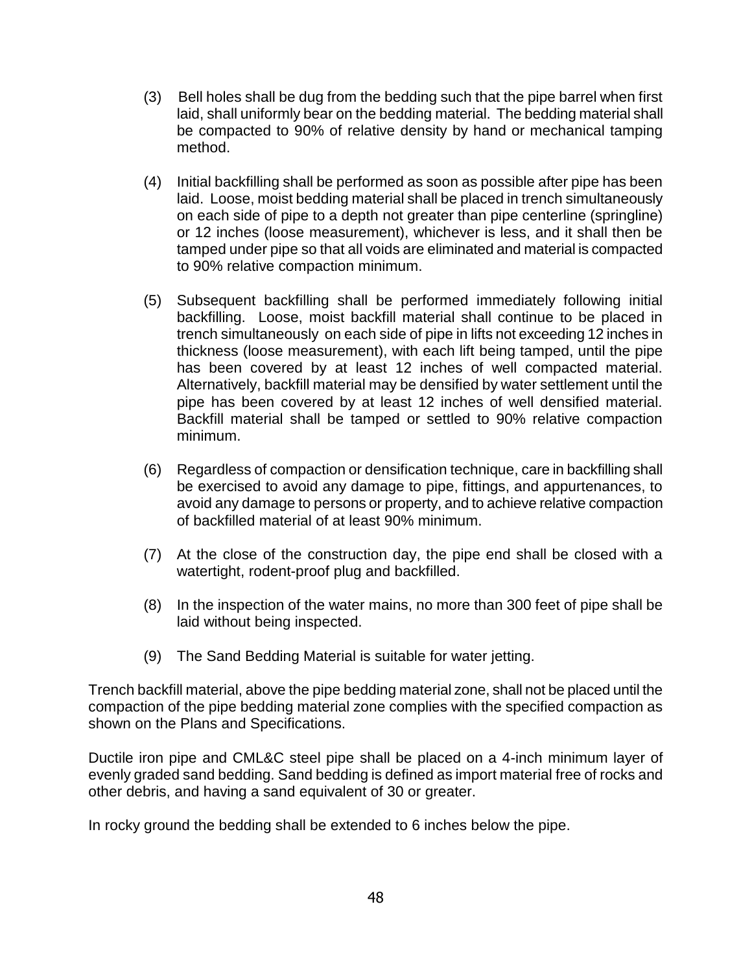- (3) Bell holes shall be dug from the bedding such that the pipe barrel when first laid, shall uniformly bear on the bedding material. The bedding material shall be compacted to 90% of relative density by hand or mechanical tamping method.
- (4) Initial backfilling shall be performed as soon as possible after pipe has been laid. Loose, moist bedding material shall be placed in trench simultaneously on each side of pipe to a depth not greater than pipe centerline (springline) or 12 inches (loose measurement), whichever is less, and it shall then be tamped under pipe so that all voids are eliminated and material is compacted to 90% relative compaction minimum.
- (5) Subsequent backfilling shall be performed immediately following initial backfilling. Loose, moist backfill material shall continue to be placed in trench simultaneously on each side of pipe in lifts not exceeding 12 inches in thickness (loose measurement), with each lift being tamped, until the pipe has been covered by at least 12 inches of well compacted material. Alternatively, backfill material may be densified by water settlement until the pipe has been covered by at least 12 inches of well densified material. Backfill material shall be tamped or settled to 90% relative compaction minimum.
- (6) Regardless of compaction or densification technique, care in backfilling shall be exercised to avoid any damage to pipe, fittings, and appurtenances, to avoid any damage to persons or property, and to achieve relative compaction of backfilled material of at least 90% minimum.
- (7) At the close of the construction day, the pipe end shall be closed with a watertight, rodent-proof plug and backfilled.
- (8) In the inspection of the water mains, no more than 300 feet of pipe shall be laid without being inspected.
- (9) The Sand Bedding Material is suitable for water jetting.

Trench backfill material, above the pipe bedding material zone, shall not be placed until the compaction of the pipe bedding material zone complies with the specified compaction as shown on the Plans and Specifications.

Ductile iron pipe and CML&C steel pipe shall be placed on a 4-inch minimum layer of evenly graded sand bedding. Sand bedding is defined as import material free of rocks and other debris, and having a sand equivalent of 30 or greater.

In rocky ground the bedding shall be extended to 6 inches below the pipe.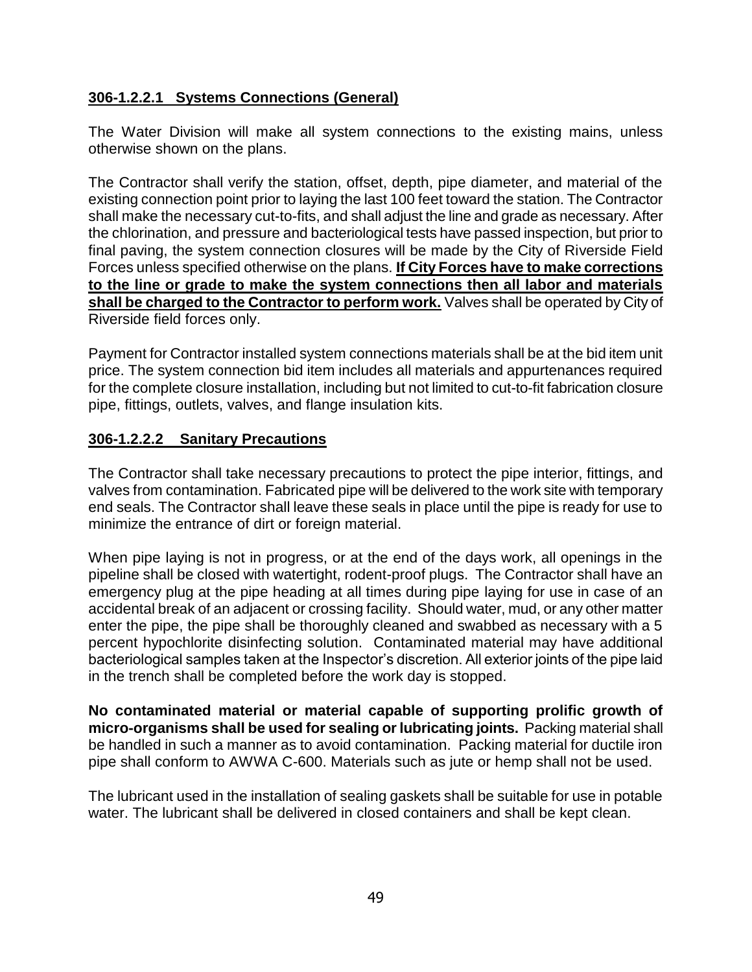# **306-1.2.2.1 Systems Connections (General)**

The Water Division will make all system connections to the existing mains, unless otherwise shown on the plans.

The Contractor shall verify the station, offset, depth, pipe diameter, and material of the existing connection point prior to laying the last 100 feet toward the station. The Contractor shall make the necessary cut-to-fits, and shall adjust the line and grade as necessary. After the chlorination, and pressure and bacteriological tests have passed inspection, but prior to final paving, the system connection closures will be made by the City of Riverside Field Forces unless specified otherwise on the plans. **If City Forces have to make corrections to the line or grade to make the system connections then all labor and materials shall be charged to the Contractor to perform work.** Valves shall be operated by City of Riverside field forces only.

Payment for Contractor installed system connections materials shall be at the bid item unit price. The system connection bid item includes all materials and appurtenances required for the complete closure installation, including but not limited to cut-to-fit fabrication closure pipe, fittings, outlets, valves, and flange insulation kits.

# **306-1.2.2.2 Sanitary Precautions**

The Contractor shall take necessary precautions to protect the pipe interior, fittings, and valves from contamination. Fabricated pipe will be delivered to the work site with temporary end seals. The Contractor shall leave these seals in place until the pipe is ready for use to minimize the entrance of dirt or foreign material.

When pipe laying is not in progress, or at the end of the days work, all openings in the pipeline shall be closed with watertight, rodent-proof plugs. The Contractor shall have an emergency plug at the pipe heading at all times during pipe laying for use in case of an accidental break of an adjacent or crossing facility. Should water, mud, or any other matter enter the pipe, the pipe shall be thoroughly cleaned and swabbed as necessary with a 5 percent hypochlorite disinfecting solution. Contaminated material may have additional bacteriological samples taken at the Inspector's discretion. All exterior joints of the pipe laid in the trench shall be completed before the work day is stopped.

**No contaminated material or material capable of supporting prolific growth of micro-organisms shall be used for sealing or lubricating joints.** Packing material shall be handled in such a manner as to avoid contamination. Packing material for ductile iron pipe shall conform to AWWA C-600. Materials such as jute or hemp shall not be used.

The lubricant used in the installation of sealing gaskets shall be suitable for use in potable water. The lubricant shall be delivered in closed containers and shall be kept clean.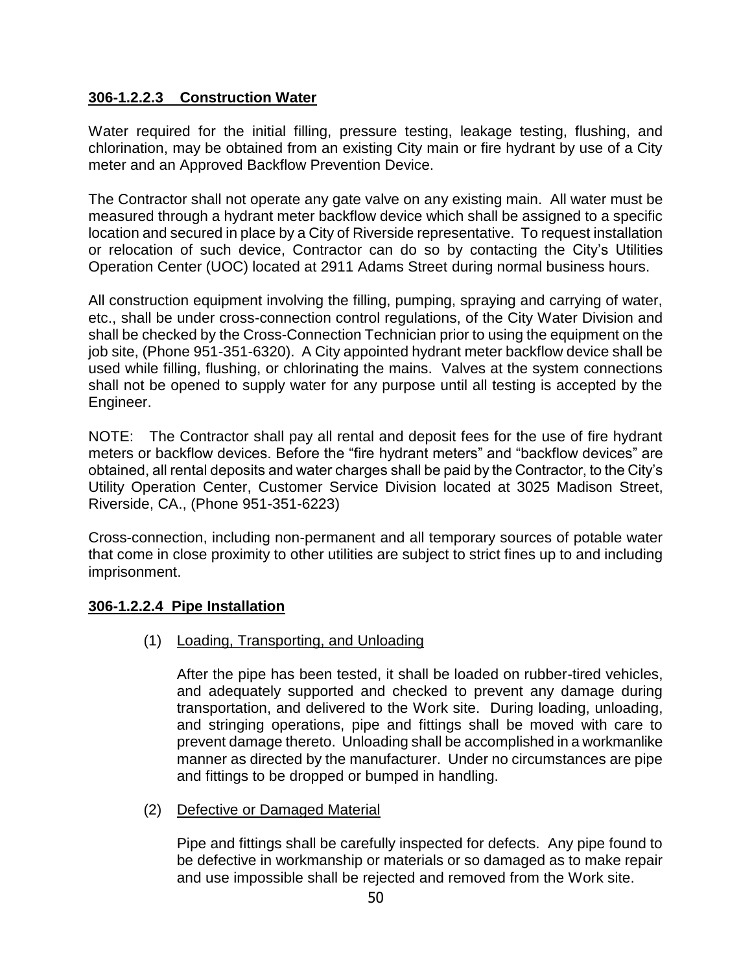### **306-1.2.2.3 Construction Water**

Water required for the initial filling, pressure testing, leakage testing, flushing, and chlorination, may be obtained from an existing City main or fire hydrant by use of a City meter and an Approved Backflow Prevention Device.

The Contractor shall not operate any gate valve on any existing main. All water must be measured through a hydrant meter backflow device which shall be assigned to a specific location and secured in place by a City of Riverside representative. To request installation or relocation of such device, Contractor can do so by contacting the City's Utilities Operation Center (UOC) located at 2911 Adams Street during normal business hours.

All construction equipment involving the filling, pumping, spraying and carrying of water, etc., shall be under cross-connection control regulations, of the City Water Division and shall be checked by the Cross-Connection Technician prior to using the equipment on the job site, (Phone 951-351-6320). A City appointed hydrant meter backflow device shall be used while filling, flushing, or chlorinating the mains. Valves at the system connections shall not be opened to supply water for any purpose until all testing is accepted by the Engineer.

NOTE: The Contractor shall pay all rental and deposit fees for the use of fire hydrant meters or backflow devices. Before the "fire hydrant meters" and "backflow devices" are obtained, all rental deposits and water charges shall be paid by the Contractor, to the City's Utility Operation Center, Customer Service Division located at 3025 Madison Street, Riverside, CA., (Phone 951-351-6223)

Cross-connection, including non-permanent and all temporary sources of potable water that come in close proximity to other utilities are subject to strict fines up to and including imprisonment.

# **306-1.2.2.4 Pipe Installation**

(1) Loading, Transporting, and Unloading

After the pipe has been tested, it shall be loaded on rubber-tired vehicles, and adequately supported and checked to prevent any damage during transportation, and delivered to the Work site. During loading, unloading, and stringing operations, pipe and fittings shall be moved with care to prevent damage thereto. Unloading shall be accomplished in a workmanlike manner as directed by the manufacturer. Under no circumstances are pipe and fittings to be dropped or bumped in handling.

(2) Defective or Damaged Material

Pipe and fittings shall be carefully inspected for defects. Any pipe found to be defective in workmanship or materials or so damaged as to make repair and use impossible shall be rejected and removed from the Work site.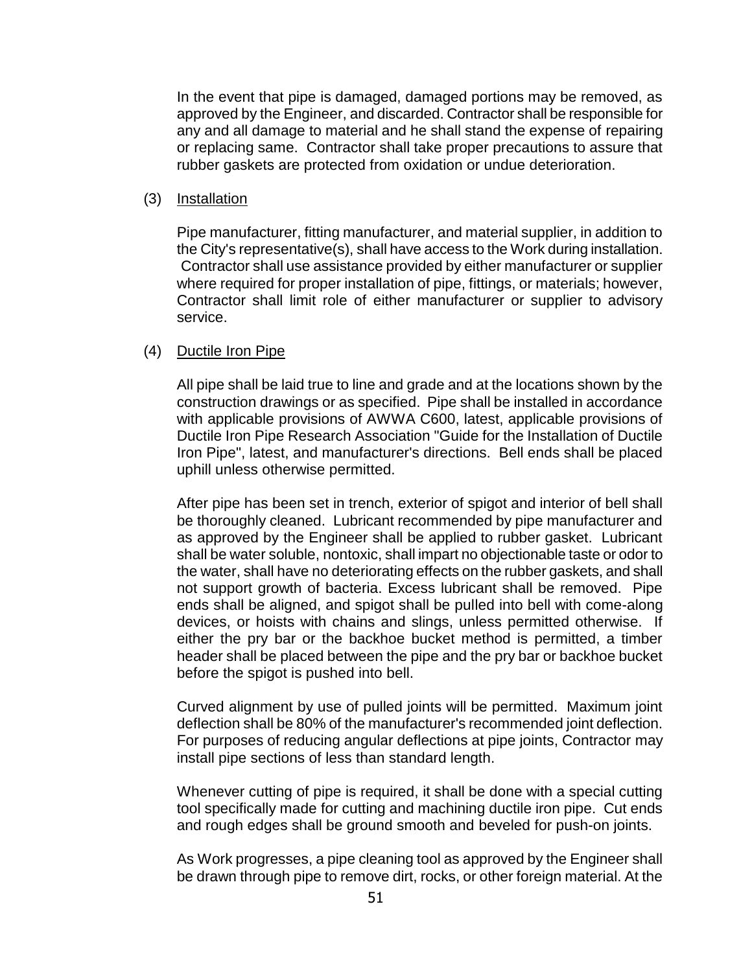In the event that pipe is damaged, damaged portions may be removed, as approved by the Engineer, and discarded. Contractor shall be responsible for any and all damage to material and he shall stand the expense of repairing or replacing same. Contractor shall take proper precautions to assure that rubber gaskets are protected from oxidation or undue deterioration.

#### (3) Installation

Pipe manufacturer, fitting manufacturer, and material supplier, in addition to the City's representative(s), shall have access to the Work during installation. Contractor shall use assistance provided by either manufacturer or supplier where required for proper installation of pipe, fittings, or materials; however, Contractor shall limit role of either manufacturer or supplier to advisory service.

#### (4) Ductile Iron Pipe

All pipe shall be laid true to line and grade and at the locations shown by the construction drawings or as specified. Pipe shall be installed in accordance with applicable provisions of AWWA C600, latest, applicable provisions of Ductile Iron Pipe Research Association "Guide for the Installation of Ductile Iron Pipe", latest, and manufacturer's directions. Bell ends shall be placed uphill unless otherwise permitted.

After pipe has been set in trench, exterior of spigot and interior of bell shall be thoroughly cleaned. Lubricant recommended by pipe manufacturer and as approved by the Engineer shall be applied to rubber gasket. Lubricant shall be water soluble, nontoxic, shall impart no objectionable taste or odor to the water, shall have no deteriorating effects on the rubber gaskets, and shall not support growth of bacteria. Excess lubricant shall be removed. Pipe ends shall be aligned, and spigot shall be pulled into bell with come-along devices, or hoists with chains and slings, unless permitted otherwise. If either the pry bar or the backhoe bucket method is permitted, a timber header shall be placed between the pipe and the pry bar or backhoe bucket before the spigot is pushed into bell.

Curved alignment by use of pulled joints will be permitted. Maximum joint deflection shall be 80% of the manufacturer's recommended joint deflection. For purposes of reducing angular deflections at pipe joints, Contractor may install pipe sections of less than standard length.

Whenever cutting of pipe is required, it shall be done with a special cutting tool specifically made for cutting and machining ductile iron pipe. Cut ends and rough edges shall be ground smooth and beveled for push-on joints.

As Work progresses, a pipe cleaning tool as approved by the Engineer shall be drawn through pipe to remove dirt, rocks, or other foreign material. At the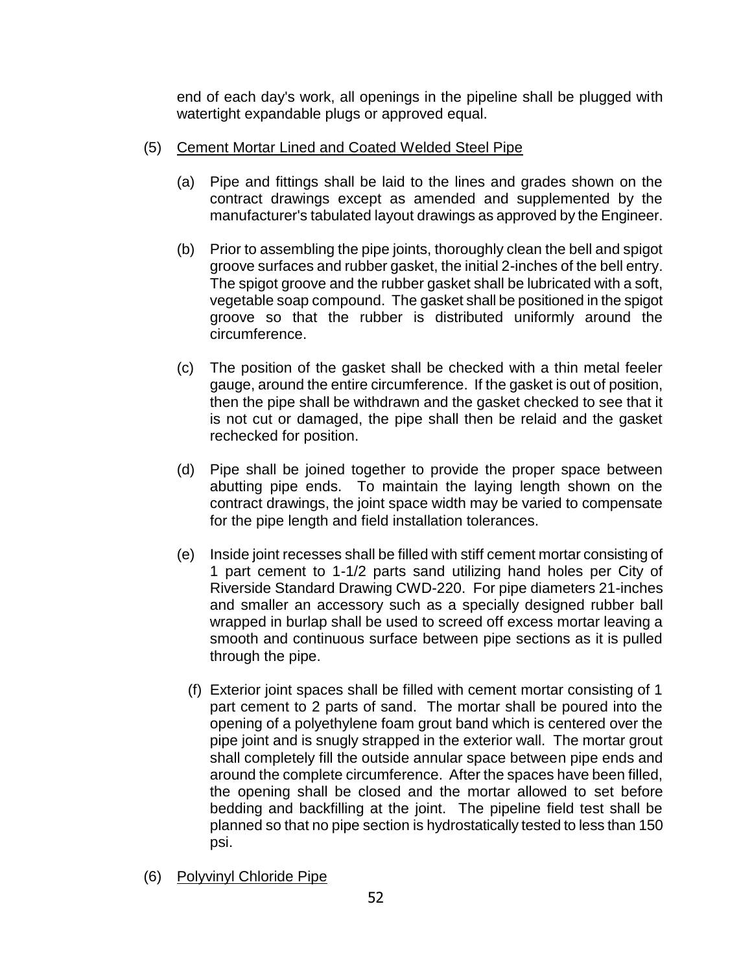end of each day's work, all openings in the pipeline shall be plugged with watertight expandable plugs or approved equal.

- (5) Cement Mortar Lined and Coated Welded Steel Pipe
	- (a) Pipe and fittings shall be laid to the lines and grades shown on the contract drawings except as amended and supplemented by the manufacturer's tabulated layout drawings as approved by the Engineer.
	- (b) Prior to assembling the pipe joints, thoroughly clean the bell and spigot groove surfaces and rubber gasket, the initial 2-inches of the bell entry. The spigot groove and the rubber gasket shall be lubricated with a soft, vegetable soap compound. The gasket shall be positioned in the spigot groove so that the rubber is distributed uniformly around the circumference.
	- (c) The position of the gasket shall be checked with a thin metal feeler gauge, around the entire circumference. If the gasket is out of position, then the pipe shall be withdrawn and the gasket checked to see that it is not cut or damaged, the pipe shall then be relaid and the gasket rechecked for position.
	- (d) Pipe shall be joined together to provide the proper space between abutting pipe ends. To maintain the laying length shown on the contract drawings, the joint space width may be varied to compensate for the pipe length and field installation tolerances.
	- (e) Inside joint recesses shall be filled with stiff cement mortar consisting of 1 part cement to 1-1/2 parts sand utilizing hand holes per City of Riverside Standard Drawing CWD-220. For pipe diameters 21-inches and smaller an accessory such as a specially designed rubber ball wrapped in burlap shall be used to screed off excess mortar leaving a smooth and continuous surface between pipe sections as it is pulled through the pipe.
		- (f) Exterior joint spaces shall be filled with cement mortar consisting of 1 part cement to 2 parts of sand. The mortar shall be poured into the opening of a polyethylene foam grout band which is centered over the pipe joint and is snugly strapped in the exterior wall. The mortar grout shall completely fill the outside annular space between pipe ends and around the complete circumference. After the spaces have been filled, the opening shall be closed and the mortar allowed to set before bedding and backfilling at the joint. The pipeline field test shall be planned so that no pipe section is hydrostatically tested to less than 150 psi.
- (6) Polyvinyl Chloride Pipe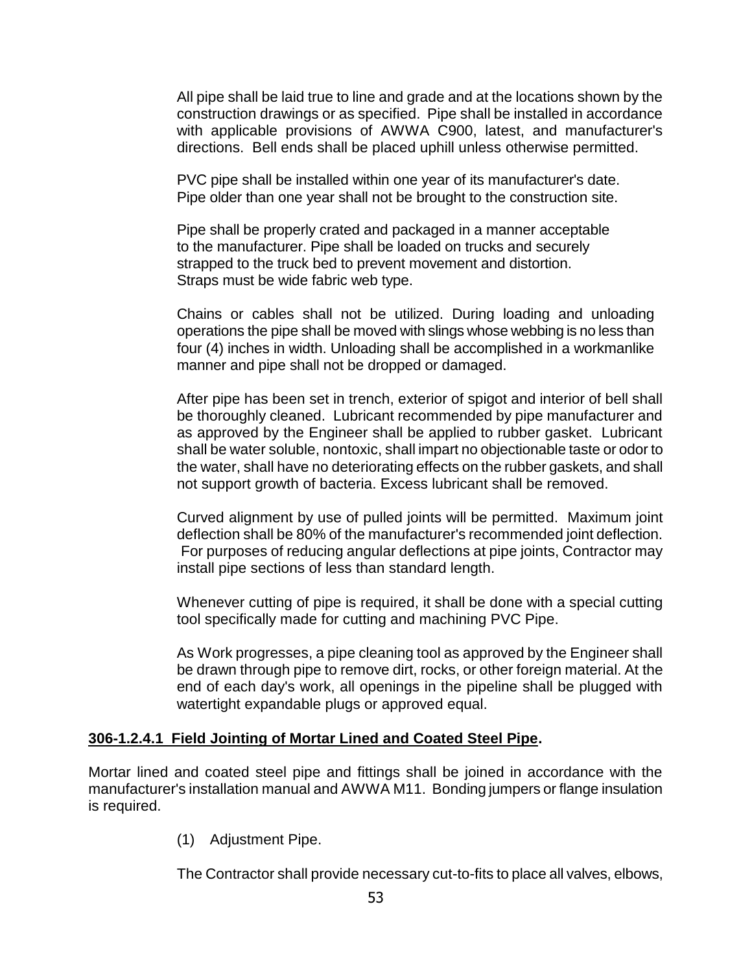All pipe shall be laid true to line and grade and at the locations shown by the construction drawings or as specified. Pipe shall be installed in accordance with applicable provisions of AWWA C900, latest, and manufacturer's directions. Bell ends shall be placed uphill unless otherwise permitted.

PVC pipe shall be installed within one year of its manufacturer's date. Pipe older than one year shall not be brought to the construction site.

Pipe shall be properly crated and packaged in a manner acceptable to the manufacturer. Pipe shall be loaded on trucks and securely strapped to the truck bed to prevent movement and distortion. Straps must be wide fabric web type.

Chains or cables shall not be utilized. During loading and unloading operations the pipe shall be moved with slings whose webbing is no less than four (4) inches in width. Unloading shall be accomplished in a workmanlike manner and pipe shall not be dropped or damaged.

After pipe has been set in trench, exterior of spigot and interior of bell shall be thoroughly cleaned. Lubricant recommended by pipe manufacturer and as approved by the Engineer shall be applied to rubber gasket. Lubricant shall be water soluble, nontoxic, shall impart no objectionable taste or odor to the water, shall have no deteriorating effects on the rubber gaskets, and shall not support growth of bacteria. Excess lubricant shall be removed.

Curved alignment by use of pulled joints will be permitted. Maximum joint deflection shall be 80% of the manufacturer's recommended joint deflection. For purposes of reducing angular deflections at pipe joints, Contractor may install pipe sections of less than standard length.

Whenever cutting of pipe is required, it shall be done with a special cutting tool specifically made for cutting and machining PVC Pipe.

As Work progresses, a pipe cleaning tool as approved by the Engineer shall be drawn through pipe to remove dirt, rocks, or other foreign material. At the end of each day's work, all openings in the pipeline shall be plugged with watertight expandable plugs or approved equal.

### **306-1.2.4.1 Field Jointing of Mortar Lined and Coated Steel Pipe.**

Mortar lined and coated steel pipe and fittings shall be joined in accordance with the manufacturer's installation manual and AWWA M11. Bonding jumpers or flange insulation is required.

(1) Adjustment Pipe.

The Contractor shall provide necessary cut-to-fits to place all valves, elbows,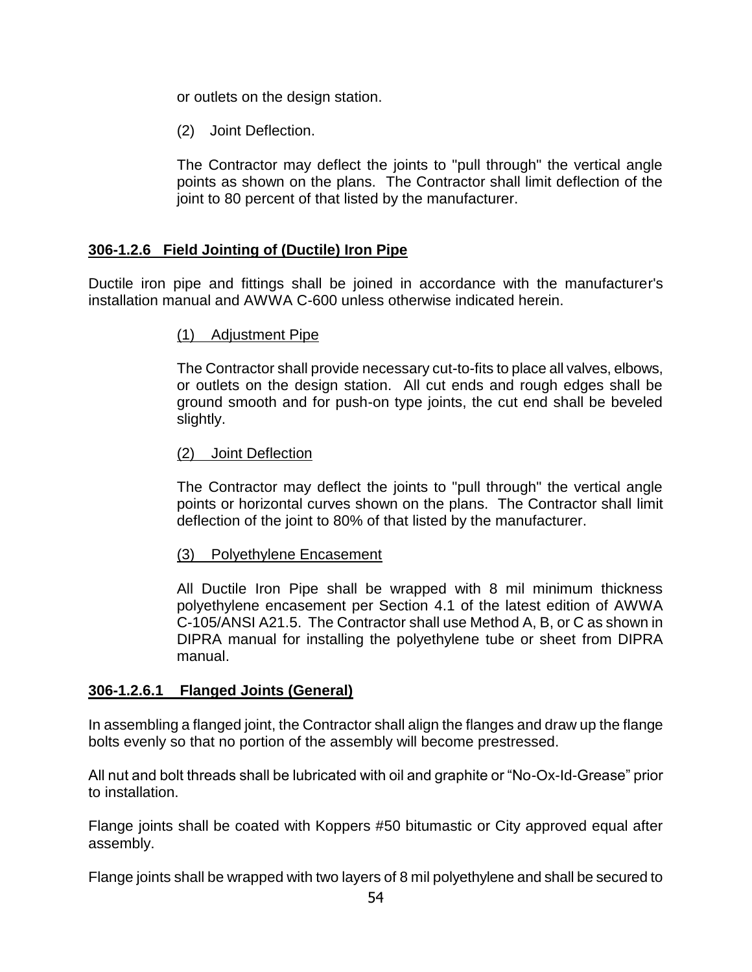or outlets on the design station.

(2) Joint Deflection.

The Contractor may deflect the joints to "pull through" the vertical angle points as shown on the plans. The Contractor shall limit deflection of the joint to 80 percent of that listed by the manufacturer.

### **306-1.2.6 Field Jointing of (Ductile) Iron Pipe**

Ductile iron pipe and fittings shall be joined in accordance with the manufacturer's installation manual and AWWA C-600 unless otherwise indicated herein.

### (1) Adjustment Pipe

The Contractor shall provide necessary cut-to-fits to place all valves, elbows, or outlets on the design station. All cut ends and rough edges shall be ground smooth and for push-on type joints, the cut end shall be beveled slightly.

### (2) Joint Deflection

The Contractor may deflect the joints to "pull through" the vertical angle points or horizontal curves shown on the plans. The Contractor shall limit deflection of the joint to 80% of that listed by the manufacturer.

#### (3) Polyethylene Encasement

All Ductile Iron Pipe shall be wrapped with 8 mil minimum thickness polyethylene encasement per Section 4.1 of the latest edition of AWWA C-105/ANSI A21.5. The Contractor shall use Method A, B, or C as shown in DIPRA manual for installing the polyethylene tube or sheet from DIPRA manual.

### **306-1.2.6.1 Flanged Joints (General)**

In assembling a flanged joint, the Contractor shall align the flanges and draw up the flange bolts evenly so that no portion of the assembly will become prestressed.

All nut and bolt threads shall be lubricated with oil and graphite or "No-Ox-Id-Grease" prior to installation.

Flange joints shall be coated with Koppers #50 bitumastic or City approved equal after assembly.

Flange joints shall be wrapped with two layers of 8 mil polyethylene and shall be secured to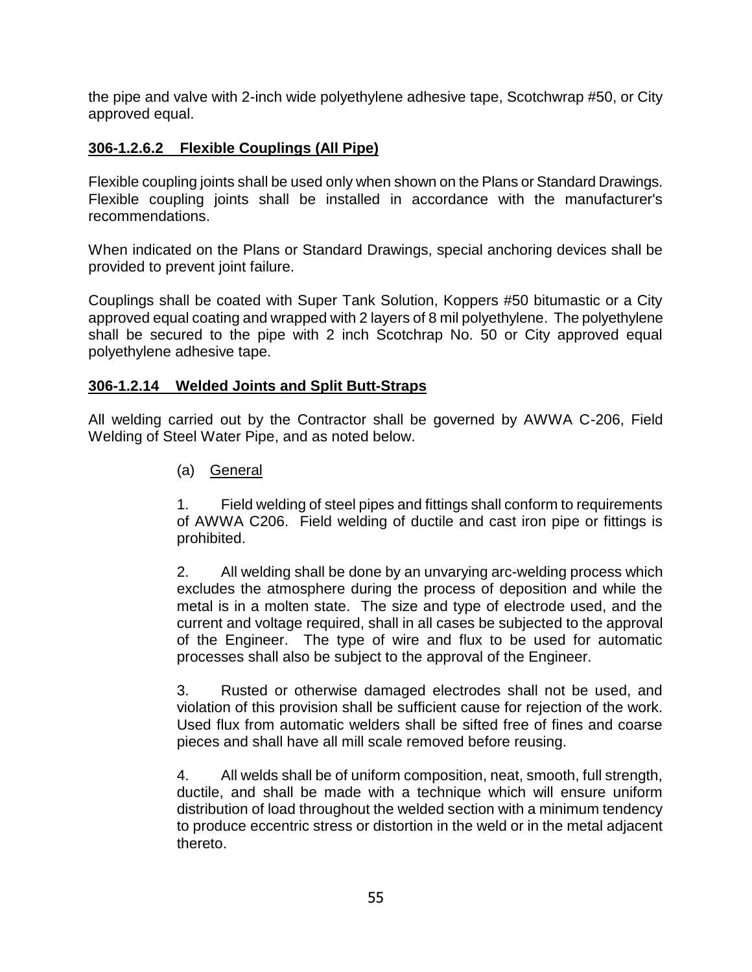the pipe and valve with 2-inch wide polyethylene adhesive tape, Scotchwrap #50, or City approved equal.

### **306-1.2.6.2 Flexible Couplings (All Pipe)**

Flexible coupling joints shall be used only when shown on the Plans or Standard Drawings. Flexible coupling joints shall be installed in accordance with the manufacturer's recommendations.

When indicated on the Plans or Standard Drawings, special anchoring devices shall be provided to prevent joint failure.

Couplings shall be coated with Super Tank Solution, Koppers #50 bitumastic or a City approved equal coating and wrapped with 2 layers of 8 mil polyethylene. The polyethylene shall be secured to the pipe with 2 inch Scotchrap No. 50 or City approved equal polyethylene adhesive tape.

### **306-1.2.14 Welded Joints and Split Butt-Straps**

All welding carried out by the Contractor shall be governed by AWWA C-206, Field Welding of Steel Water Pipe, and as noted below.

(a) General

1. Field welding of steel pipes and fittings shall conform to requirements of AWWA C206. Field welding of ductile and cast iron pipe or fittings is prohibited.

2. All welding shall be done by an unvarying arc-welding process which excludes the atmosphere during the process of deposition and while the metal is in a molten state. The size and type of electrode used, and the current and voltage required, shall in all cases be subjected to the approval of the Engineer. The type of wire and flux to be used for automatic processes shall also be subject to the approval of the Engineer.

3. Rusted or otherwise damaged electrodes shall not be used, and violation of this provision shall be sufficient cause for rejection of the work. Used flux from automatic welders shall be sifted free of fines and coarse pieces and shall have all mill scale removed before reusing.

4. All welds shall be of uniform composition, neat, smooth, full strength, ductile, and shall be made with a technique which will ensure uniform distribution of load throughout the welded section with a minimum tendency to produce eccentric stress or distortion in the weld or in the metal adjacent thereto.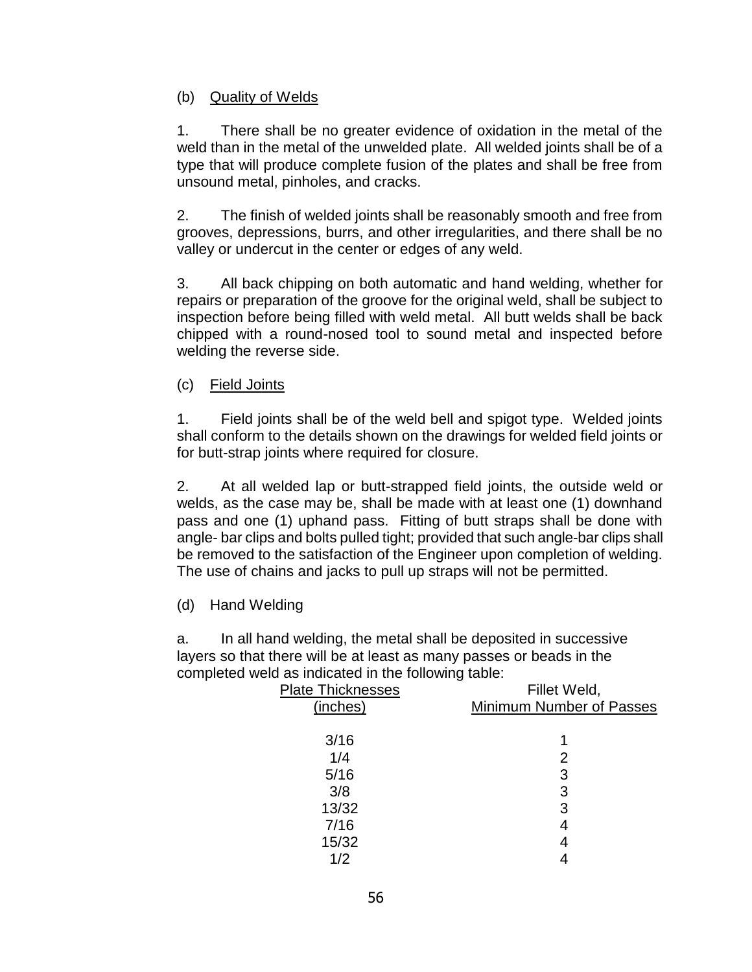### (b) Quality of Welds

1. There shall be no greater evidence of oxidation in the metal of the weld than in the metal of the unwelded plate. All welded joints shall be of a type that will produce complete fusion of the plates and shall be free from unsound metal, pinholes, and cracks.

2. The finish of welded joints shall be reasonably smooth and free from grooves, depressions, burrs, and other irregularities, and there shall be no valley or undercut in the center or edges of any weld.

3. All back chipping on both automatic and hand welding, whether for repairs or preparation of the groove for the original weld, shall be subject to inspection before being filled with weld metal. All butt welds shall be back chipped with a round-nosed tool to sound metal and inspected before welding the reverse side.

(c) Field Joints

1. Field joints shall be of the weld bell and spigot type. Welded joints shall conform to the details shown on the drawings for welded field joints or for butt-strap joints where required for closure.

2. At all welded lap or butt-strapped field joints, the outside weld or welds, as the case may be, shall be made with at least one (1) downhand pass and one (1) uphand pass. Fitting of butt straps shall be done with angle- bar clips and bolts pulled tight; provided that such angle-bar clips shall be removed to the satisfaction of the Engineer upon completion of welding. The use of chains and jacks to pull up straps will not be permitted.

(d) Hand Welding

a. In all hand welding, the metal shall be deposited in successive layers so that there will be at least as many passes or beads in the completed weld as indicated in the following table:

| <b>Plate Thicknesses</b> | Fillet Weld,             |
|--------------------------|--------------------------|
| (inches)                 | Minimum Number of Passes |
|                          |                          |
| 3/16                     |                          |
| 1/4                      | 2                        |
| 5/16                     | 3                        |
| 3/8                      | 3                        |
| 13/32                    | 3                        |
| 7/16                     | 4                        |
| 15/32                    | 4                        |
| 1/2                      |                          |
|                          |                          |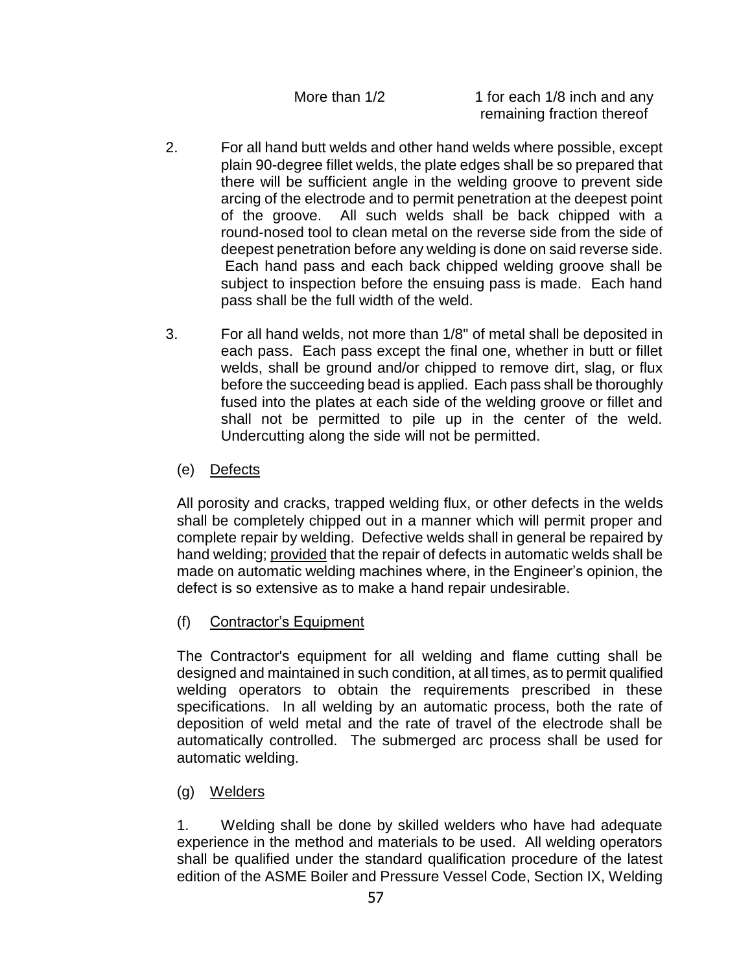More than  $1/2$  1 for each  $1/8$  inch and any remaining fraction thereof

- 2. For all hand butt welds and other hand welds where possible, except plain 90-degree fillet welds, the plate edges shall be so prepared that there will be sufficient angle in the welding groove to prevent side arcing of the electrode and to permit penetration at the deepest point of the groove. All such welds shall be back chipped with a round-nosed tool to clean metal on the reverse side from the side of deepest penetration before any welding is done on said reverse side. Each hand pass and each back chipped welding groove shall be subject to inspection before the ensuing pass is made. Each hand pass shall be the full width of the weld.
- 3. For all hand welds, not more than 1/8" of metal shall be deposited in each pass. Each pass except the final one, whether in butt or fillet welds, shall be ground and/or chipped to remove dirt, slag, or flux before the succeeding bead is applied. Each pass shall be thoroughly fused into the plates at each side of the welding groove or fillet and shall not be permitted to pile up in the center of the weld. Undercutting along the side will not be permitted.
	- (e) Defects

All porosity and cracks, trapped welding flux, or other defects in the welds shall be completely chipped out in a manner which will permit proper and complete repair by welding. Defective welds shall in general be repaired by hand welding; provided that the repair of defects in automatic welds shall be made on automatic welding machines where, in the Engineer's opinion, the defect is so extensive as to make a hand repair undesirable.

(f) Contractor's Equipment

The Contractor's equipment for all welding and flame cutting shall be designed and maintained in such condition, at all times, as to permit qualified welding operators to obtain the requirements prescribed in these specifications. In all welding by an automatic process, both the rate of deposition of weld metal and the rate of travel of the electrode shall be automatically controlled. The submerged arc process shall be used for automatic welding.

(g) Welders

1. Welding shall be done by skilled welders who have had adequate experience in the method and materials to be used. All welding operators shall be qualified under the standard qualification procedure of the latest edition of the ASME Boiler and Pressure Vessel Code, Section IX, Welding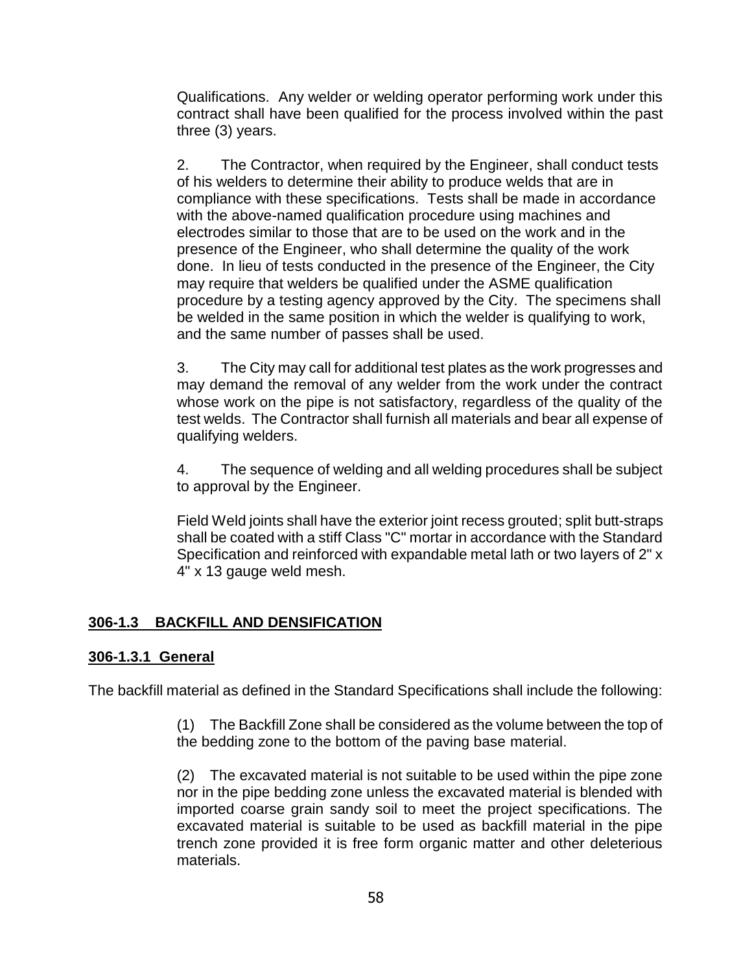Qualifications. Any welder or welding operator performing work under this contract shall have been qualified for the process involved within the past three (3) years.

2. The Contractor, when required by the Engineer, shall conduct tests of his welders to determine their ability to produce welds that are in compliance with these specifications. Tests shall be made in accordance with the above-named qualification procedure using machines and electrodes similar to those that are to be used on the work and in the presence of the Engineer, who shall determine the quality of the work done. In lieu of tests conducted in the presence of the Engineer, the City may require that welders be qualified under the ASME qualification procedure by a testing agency approved by the City. The specimens shall be welded in the same position in which the welder is qualifying to work, and the same number of passes shall be used.

3. The City may call for additional test plates as the work progresses and may demand the removal of any welder from the work under the contract whose work on the pipe is not satisfactory, regardless of the quality of the test welds. The Contractor shall furnish all materials and bear all expense of qualifying welders.

4. The sequence of welding and all welding procedures shall be subject to approval by the Engineer.

Field Weld joints shall have the exterior joint recess grouted; split butt-straps shall be coated with a stiff Class "C" mortar in accordance with the Standard Specification and reinforced with expandable metal lath or two layers of 2" x 4" x 13 gauge weld mesh.

# **306-1.3 BACKFILL AND DENSIFICATION**

### **306-1.3.1 General**

The backfill material as defined in the Standard Specifications shall include the following:

(1) The Backfill Zone shall be considered as the volume between the top of the bedding zone to the bottom of the paving base material.

(2) The excavated material is not suitable to be used within the pipe zone nor in the pipe bedding zone unless the excavated material is blended with imported coarse grain sandy soil to meet the project specifications. The excavated material is suitable to be used as backfill material in the pipe trench zone provided it is free form organic matter and other deleterious materials.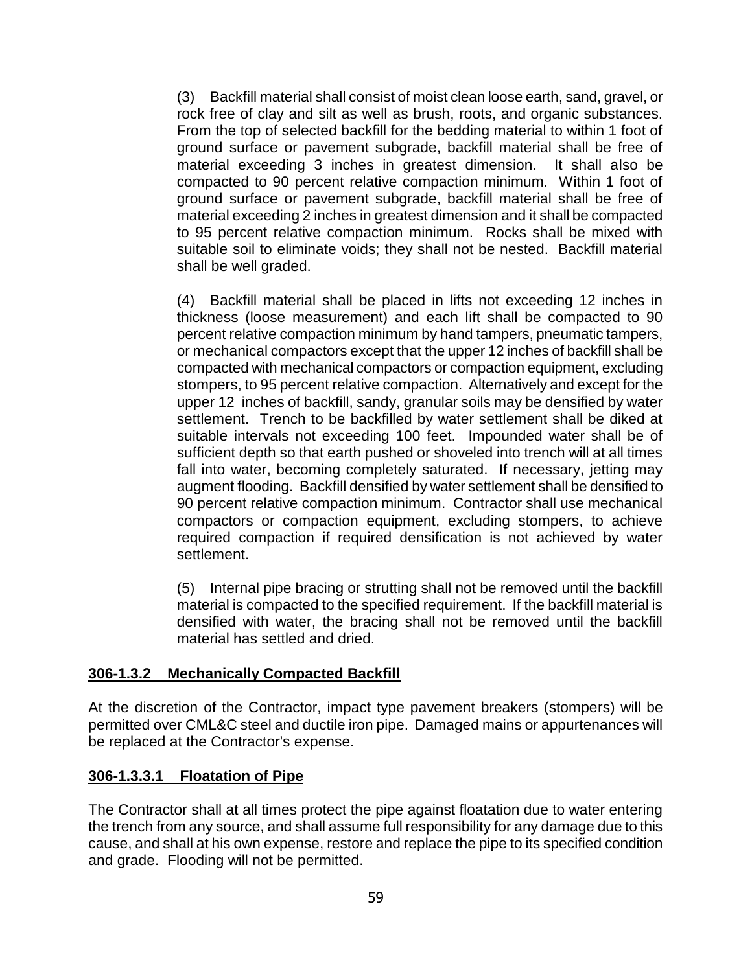(3) Backfill material shall consist of moist clean loose earth, sand, gravel, or rock free of clay and silt as well as brush, roots, and organic substances. From the top of selected backfill for the bedding material to within 1 foot of ground surface or pavement subgrade, backfill material shall be free of material exceeding 3 inches in greatest dimension. It shall also be compacted to 90 percent relative compaction minimum. Within 1 foot of ground surface or pavement subgrade, backfill material shall be free of material exceeding 2 inches in greatest dimension and it shall be compacted to 95 percent relative compaction minimum. Rocks shall be mixed with suitable soil to eliminate voids; they shall not be nested. Backfill material shall be well graded.

(4) Backfill material shall be placed in lifts not exceeding 12 inches in thickness (loose measurement) and each lift shall be compacted to 90 percent relative compaction minimum by hand tampers, pneumatic tampers, or mechanical compactors except that the upper 12 inches of backfill shall be compacted with mechanical compactors or compaction equipment, excluding stompers, to 95 percent relative compaction. Alternatively and except for the upper 12 inches of backfill, sandy, granular soils may be densified by water settlement. Trench to be backfilled by water settlement shall be diked at suitable intervals not exceeding 100 feet. Impounded water shall be of sufficient depth so that earth pushed or shoveled into trench will at all times fall into water, becoming completely saturated. If necessary, jetting may augment flooding. Backfill densified by water settlement shall be densified to 90 percent relative compaction minimum. Contractor shall use mechanical compactors or compaction equipment, excluding stompers, to achieve required compaction if required densification is not achieved by water settlement.

(5) Internal pipe bracing or strutting shall not be removed until the backfill material is compacted to the specified requirement. If the backfill material is densified with water, the bracing shall not be removed until the backfill material has settled and dried.

### **306-1.3.2 Mechanically Compacted Backfill**

At the discretion of the Contractor, impact type pavement breakers (stompers) will be permitted over CML&C steel and ductile iron pipe. Damaged mains or appurtenances will be replaced at the Contractor's expense.

### **306-1.3.3.1 Floatation of Pipe**

The Contractor shall at all times protect the pipe against floatation due to water entering the trench from any source, and shall assume full responsibility for any damage due to this cause, and shall at his own expense, restore and replace the pipe to its specified condition and grade. Flooding will not be permitted.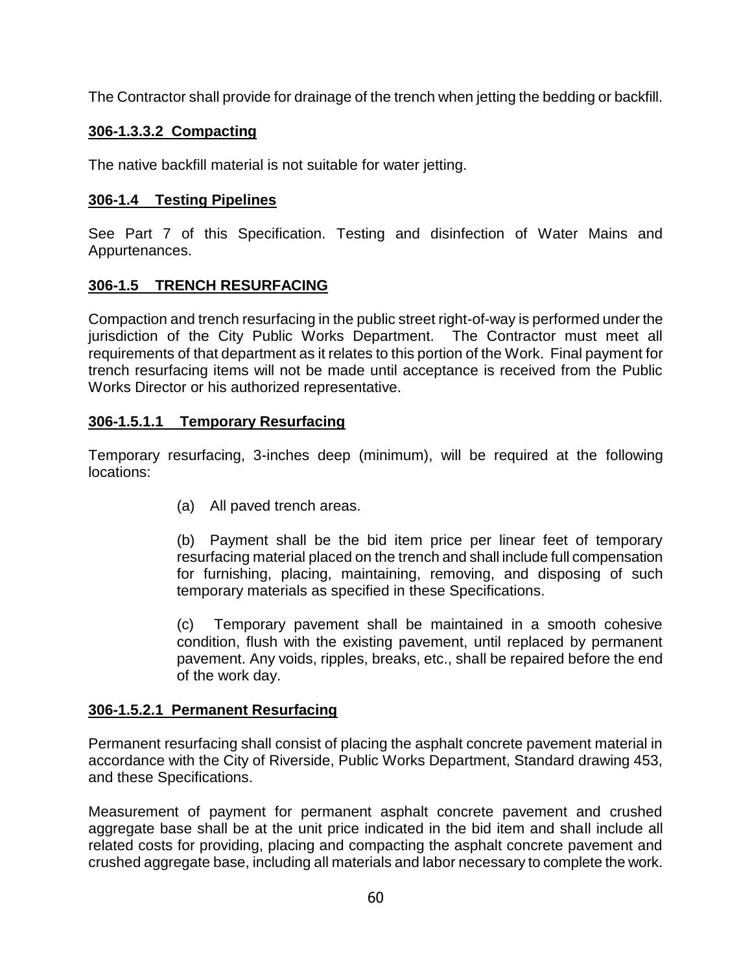The Contractor shall provide for drainage of the trench when jetting the bedding or backfill.

# **306-1.3.3.2 Compacting**

The native backfill material is not suitable for water jetting.

# **306-1.4 Testing Pipelines**

See Part 7 of this Specification. Testing and disinfection of Water Mains and Appurtenances.

# **306-1.5 TRENCH RESURFACING**

Compaction and trench resurfacing in the public street right-of-way is performed under the jurisdiction of the City Public Works Department. The Contractor must meet all requirements of that department as it relates to this portion of the Work. Final payment for trench resurfacing items will not be made until acceptance is received from the Public Works Director or his authorized representative.

# **306-1.5.1.1 Temporary Resurfacing**

Temporary resurfacing, 3-inches deep (minimum), will be required at the following locations:

(a) All paved trench areas.

(b) Payment shall be the bid item price per linear feet of temporary resurfacing material placed on the trench and shall include full compensation for furnishing, placing, maintaining, removing, and disposing of such temporary materials as specified in these Specifications.

(c) Temporary pavement shall be maintained in a smooth cohesive condition, flush with the existing pavement, until replaced by permanent pavement. Any voids, ripples, breaks, etc., shall be repaired before the end of the work day.

### **306-1.5.2.1 Permanent Resurfacing**

Permanent resurfacing shall consist of placing the asphalt concrete pavement material in accordance with the City of Riverside, Public Works Department, Standard drawing 453, and these Specifications.

Measurement of payment for permanent asphalt concrete pavement and crushed aggregate base shall be at the unit price indicated in the bid item and shall include all related costs for providing, placing and compacting the asphalt concrete pavement and crushed aggregate base, including all materials and labor necessary to complete the work.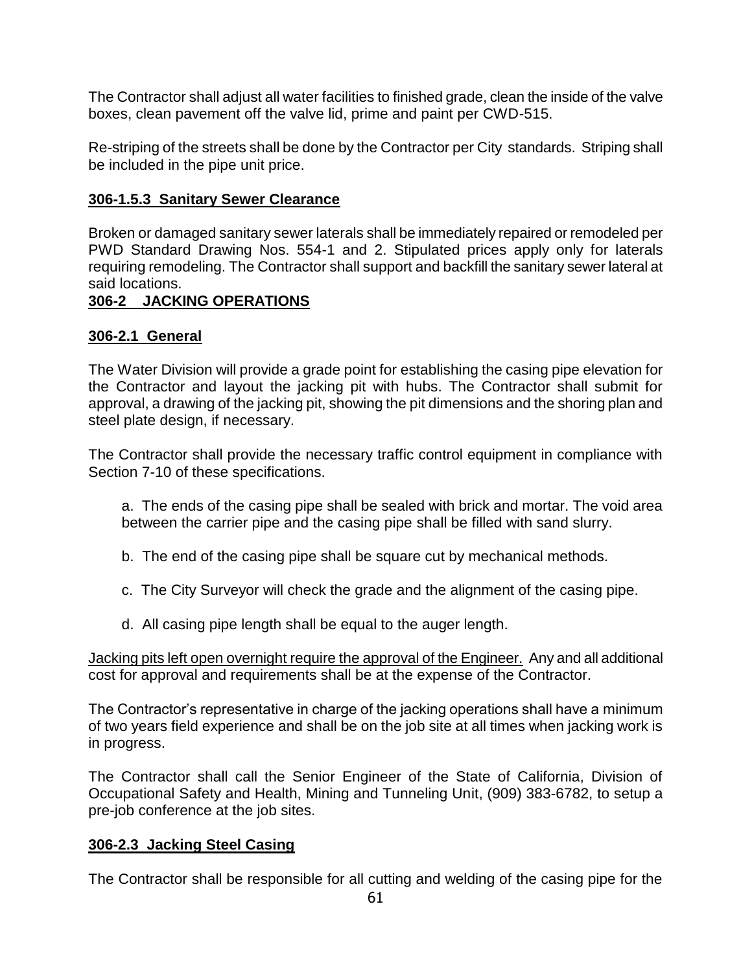The Contractor shall adjust all water facilities to finished grade, clean the inside of the valve boxes, clean pavement off the valve lid, prime and paint per CWD-515.

Re-striping of the streets shall be done by the Contractor per City standards. Striping shall be included in the pipe unit price.

### **306-1.5.3 Sanitary Sewer Clearance**

Broken or damaged sanitary sewer laterals shall be immediately repaired or remodeled per PWD Standard Drawing Nos. 554-1 and 2. Stipulated prices apply only for laterals requiring remodeling. The Contractor shall support and backfill the sanitary sewer lateral at said locations.

### **306-2 JACKING OPERATIONS**

### **306-2.1 General**

The Water Division will provide a grade point for establishing the casing pipe elevation for the Contractor and layout the jacking pit with hubs. The Contractor shall submit for approval, a drawing of the jacking pit, showing the pit dimensions and the shoring plan and steel plate design, if necessary.

The Contractor shall provide the necessary traffic control equipment in compliance with Section 7-10 of these specifications.

a. The ends of the casing pipe shall be sealed with brick and mortar. The void area between the carrier pipe and the casing pipe shall be filled with sand slurry.

- b. The end of the casing pipe shall be square cut by mechanical methods.
- c. The City Surveyor will check the grade and the alignment of the casing pipe.
- d. All casing pipe length shall be equal to the auger length.

Jacking pits left open overnight require the approval of the Engineer. Any and all additional cost for approval and requirements shall be at the expense of the Contractor.

The Contractor's representative in charge of the jacking operations shall have a minimum of two years field experience and shall be on the job site at all times when jacking work is in progress.

The Contractor shall call the Senior Engineer of the State of California, Division of Occupational Safety and Health, Mining and Tunneling Unit, (909) 383-6782, to setup a pre-job conference at the job sites.

### **306-2.3 Jacking Steel Casing**

The Contractor shall be responsible for all cutting and welding of the casing pipe for the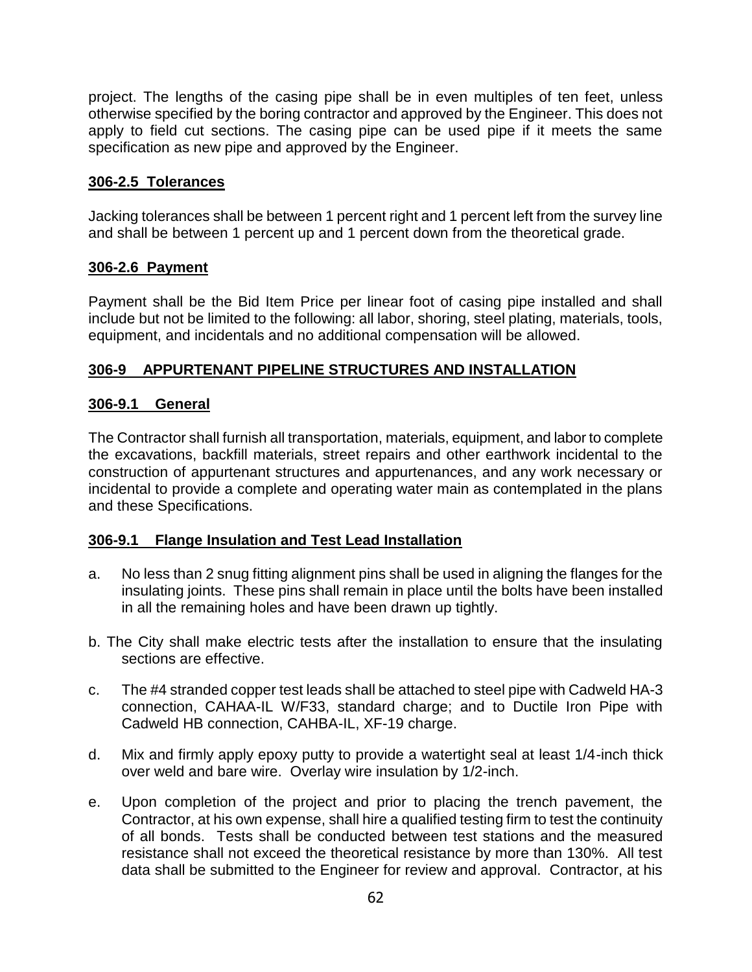project. The lengths of the casing pipe shall be in even multiples of ten feet, unless otherwise specified by the boring contractor and approved by the Engineer. This does not apply to field cut sections. The casing pipe can be used pipe if it meets the same specification as new pipe and approved by the Engineer.

# **306-2.5 Tolerances**

Jacking tolerances shall be between 1 percent right and 1 percent left from the survey line and shall be between 1 percent up and 1 percent down from the theoretical grade.

### **306-2.6 Payment**

Payment shall be the Bid Item Price per linear foot of casing pipe installed and shall include but not be limited to the following: all labor, shoring, steel plating, materials, tools, equipment, and incidentals and no additional compensation will be allowed.

# **306-9 APPURTENANT PIPELINE STRUCTURES AND INSTALLATION**

### **306-9.1 General**

The Contractor shall furnish all transportation, materials, equipment, and labor to complete the excavations, backfill materials, street repairs and other earthwork incidental to the construction of appurtenant structures and appurtenances, and any work necessary or incidental to provide a complete and operating water main as contemplated in the plans and these Specifications.

### **306-9.1 Flange Insulation and Test Lead Installation**

- a. No less than 2 snug fitting alignment pins shall be used in aligning the flanges for the insulating joints. These pins shall remain in place until the bolts have been installed in all the remaining holes and have been drawn up tightly.
- b. The City shall make electric tests after the installation to ensure that the insulating sections are effective.
- c. The #4 stranded copper test leads shall be attached to steel pipe with Cadweld HA-3 connection, CAHAA-IL W/F33, standard charge; and to Ductile Iron Pipe with Cadweld HB connection, CAHBA-IL, XF-19 charge.
- d. Mix and firmly apply epoxy putty to provide a watertight seal at least 1/4-inch thick over weld and bare wire. Overlay wire insulation by 1/2-inch.
- e. Upon completion of the project and prior to placing the trench pavement, the Contractor, at his own expense, shall hire a qualified testing firm to test the continuity of all bonds. Tests shall be conducted between test stations and the measured resistance shall not exceed the theoretical resistance by more than 130%. All test data shall be submitted to the Engineer for review and approval. Contractor, at his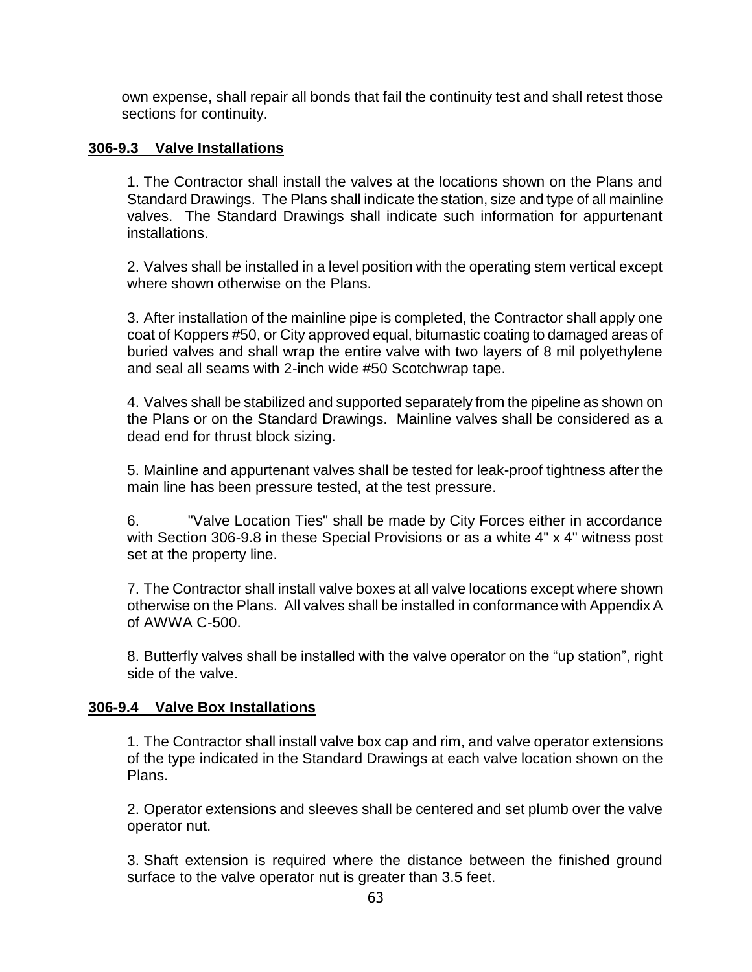own expense, shall repair all bonds that fail the continuity test and shall retest those sections for continuity.

### **306-9.3 Valve Installations**

1. The Contractor shall install the valves at the locations shown on the Plans and Standard Drawings. The Plans shall indicate the station, size and type of all mainline valves. The Standard Drawings shall indicate such information for appurtenant installations.

2. Valves shall be installed in a level position with the operating stem vertical except where shown otherwise on the Plans.

3. After installation of the mainline pipe is completed, the Contractor shall apply one coat of Koppers #50, or City approved equal, bitumastic coating to damaged areas of buried valves and shall wrap the entire valve with two layers of 8 mil polyethylene and seal all seams with 2-inch wide #50 Scotchwrap tape.

4. Valves shall be stabilized and supported separately from the pipeline as shown on the Plans or on the Standard Drawings. Mainline valves shall be considered as a dead end for thrust block sizing.

5. Mainline and appurtenant valves shall be tested for leak-proof tightness after the main line has been pressure tested, at the test pressure.

6. "Valve Location Ties" shall be made by City Forces either in accordance with Section 306-9.8 in these Special Provisions or as a white 4" x 4" witness post set at the property line.

7. The Contractor shall install valve boxes at all valve locations except where shown otherwise on the Plans. All valves shall be installed in conformance with Appendix A of AWWA C-500.

8. Butterfly valves shall be installed with the valve operator on the "up station", right side of the valve.

#### **306-9.4 Valve Box Installations**

1. The Contractor shall install valve box cap and rim, and valve operator extensions of the type indicated in the Standard Drawings at each valve location shown on the Plans.

2. Operator extensions and sleeves shall be centered and set plumb over the valve operator nut.

3. Shaft extension is required where the distance between the finished ground surface to the valve operator nut is greater than 3.5 feet.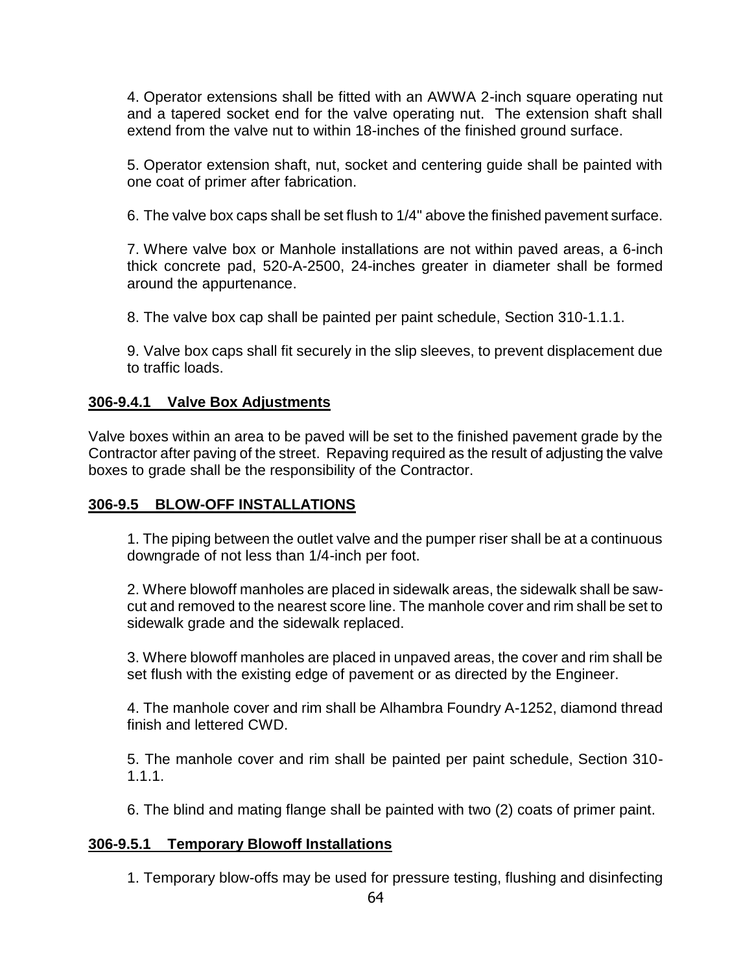4. Operator extensions shall be fitted with an AWWA 2-inch square operating nut and a tapered socket end for the valve operating nut. The extension shaft shall extend from the valve nut to within 18-inches of the finished ground surface.

5. Operator extension shaft, nut, socket and centering guide shall be painted with one coat of primer after fabrication.

6. The valve box caps shall be set flush to 1/4" above the finished pavement surface.

7. Where valve box or Manhole installations are not within paved areas, a 6-inch thick concrete pad, 520-A-2500, 24-inches greater in diameter shall be formed around the appurtenance.

8. The valve box cap shall be painted per paint schedule, Section 310-1.1.1.

9. Valve box caps shall fit securely in the slip sleeves, to prevent displacement due to traffic loads.

# **306-9.4.1 Valve Box Adjustments**

Valve boxes within an area to be paved will be set to the finished pavement grade by the Contractor after paving of the street. Repaving required as the result of adjusting the valve boxes to grade shall be the responsibility of the Contractor.

# **306-9.5 BLOW-OFF INSTALLATIONS**

1. The piping between the outlet valve and the pumper riser shall be at a continuous downgrade of not less than 1/4-inch per foot.

2. Where blowoff manholes are placed in sidewalk areas, the sidewalk shall be sawcut and removed to the nearest score line. The manhole cover and rim shall be set to sidewalk grade and the sidewalk replaced.

3. Where blowoff manholes are placed in unpaved areas, the cover and rim shall be set flush with the existing edge of pavement or as directed by the Engineer.

4. The manhole cover and rim shall be Alhambra Foundry A-1252, diamond thread finish and lettered CWD.

5. The manhole cover and rim shall be painted per paint schedule, Section 310- 1.1.1.

6. The blind and mating flange shall be painted with two (2) coats of primer paint.

# **306-9.5.1 Temporary Blowoff Installations**

1. Temporary blow-offs may be used for pressure testing, flushing and disinfecting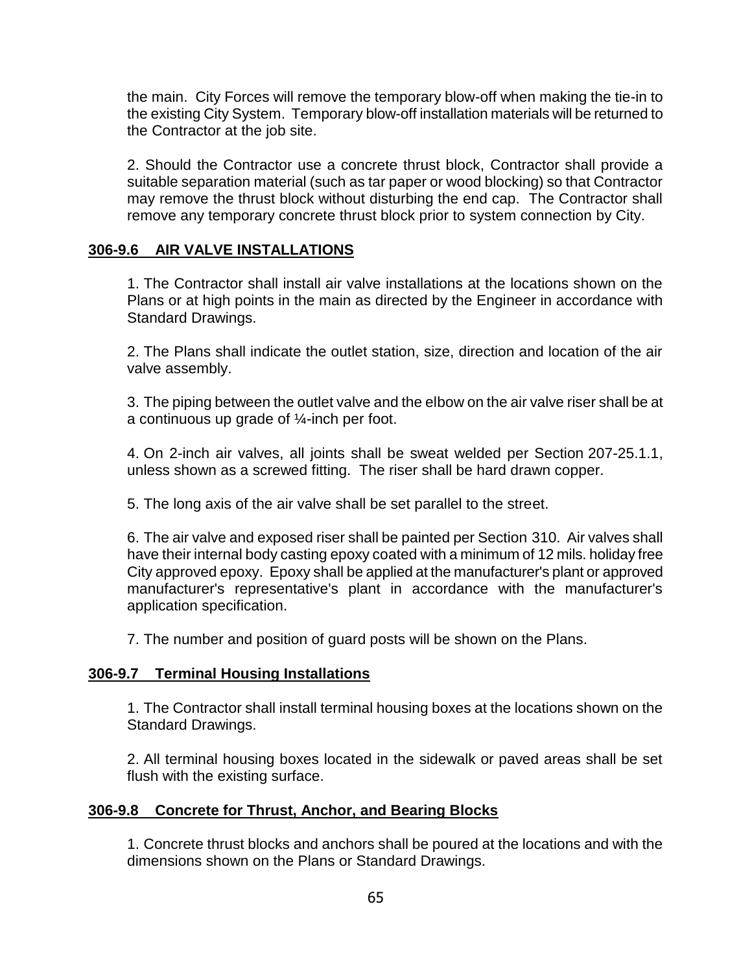the main. City Forces will remove the temporary blow-off when making the tie-in to the existing City System. Temporary blow-off installation materials will be returned to the Contractor at the job site.

2. Should the Contractor use a concrete thrust block, Contractor shall provide a suitable separation material (such as tar paper or wood blocking) so that Contractor may remove the thrust block without disturbing the end cap. The Contractor shall remove any temporary concrete thrust block prior to system connection by City.

### **306-9.6 AIR VALVE INSTALLATIONS**

1. The Contractor shall install air valve installations at the locations shown on the Plans or at high points in the main as directed by the Engineer in accordance with Standard Drawings.

2. The Plans shall indicate the outlet station, size, direction and location of the air valve assembly.

3. The piping between the outlet valve and the elbow on the air valve riser shall be at a continuous up grade of ¼-inch per foot.

4. On 2-inch air valves, all joints shall be sweat welded per Section 207-25.1.1, unless shown as a screwed fitting. The riser shall be hard drawn copper.

5. The long axis of the air valve shall be set parallel to the street.

6. The air valve and exposed riser shall be painted per Section 310. Air valves shall have their internal body casting epoxy coated with a minimum of 12 mils. holiday free City approved epoxy. Epoxy shall be applied at the manufacturer's plant or approved manufacturer's representative's plant in accordance with the manufacturer's application specification.

7. The number and position of guard posts will be shown on the Plans.

### **306-9.7 Terminal Housing Installations**

1. The Contractor shall install terminal housing boxes at the locations shown on the Standard Drawings.

2. All terminal housing boxes located in the sidewalk or paved areas shall be set flush with the existing surface.

#### **306-9.8 Concrete for Thrust, Anchor, and Bearing Blocks**

1. Concrete thrust blocks and anchors shall be poured at the locations and with the dimensions shown on the Plans or Standard Drawings.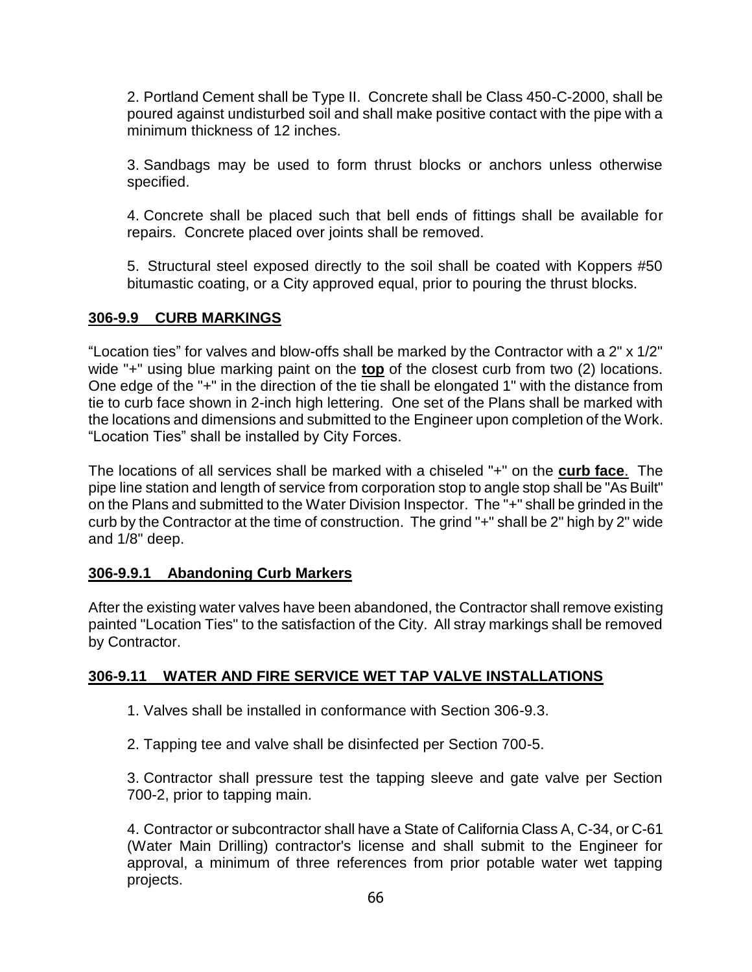2. Portland Cement shall be Type II. Concrete shall be Class 450-C-2000, shall be poured against undisturbed soil and shall make positive contact with the pipe with a minimum thickness of 12 inches.

3. Sandbags may be used to form thrust blocks or anchors unless otherwise specified.

4. Concrete shall be placed such that bell ends of fittings shall be available for repairs. Concrete placed over joints shall be removed.

5. Structural steel exposed directly to the soil shall be coated with Koppers #50 bitumastic coating, or a City approved equal, prior to pouring the thrust blocks.

# **306-9.9 CURB MARKINGS**

"Location ties" for valves and blow-offs shall be marked by the Contractor with a 2" x 1/2" wide "+" using blue marking paint on the **top** of the closest curb from two (2) locations. One edge of the "+" in the direction of the tie shall be elongated 1" with the distance from tie to curb face shown in 2-inch high lettering. One set of the Plans shall be marked with the locations and dimensions and submitted to the Engineer upon completion of the Work. "Location Ties" shall be installed by City Forces.

The locations of all services shall be marked with a chiseled "+" on the **curb face**. The pipe line station and length of service from corporation stop to angle stop shall be "As Built" on the Plans and submitted to the Water Division Inspector. The "+" shall be grinded in the curb by the Contractor at the time of construction. The grind "+" shall be 2" high by 2" wide and 1/8" deep.

# **306-9.9.1 Abandoning Curb Markers**

After the existing water valves have been abandoned, the Contractor shall remove existing painted "Location Ties" to the satisfaction of the City. All stray markings shall be removed by Contractor.

# **306-9.11 WATER AND FIRE SERVICE WET TAP VALVE INSTALLATIONS**

- 1. Valves shall be installed in conformance with Section 306-9.3.
- 2. Tapping tee and valve shall be disinfected per Section 700-5.

3. Contractor shall pressure test the tapping sleeve and gate valve per Section 700-2, prior to tapping main.

4. Contractor or subcontractor shall have a State of California Class A, C-34, or C-61 (Water Main Drilling) contractor's license and shall submit to the Engineer for approval, a minimum of three references from prior potable water wet tapping projects.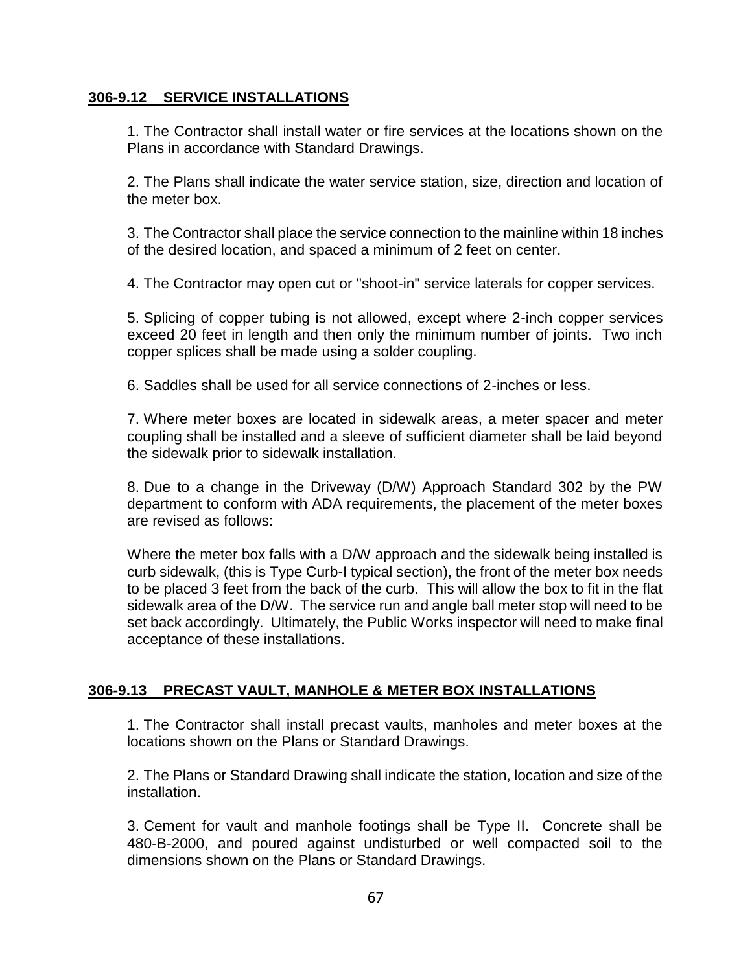### **306-9.12 SERVICE INSTALLATIONS**

1. The Contractor shall install water or fire services at the locations shown on the Plans in accordance with Standard Drawings.

2. The Plans shall indicate the water service station, size, direction and location of the meter box.

3. The Contractor shall place the service connection to the mainline within 18 inches of the desired location, and spaced a minimum of 2 feet on center.

4. The Contractor may open cut or "shoot-in" service laterals for copper services.

5. Splicing of copper tubing is not allowed, except where 2-inch copper services exceed 20 feet in length and then only the minimum number of joints. Two inch copper splices shall be made using a solder coupling.

6. Saddles shall be used for all service connections of 2-inches or less.

7. Where meter boxes are located in sidewalk areas, a meter spacer and meter coupling shall be installed and a sleeve of sufficient diameter shall be laid beyond the sidewalk prior to sidewalk installation.

8. Due to a change in the Driveway (D/W) Approach Standard 302 by the PW department to conform with ADA requirements, the placement of the meter boxes are revised as follows:

Where the meter box falls with a D/W approach and the sidewalk being installed is curb sidewalk, (this is Type Curb-I typical section), the front of the meter box needs to be placed 3 feet from the back of the curb. This will allow the box to fit in the flat sidewalk area of the D/W. The service run and angle ball meter stop will need to be set back accordingly. Ultimately, the Public Works inspector will need to make final acceptance of these installations.

# **306-9.13 PRECAST VAULT, MANHOLE & METER BOX INSTALLATIONS**

1. The Contractor shall install precast vaults, manholes and meter boxes at the locations shown on the Plans or Standard Drawings.

2. The Plans or Standard Drawing shall indicate the station, location and size of the installation.

3. Cement for vault and manhole footings shall be Type II. Concrete shall be 480-B-2000, and poured against undisturbed or well compacted soil to the dimensions shown on the Plans or Standard Drawings.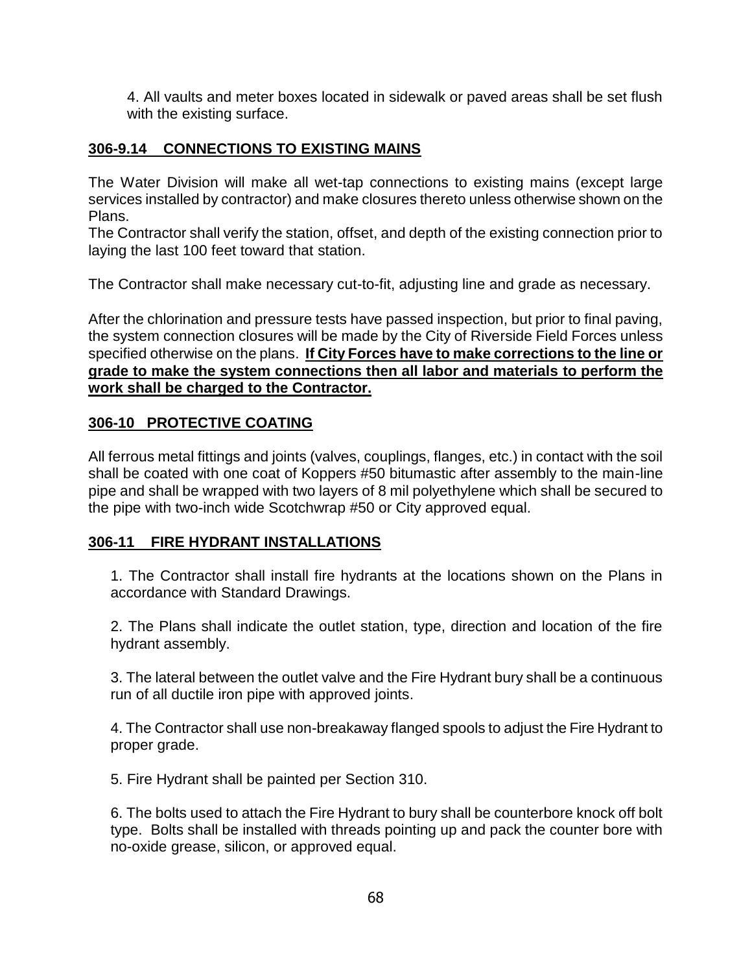4. All vaults and meter boxes located in sidewalk or paved areas shall be set flush with the existing surface.

# **306-9.14 CONNECTIONS TO EXISTING MAINS**

The Water Division will make all wet-tap connections to existing mains (except large services installed by contractor) and make closures thereto unless otherwise shown on the Plans.

The Contractor shall verify the station, offset, and depth of the existing connection prior to laying the last 100 feet toward that station.

The Contractor shall make necessary cut-to-fit, adjusting line and grade as necessary.

After the chlorination and pressure tests have passed inspection, but prior to final paving, the system connection closures will be made by the City of Riverside Field Forces unless specified otherwise on the plans. **If City Forces have to make corrections to the line or grade to make the system connections then all labor and materials to perform the work shall be charged to the Contractor.**

# **306-10 PROTECTIVE COATING**

All ferrous metal fittings and joints (valves, couplings, flanges, etc.) in contact with the soil shall be coated with one coat of Koppers #50 bitumastic after assembly to the main-line pipe and shall be wrapped with two layers of 8 mil polyethylene which shall be secured to the pipe with two-inch wide Scotchwrap #50 or City approved equal.

# **306-11 FIRE HYDRANT INSTALLATIONS**

1. The Contractor shall install fire hydrants at the locations shown on the Plans in accordance with Standard Drawings.

2. The Plans shall indicate the outlet station, type, direction and location of the fire hydrant assembly.

3. The lateral between the outlet valve and the Fire Hydrant bury shall be a continuous run of all ductile iron pipe with approved joints.

4. The Contractor shall use non-breakaway flanged spools to adjust the Fire Hydrant to proper grade.

5. Fire Hydrant shall be painted per Section 310.

6. The bolts used to attach the Fire Hydrant to bury shall be counterbore knock off bolt type. Bolts shall be installed with threads pointing up and pack the counter bore with no-oxide grease, silicon, or approved equal.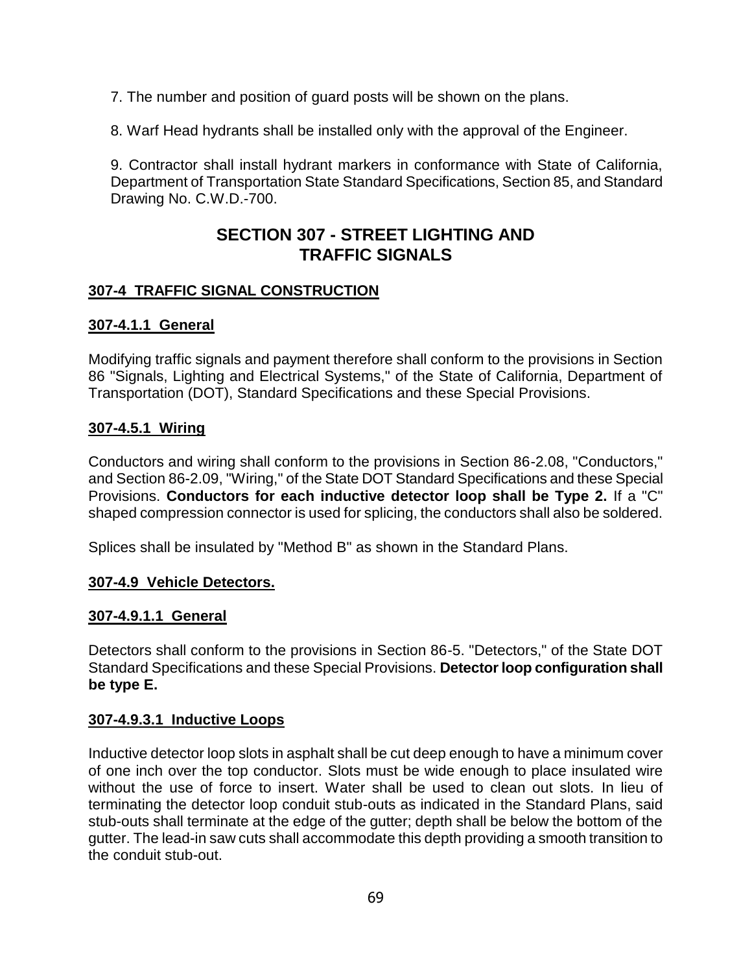7. The number and position of guard posts will be shown on the plans.

8. Warf Head hydrants shall be installed only with the approval of the Engineer.

9. Contractor shall install hydrant markers in conformance with State of California, Department of Transportation State Standard Specifications, Section 85, and Standard Drawing No. C.W.D.-700.

# **SECTION 307 - STREET LIGHTING AND TRAFFIC SIGNALS**

# **307-4 TRAFFIC SIGNAL CONSTRUCTION**

# **307-4.1.1 General**

Modifying traffic signals and payment therefore shall conform to the provisions in Section 86 "Signals, Lighting and Electrical Systems," of the State of California, Department of Transportation (DOT), Standard Specifications and these Special Provisions.

# **307-4.5.1 Wiring**

Conductors and wiring shall conform to the provisions in Section 86-2.08, "Conductors," and Section 86-2.09, "Wiring," of the State DOT Standard Specifications and these Special Provisions. **Conductors for each inductive detector loop shall be Type 2.** If a "C" shaped compression connector is used for splicing, the conductors shall also be soldered.

Splices shall be insulated by "Method B" as shown in the Standard Plans.

# **307-4.9 Vehicle Detectors.**

### **307-4.9.1.1 General**

Detectors shall conform to the provisions in Section 86-5. "Detectors," of the State DOT Standard Specifications and these Special Provisions. **Detector loop configuration shall be type E.**

### **307-4.9.3.1 Inductive Loops**

Inductive detector loop slots in asphalt shall be cut deep enough to have a minimum cover of one inch over the top conductor. Slots must be wide enough to place insulated wire without the use of force to insert. Water shall be used to clean out slots. In lieu of terminating the detector loop conduit stub-outs as indicated in the Standard Plans, said stub-outs shall terminate at the edge of the gutter; depth shall be below the bottom of the gutter. The lead-in saw cuts shall accommodate this depth providing a smooth transition to the conduit stub-out.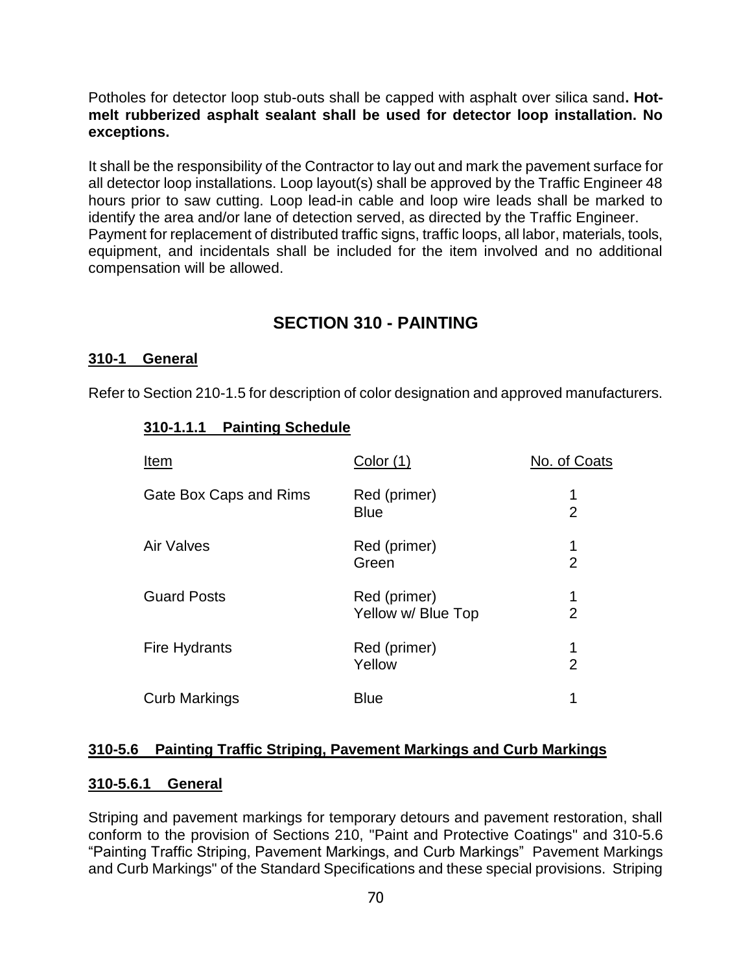Potholes for detector loop stub-outs shall be capped with asphalt over silica sand**. Hotmelt rubberized asphalt sealant shall be used for detector loop installation. No exceptions.**

It shall be the responsibility of the Contractor to lay out and mark the pavement surface for all detector loop installations. Loop layout(s) shall be approved by the Traffic Engineer 48 hours prior to saw cutting. Loop lead-in cable and loop wire leads shall be marked to identify the area and/or lane of detection served, as directed by the Traffic Engineer. Payment for replacement of distributed traffic signs, traffic loops, all labor, materials, tools, equipment, and incidentals shall be included for the item involved and no additional compensation will be allowed.

# **SECTION 310 - PAINTING**

#### **310-1 General**

Refer to Section 210-1.5 for description of color designation and approved manufacturers.

#### **310-1.1.1 Painting Schedule**

| Item                   | Color (1)                          | No. of Coats        |
|------------------------|------------------------------------|---------------------|
| Gate Box Caps and Rims | Red (primer)<br><b>Blue</b>        | 1<br>$\overline{2}$ |
| <b>Air Valves</b>      | Red (primer)<br>Green              | 1<br>$\overline{2}$ |
| <b>Guard Posts</b>     | Red (primer)<br>Yellow w/ Blue Top | 1<br>$\overline{2}$ |
| <b>Fire Hydrants</b>   | Red (primer)<br>Yellow             | 1<br>$\overline{2}$ |
| <b>Curb Markings</b>   | <b>Blue</b>                        | 1                   |

#### **310-5.6 Painting Traffic Striping, Pavement Markings and Curb Markings**

#### **310-5.6.1 General**

Striping and pavement markings for temporary detours and pavement restoration, shall conform to the provision of Sections 210, "Paint and Protective Coatings" and 310-5.6 "Painting Traffic Striping, Pavement Markings, and Curb Markings" Pavement Markings and Curb Markings" of the Standard Specifications and these special provisions. Striping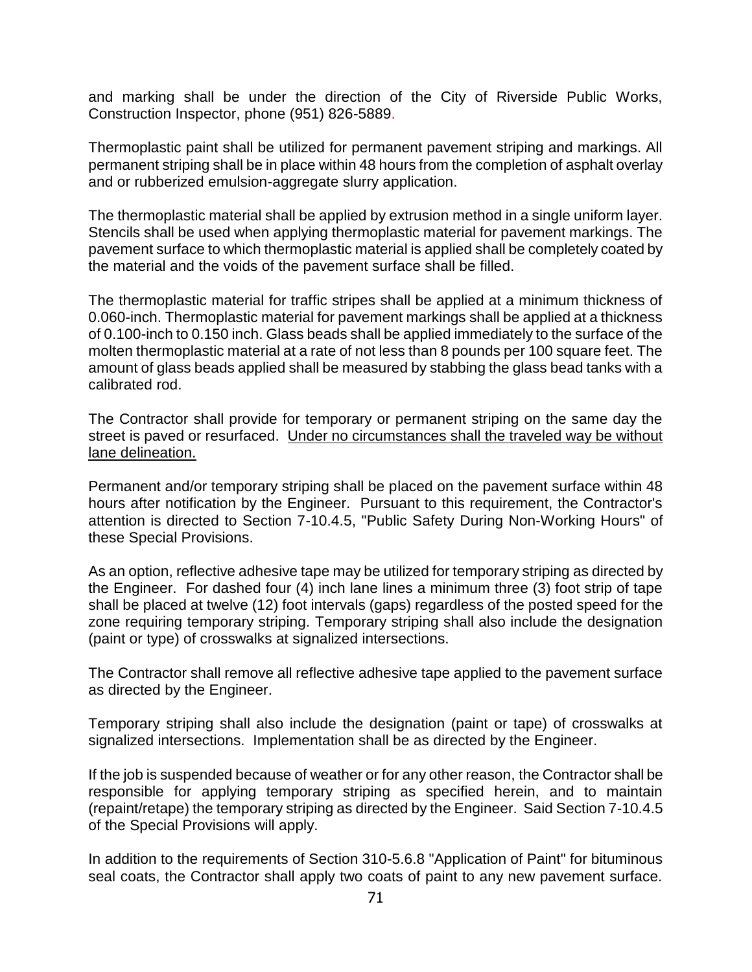and marking shall be under the direction of the City of Riverside Public Works, Construction Inspector, phone (951) 826-5889.

Thermoplastic paint shall be utilized for permanent pavement striping and markings. All permanent striping shall be in place within 48 hours from the completion of asphalt overlay and or rubberized emulsion-aggregate slurry application.

The thermoplastic material shall be applied by extrusion method in a single uniform layer. Stencils shall be used when applying thermoplastic material for pavement markings. The pavement surface to which thermoplastic material is applied shall be completely coated by the material and the voids of the pavement surface shall be filled.

The thermoplastic material for traffic stripes shall be applied at a minimum thickness of 0.060-inch. Thermoplastic material for pavement markings shall be applied at a thickness of 0.100-inch to 0.150 inch. Glass beads shall be applied immediately to the surface of the molten thermoplastic material at a rate of not less than 8 pounds per 100 square feet. The amount of glass beads applied shall be measured by stabbing the glass bead tanks with a calibrated rod.

The Contractor shall provide for temporary or permanent striping on the same day the street is paved or resurfaced. Under no circumstances shall the traveled way be without lane delineation.

Permanent and/or temporary striping shall be placed on the pavement surface within 48 hours after notification by the Engineer. Pursuant to this requirement, the Contractor's attention is directed to Section 7-10.4.5, "Public Safety During Non-Working Hours" of these Special Provisions.

As an option, reflective adhesive tape may be utilized for temporary striping as directed by the Engineer. For dashed four (4) inch lane lines a minimum three (3) foot strip of tape shall be placed at twelve (12) foot intervals (gaps) regardless of the posted speed for the zone requiring temporary striping. Temporary striping shall also include the designation (paint or type) of crosswalks at signalized intersections.

The Contractor shall remove all reflective adhesive tape applied to the pavement surface as directed by the Engineer.

Temporary striping shall also include the designation (paint or tape) of crosswalks at signalized intersections. Implementation shall be as directed by the Engineer.

If the job is suspended because of weather or for any other reason, the Contractor shall be responsible for applying temporary striping as specified herein, and to maintain (repaint/retape) the temporary striping as directed by the Engineer. Said Section 7-10.4.5 of the Special Provisions will apply.

In addition to the requirements of Section 310-5.6.8 "Application of Paint" for bituminous seal coats, the Contractor shall apply two coats of paint to any new pavement surface.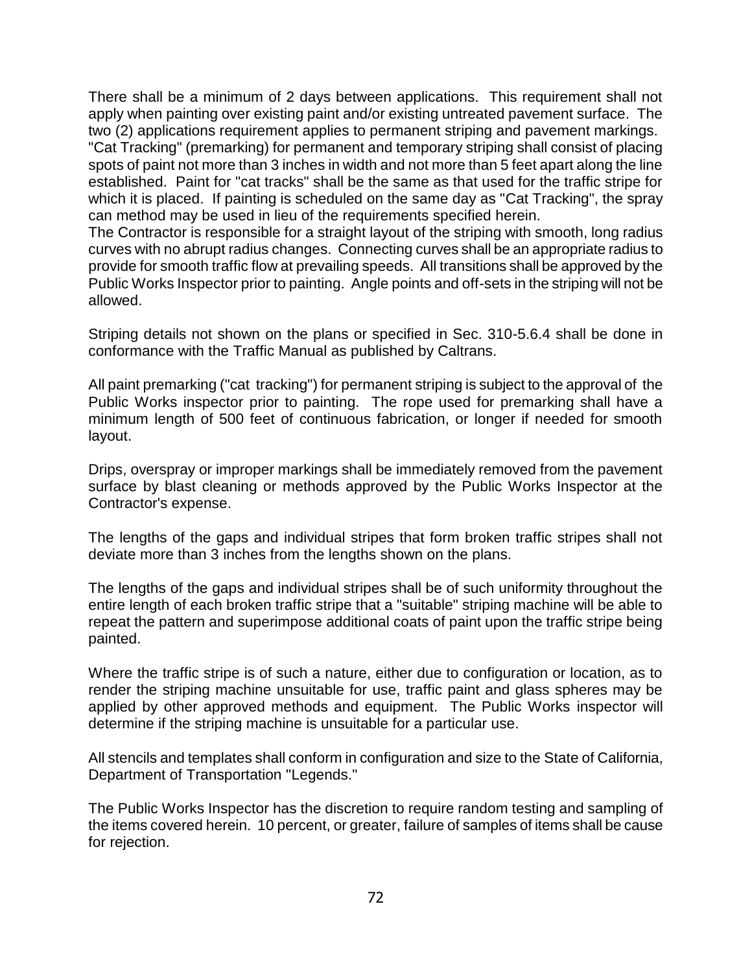There shall be a minimum of 2 days between applications. This requirement shall not apply when painting over existing paint and/or existing untreated pavement surface. The two (2) applications requirement applies to permanent striping and pavement markings.

"Cat Tracking" (premarking) for permanent and temporary striping shall consist of placing spots of paint not more than 3 inches in width and not more than 5 feet apart along the line established. Paint for "cat tracks" shall be the same as that used for the traffic stripe for which it is placed. If painting is scheduled on the same day as "Cat Tracking", the spray can method may be used in lieu of the requirements specified herein.

The Contractor is responsible for a straight layout of the striping with smooth, long radius curves with no abrupt radius changes. Connecting curves shall be an appropriate radius to provide for smooth traffic flow at prevailing speeds. All transitions shall be approved by the Public Works Inspector prior to painting. Angle points and off-sets in the striping will not be allowed.

Striping details not shown on the plans or specified in Sec. 310-5.6.4 shall be done in conformance with the Traffic Manual as published by Caltrans.

All paint premarking ("cat tracking") for permanent striping is subject to the approval of the Public Works inspector prior to painting. The rope used for premarking shall have a minimum length of 500 feet of continuous fabrication, or longer if needed for smooth layout.

Drips, overspray or improper markings shall be immediately removed from the pavement surface by blast cleaning or methods approved by the Public Works Inspector at the Contractor's expense.

The lengths of the gaps and individual stripes that form broken traffic stripes shall not deviate more than 3 inches from the lengths shown on the plans.

The lengths of the gaps and individual stripes shall be of such uniformity throughout the entire length of each broken traffic stripe that a "suitable" striping machine will be able to repeat the pattern and superimpose additional coats of paint upon the traffic stripe being painted.

Where the traffic stripe is of such a nature, either due to configuration or location, as to render the striping machine unsuitable for use, traffic paint and glass spheres may be applied by other approved methods and equipment. The Public Works inspector will determine if the striping machine is unsuitable for a particular use.

All stencils and templates shall conform in configuration and size to the State of California, Department of Transportation "Legends."

The Public Works Inspector has the discretion to require random testing and sampling of the items covered herein. 10 percent, or greater, failure of samples of items shall be cause for rejection.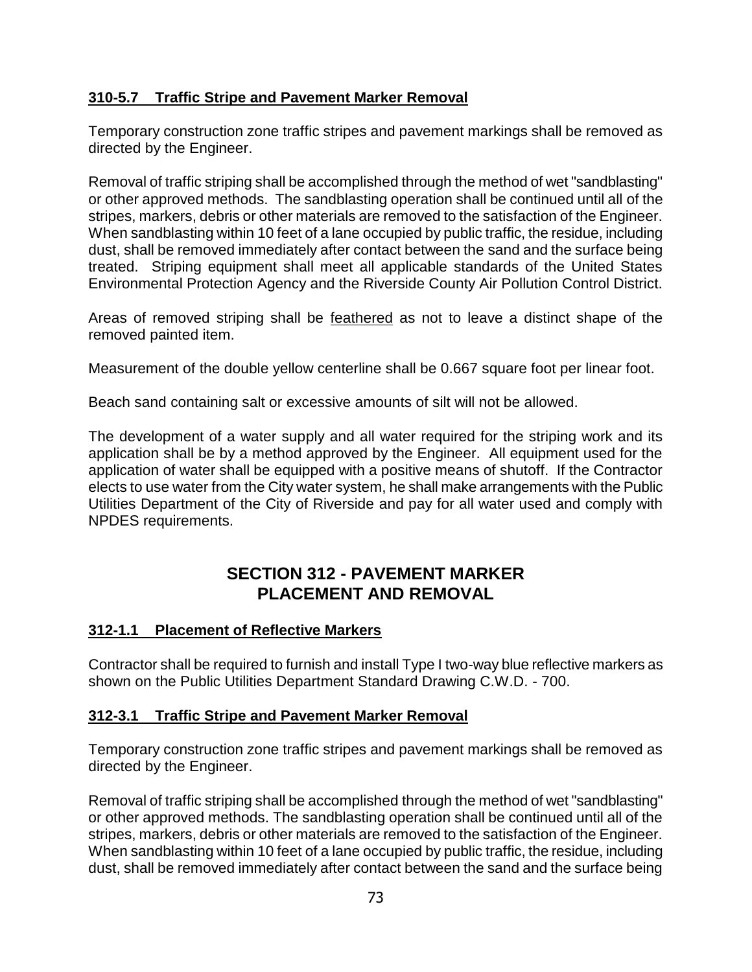## **310-5.7 Traffic Stripe and Pavement Marker Removal**

Temporary construction zone traffic stripes and pavement markings shall be removed as directed by the Engineer.

Removal of traffic striping shall be accomplished through the method of wet "sandblasting" or other approved methods. The sandblasting operation shall be continued until all of the stripes, markers, debris or other materials are removed to the satisfaction of the Engineer. When sandblasting within 10 feet of a lane occupied by public traffic, the residue, including dust, shall be removed immediately after contact between the sand and the surface being treated. Striping equipment shall meet all applicable standards of the United States Environmental Protection Agency and the Riverside County Air Pollution Control District.

Areas of removed striping shall be feathered as not to leave a distinct shape of the removed painted item.

Measurement of the double yellow centerline shall be 0.667 square foot per linear foot.

Beach sand containing salt or excessive amounts of silt will not be allowed.

The development of a water supply and all water required for the striping work and its application shall be by a method approved by the Engineer. All equipment used for the application of water shall be equipped with a positive means of shutoff. If the Contractor elects to use water from the City water system, he shall make arrangements with the Public Utilities Department of the City of Riverside and pay for all water used and comply with NPDES requirements.

# **SECTION 312 - PAVEMENT MARKER PLACEMENT AND REMOVAL**

#### **312-1.1 Placement of Reflective Markers**

Contractor shall be required to furnish and install Type I two-way blue reflective markers as shown on the Public Utilities Department Standard Drawing C.W.D. - 700.

#### **312-3.1 Traffic Stripe and Pavement Marker Removal**

Temporary construction zone traffic stripes and pavement markings shall be removed as directed by the Engineer.

Removal of traffic striping shall be accomplished through the method of wet "sandblasting" or other approved methods. The sandblasting operation shall be continued until all of the stripes, markers, debris or other materials are removed to the satisfaction of the Engineer. When sandblasting within 10 feet of a lane occupied by public traffic, the residue, including dust, shall be removed immediately after contact between the sand and the surface being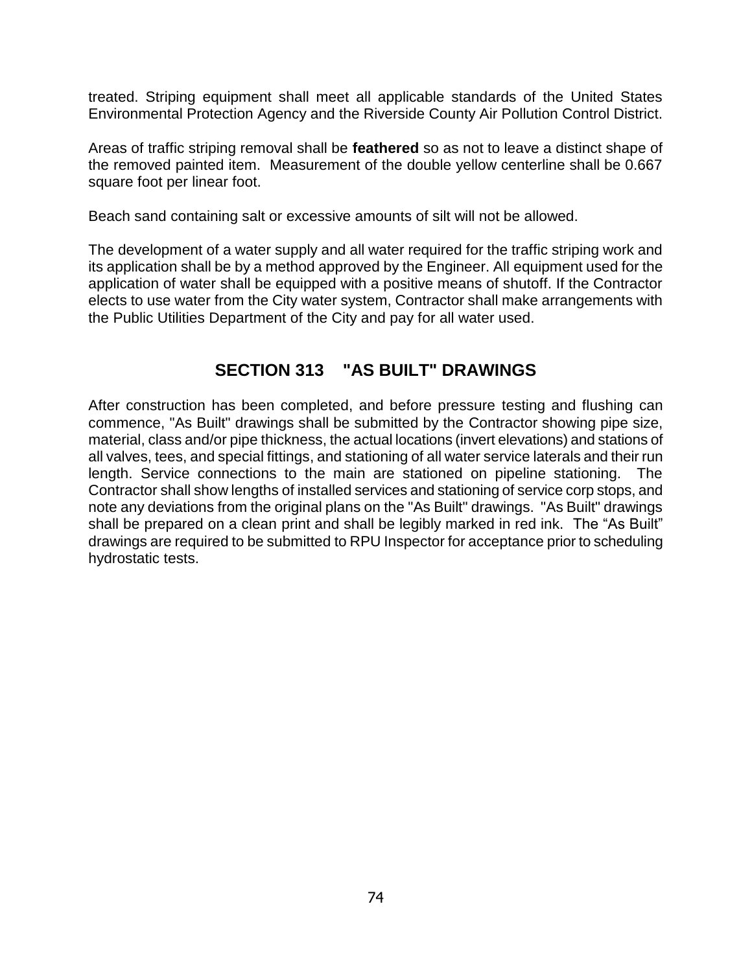treated. Striping equipment shall meet all applicable standards of the United States Environmental Protection Agency and the Riverside County Air Pollution Control District.

Areas of traffic striping removal shall be **feathered** so as not to leave a distinct shape of the removed painted item. Measurement of the double yellow centerline shall be 0.667 square foot per linear foot.

Beach sand containing salt or excessive amounts of silt will not be allowed.

The development of a water supply and all water required for the traffic striping work and its application shall be by a method approved by the Engineer. All equipment used for the application of water shall be equipped with a positive means of shutoff. If the Contractor elects to use water from the City water system, Contractor shall make arrangements with the Public Utilities Department of the City and pay for all water used.

# **SECTION 313 "AS BUILT" DRAWINGS**

After construction has been completed, and before pressure testing and flushing can commence, "As Built" drawings shall be submitted by the Contractor showing pipe size, material, class and/or pipe thickness, the actual locations (invert elevations) and stations of all valves, tees, and special fittings, and stationing of all water service laterals and their run length. Service connections to the main are stationed on pipeline stationing. The Contractor shall show lengths of installed services and stationing of service corp stops, and note any deviations from the original plans on the "As Built" drawings. "As Built" drawings shall be prepared on a clean print and shall be legibly marked in red ink. The "As Built" drawings are required to be submitted to RPU Inspector for acceptance prior to scheduling hydrostatic tests.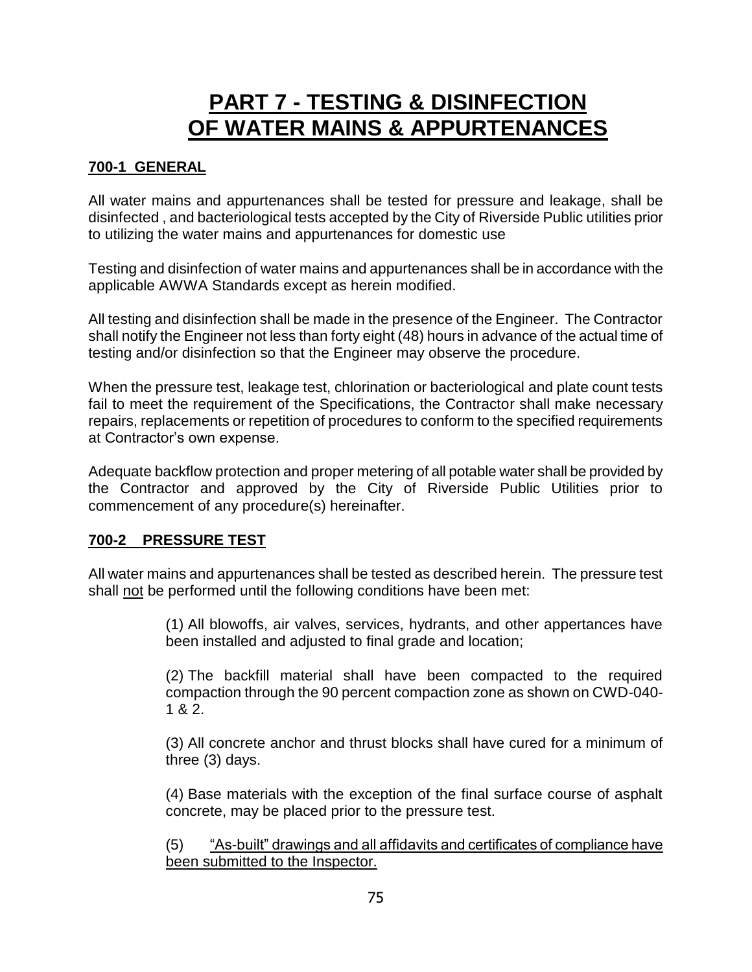# **PART 7 - TESTING & DISINFECTION OF WATER MAINS & APPURTENANCES**

## **700-1 GENERAL**

All water mains and appurtenances shall be tested for pressure and leakage, shall be disinfected , and bacteriological tests accepted by the City of Riverside Public utilities prior to utilizing the water mains and appurtenances for domestic use

Testing and disinfection of water mains and appurtenances shall be in accordance with the applicable AWWA Standards except as herein modified.

All testing and disinfection shall be made in the presence of the Engineer. The Contractor shall notify the Engineer not less than forty eight (48) hours in advance of the actual time of testing and/or disinfection so that the Engineer may observe the procedure.

When the pressure test, leakage test, chlorination or bacteriological and plate count tests fail to meet the requirement of the Specifications, the Contractor shall make necessary repairs, replacements or repetition of procedures to conform to the specified requirements at Contractor's own expense.

Adequate backflow protection and proper metering of all potable water shall be provided by the Contractor and approved by the City of Riverside Public Utilities prior to commencement of any procedure(s) hereinafter.

#### **700-2 PRESSURE TEST**

All water mains and appurtenances shall be tested as described herein. The pressure test shall not be performed until the following conditions have been met:

> (1) All blowoffs, air valves, services, hydrants, and other appertances have been installed and adjusted to final grade and location;

> (2) The backfill material shall have been compacted to the required compaction through the 90 percent compaction zone as shown on CWD-040- 1 & 2.

> (3) All concrete anchor and thrust blocks shall have cured for a minimum of three (3) days.

> (4) Base materials with the exception of the final surface course of asphalt concrete, may be placed prior to the pressure test.

> (5) "As-built" drawings and all affidavits and certificates of compliance have been submitted to the Inspector.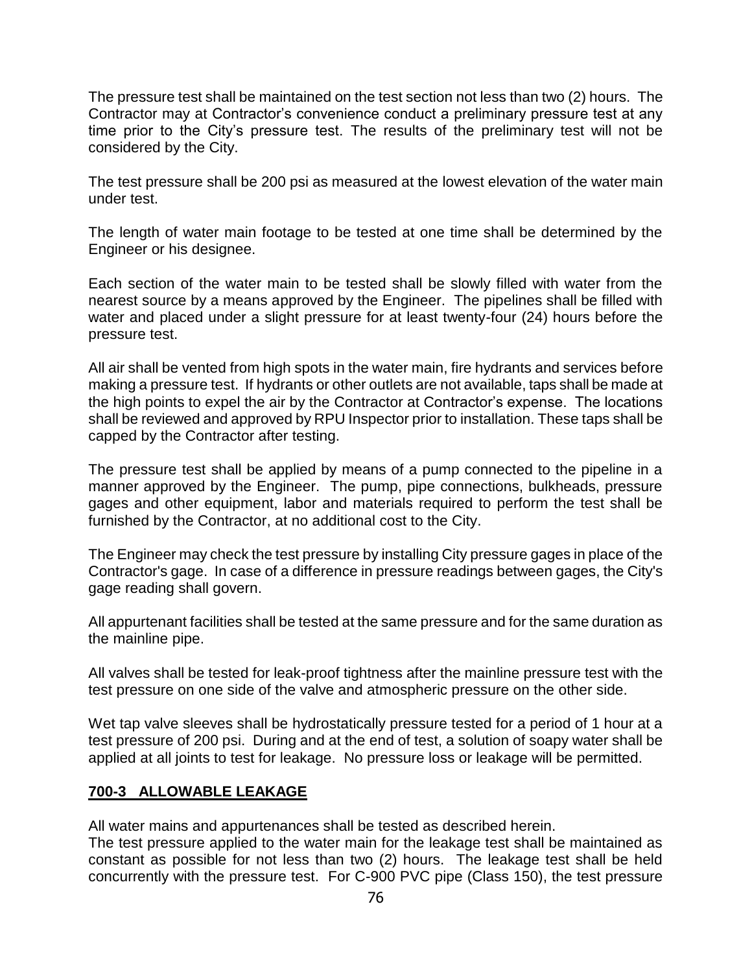The pressure test shall be maintained on the test section not less than two (2) hours. The Contractor may at Contractor's convenience conduct a preliminary pressure test at any time prior to the City's pressure test. The results of the preliminary test will not be considered by the City.

The test pressure shall be 200 psi as measured at the lowest elevation of the water main under test.

The length of water main footage to be tested at one time shall be determined by the Engineer or his designee.

Each section of the water main to be tested shall be slowly filled with water from the nearest source by a means approved by the Engineer. The pipelines shall be filled with water and placed under a slight pressure for at least twenty-four (24) hours before the pressure test.

All air shall be vented from high spots in the water main, fire hydrants and services before making a pressure test. If hydrants or other outlets are not available, taps shall be made at the high points to expel the air by the Contractor at Contractor's expense. The locations shall be reviewed and approved by RPU Inspector prior to installation. These taps shall be capped by the Contractor after testing.

The pressure test shall be applied by means of a pump connected to the pipeline in a manner approved by the Engineer. The pump, pipe connections, bulkheads, pressure gages and other equipment, labor and materials required to perform the test shall be furnished by the Contractor, at no additional cost to the City.

The Engineer may check the test pressure by installing City pressure gages in place of the Contractor's gage. In case of a difference in pressure readings between gages, the City's gage reading shall govern.

All appurtenant facilities shall be tested at the same pressure and for the same duration as the mainline pipe.

All valves shall be tested for leak-proof tightness after the mainline pressure test with the test pressure on one side of the valve and atmospheric pressure on the other side.

Wet tap valve sleeves shall be hydrostatically pressure tested for a period of 1 hour at a test pressure of 200 psi. During and at the end of test, a solution of soapy water shall be applied at all joints to test for leakage. No pressure loss or leakage will be permitted.

#### **700-3 ALLOWABLE LEAKAGE**

All water mains and appurtenances shall be tested as described herein.

The test pressure applied to the water main for the leakage test shall be maintained as constant as possible for not less than two (2) hours. The leakage test shall be held concurrently with the pressure test. For C-900 PVC pipe (Class 150), the test pressure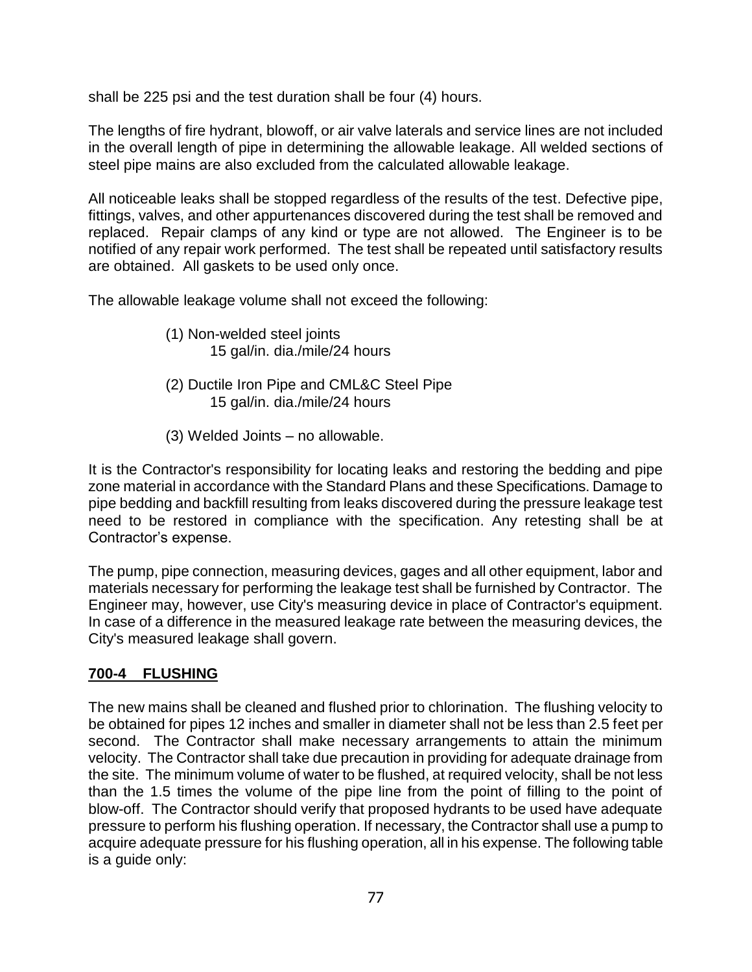shall be 225 psi and the test duration shall be four (4) hours.

The lengths of fire hydrant, blowoff, or air valve laterals and service lines are not included in the overall length of pipe in determining the allowable leakage. All welded sections of steel pipe mains are also excluded from the calculated allowable leakage.

All noticeable leaks shall be stopped regardless of the results of the test. Defective pipe, fittings, valves, and other appurtenances discovered during the test shall be removed and replaced. Repair clamps of any kind or type are not allowed. The Engineer is to be notified of any repair work performed. The test shall be repeated until satisfactory results are obtained. All gaskets to be used only once.

The allowable leakage volume shall not exceed the following:

- (1) Non-welded steel joints 15 gal/in. dia./mile/24 hours
- (2) Ductile Iron Pipe and CML&C Steel Pipe 15 gal/in. dia./mile/24 hours
- (3) Welded Joints no allowable.

It is the Contractor's responsibility for locating leaks and restoring the bedding and pipe zone material in accordance with the Standard Plans and these Specifications. Damage to pipe bedding and backfill resulting from leaks discovered during the pressure leakage test need to be restored in compliance with the specification. Any retesting shall be at Contractor's expense.

The pump, pipe connection, measuring devices, gages and all other equipment, labor and materials necessary for performing the leakage test shall be furnished by Contractor. The Engineer may, however, use City's measuring device in place of Contractor's equipment. In case of a difference in the measured leakage rate between the measuring devices, the City's measured leakage shall govern.

# **700-4 FLUSHING**

The new mains shall be cleaned and flushed prior to chlorination. The flushing velocity to be obtained for pipes 12 inches and smaller in diameter shall not be less than 2.5 feet per second. The Contractor shall make necessary arrangements to attain the minimum velocity. The Contractor shall take due precaution in providing for adequate drainage from the site. The minimum volume of water to be flushed, at required velocity, shall be not less than the 1.5 times the volume of the pipe line from the point of filling to the point of blow-off. The Contractor should verify that proposed hydrants to be used have adequate pressure to perform his flushing operation. If necessary, the Contractor shall use a pump to acquire adequate pressure for his flushing operation, all in his expense. The following table is a guide only: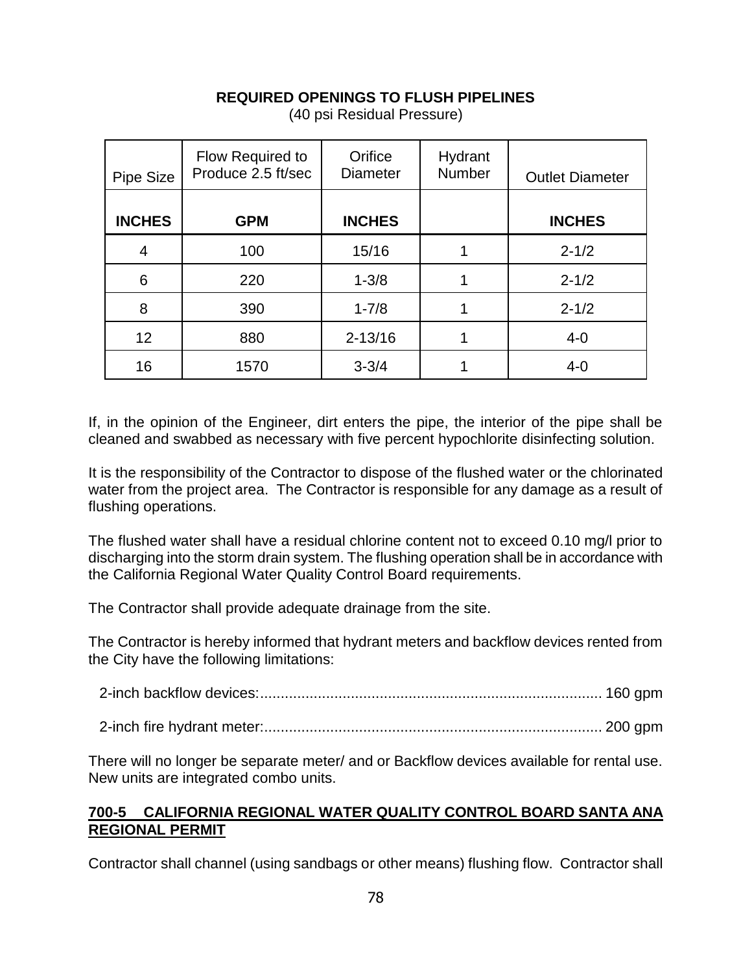## **REQUIRED OPENINGS TO FLUSH PIPELINES**

| Pipe Size     | Flow Required to<br>Produce 2.5 ft/sec | Orifice<br><b>Diameter</b> | Hydrant<br><b>Number</b> | <b>Outlet Diameter</b> |
|---------------|----------------------------------------|----------------------------|--------------------------|------------------------|
| <b>INCHES</b> | <b>GPM</b>                             | <b>INCHES</b>              |                          | <b>INCHES</b>          |
| 4             | 100                                    | 15/16                      |                          | $2 - 1/2$              |
| 6             | 220                                    | $1 - 3/8$                  |                          | $2 - 1/2$              |
| 8             | 390                                    | $1 - 7/8$                  |                          | $2 - 1/2$              |
| 12            | 880                                    | $2 - 13/16$                |                          | $4 - 0$                |
| 16            | 1570                                   | $3 - 3/4$                  |                          | $4 - 0$                |

(40 psi Residual Pressure)

If, in the opinion of the Engineer, dirt enters the pipe, the interior of the pipe shall be cleaned and swabbed as necessary with five percent hypochlorite disinfecting solution.

It is the responsibility of the Contractor to dispose of the flushed water or the chlorinated water from the project area. The Contractor is responsible for any damage as a result of flushing operations.

The flushed water shall have a residual chlorine content not to exceed 0.10 mg/l prior to discharging into the storm drain system. The flushing operation shall be in accordance with the California Regional Water Quality Control Board requirements.

The Contractor shall provide adequate drainage from the site.

The Contractor is hereby informed that hydrant meters and backflow devices rented from the City have the following limitations:

There will no longer be separate meter/ and or Backflow devices available for rental use. New units are integrated combo units.

#### **700-5 CALIFORNIA REGIONAL WATER QUALITY CONTROL BOARD SANTA ANA REGIONAL PERMIT**

Contractor shall channel (using sandbags or other means) flushing flow. Contractor shall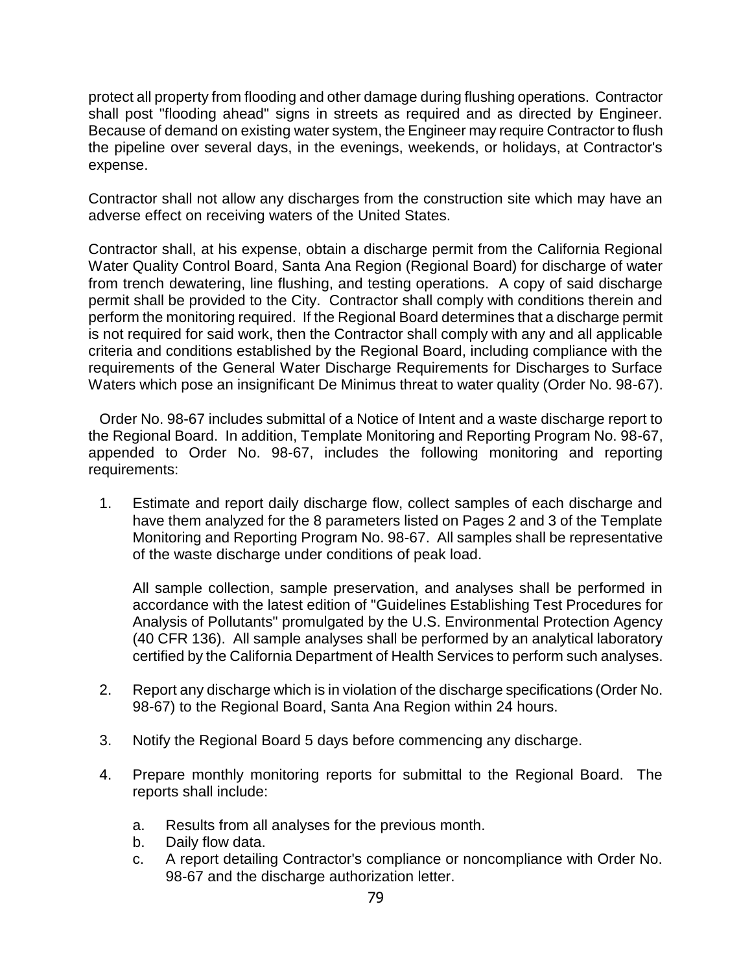protect all property from flooding and other damage during flushing operations. Contractor shall post "flooding ahead" signs in streets as required and as directed by Engineer. Because of demand on existing water system, the Engineer may require Contractor to flush the pipeline over several days, in the evenings, weekends, or holidays, at Contractor's expense.

Contractor shall not allow any discharges from the construction site which may have an adverse effect on receiving waters of the United States.

Contractor shall, at his expense, obtain a discharge permit from the California Regional Water Quality Control Board, Santa Ana Region (Regional Board) for discharge of water from trench dewatering, line flushing, and testing operations. A copy of said discharge permit shall be provided to the City. Contractor shall comply with conditions therein and perform the monitoring required. If the Regional Board determines that a discharge permit is not required for said work, then the Contractor shall comply with any and all applicable criteria and conditions established by the Regional Board, including compliance with the requirements of the General Water Discharge Requirements for Discharges to Surface Waters which pose an insignificant De Minimus threat to water quality (Order No. 98-67).

Order No. 98-67 includes submittal of a Notice of Intent and a waste discharge report to the Regional Board. In addition, Template Monitoring and Reporting Program No. 98-67, appended to Order No. 98-67, includes the following monitoring and reporting requirements:

1. Estimate and report daily discharge flow, collect samples of each discharge and have them analyzed for the 8 parameters listed on Pages 2 and 3 of the Template Monitoring and Reporting Program No. 98-67. All samples shall be representative of the waste discharge under conditions of peak load.

All sample collection, sample preservation, and analyses shall be performed in accordance with the latest edition of "Guidelines Establishing Test Procedures for Analysis of Pollutants" promulgated by the U.S. Environmental Protection Agency (40 CFR 136). All sample analyses shall be performed by an analytical laboratory certified by the California Department of Health Services to perform such analyses.

- 2. Report any discharge which is in violation of the discharge specifications (Order No. 98-67) to the Regional Board, Santa Ana Region within 24 hours.
- 3. Notify the Regional Board 5 days before commencing any discharge.
- 4. Prepare monthly monitoring reports for submittal to the Regional Board. The reports shall include:
	- a. Results from all analyses for the previous month.
	- b. Daily flow data.
	- c. A report detailing Contractor's compliance or noncompliance with Order No. 98-67 and the discharge authorization letter.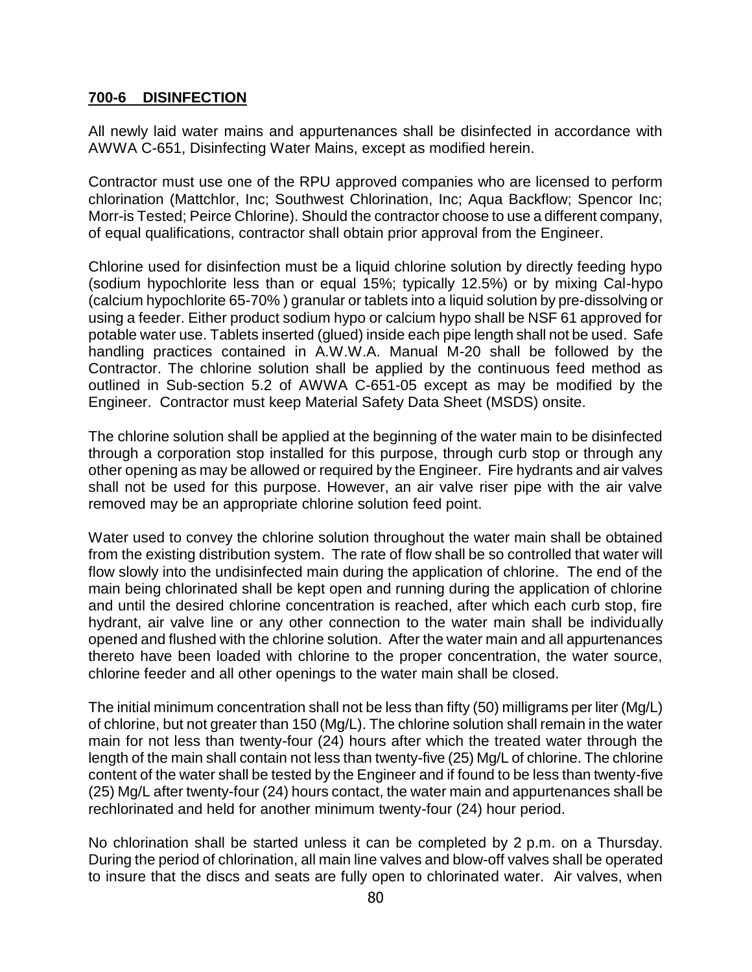#### **700-6 DISINFECTION**

All newly laid water mains and appurtenances shall be disinfected in accordance with AWWA C-651, Disinfecting Water Mains, except as modified herein.

Contractor must use one of the RPU approved companies who are licensed to perform chlorination (Mattchlor, Inc; Southwest Chlorination, Inc; Aqua Backflow; Spencor Inc; Morr-is Tested; Peirce Chlorine). Should the contractor choose to use a different company, of equal qualifications, contractor shall obtain prior approval from the Engineer.

Chlorine used for disinfection must be a liquid chlorine solution by directly feeding hypo (sodium hypochlorite less than or equal 15%; typically 12.5%) or by mixing Cal-hypo (calcium hypochlorite 65-70% ) granular or tablets into a liquid solution by pre-dissolving or using a feeder. Either product sodium hypo or calcium hypo shall be NSF 61 approved for potable water use. Tablets inserted (glued) inside each pipe length shall not be used. Safe handling practices contained in A.W.W.A. Manual M-20 shall be followed by the Contractor. The chlorine solution shall be applied by the continuous feed method as outlined in Sub-section 5.2 of AWWA C-651-05 except as may be modified by the Engineer. Contractor must keep Material Safety Data Sheet (MSDS) onsite.

The chlorine solution shall be applied at the beginning of the water main to be disinfected through a corporation stop installed for this purpose, through curb stop or through any other opening as may be allowed or required by the Engineer. Fire hydrants and air valves shall not be used for this purpose. However, an air valve riser pipe with the air valve removed may be an appropriate chlorine solution feed point.

Water used to convey the chlorine solution throughout the water main shall be obtained from the existing distribution system. The rate of flow shall be so controlled that water will flow slowly into the undisinfected main during the application of chlorine. The end of the main being chlorinated shall be kept open and running during the application of chlorine and until the desired chlorine concentration is reached, after which each curb stop, fire hydrant, air valve line or any other connection to the water main shall be individually opened and flushed with the chlorine solution. After the water main and all appurtenances thereto have been loaded with chlorine to the proper concentration, the water source, chlorine feeder and all other openings to the water main shall be closed.

The initial minimum concentration shall not be less than fifty (50) milligrams per liter (Mg/L) of chlorine, but not greater than 150 (Mg/L). The chlorine solution shall remain in the water main for not less than twenty-four (24) hours after which the treated water through the length of the main shall contain not less than twenty-five (25) Mg/L of chlorine. The chlorine content of the water shall be tested by the Engineer and if found to be less than twenty-five (25) Mg/L after twenty-four (24) hours contact, the water main and appurtenances shall be rechlorinated and held for another minimum twenty-four (24) hour period.

No chlorination shall be started unless it can be completed by 2 p.m. on a Thursday. During the period of chlorination, all main line valves and blow-off valves shall be operated to insure that the discs and seats are fully open to chlorinated water. Air valves, when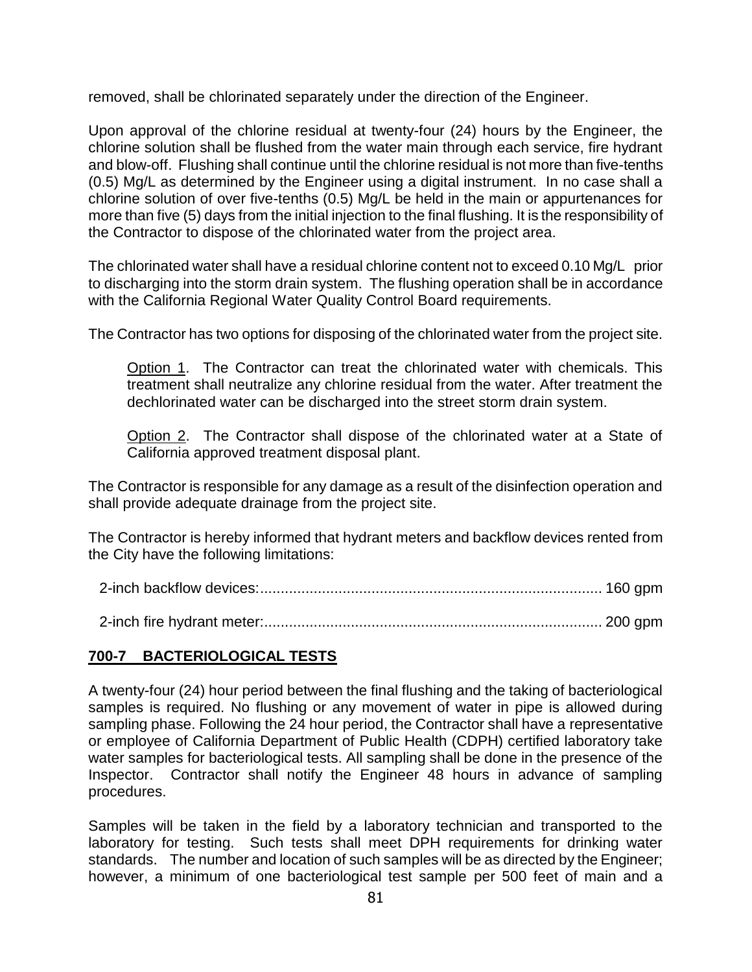removed, shall be chlorinated separately under the direction of the Engineer.

Upon approval of the chlorine residual at twenty-four (24) hours by the Engineer, the chlorine solution shall be flushed from the water main through each service, fire hydrant and blow-off. Flushing shall continue until the chlorine residual is not more than five-tenths (0.5) Mg/L as determined by the Engineer using a digital instrument. In no case shall a chlorine solution of over five-tenths (0.5) Mg/L be held in the main or appurtenances for more than five (5) days from the initial injection to the final flushing. It is the responsibility of the Contractor to dispose of the chlorinated water from the project area.

The chlorinated water shall have a residual chlorine content not to exceed 0.10 Mg/L prior to discharging into the storm drain system. The flushing operation shall be in accordance with the California Regional Water Quality Control Board requirements.

The Contractor has two options for disposing of the chlorinated water from the project site.

Option 1. The Contractor can treat the chlorinated water with chemicals. This treatment shall neutralize any chlorine residual from the water. After treatment the dechlorinated water can be discharged into the street storm drain system.

Option 2. The Contractor shall dispose of the chlorinated water at a State of California approved treatment disposal plant.

The Contractor is responsible for any damage as a result of the disinfection operation and shall provide adequate drainage from the project site.

The Contractor is hereby informed that hydrant meters and backflow devices rented from the City have the following limitations:

#### **700-7 BACTERIOLOGICAL TESTS**

A twenty-four (24) hour period between the final flushing and the taking of bacteriological samples is required. No flushing or any movement of water in pipe is allowed during sampling phase. Following the 24 hour period, the Contractor shall have a representative or employee of California Department of Public Health (CDPH) certified laboratory take water samples for bacteriological tests. All sampling shall be done in the presence of the Inspector. Contractor shall notify the Engineer 48 hours in advance of sampling procedures.

Samples will be taken in the field by a laboratory technician and transported to the laboratory for testing. Such tests shall meet DPH requirements for drinking water standards. The number and location of such samples will be as directed by the Engineer; however, a minimum of one bacteriological test sample per 500 feet of main and a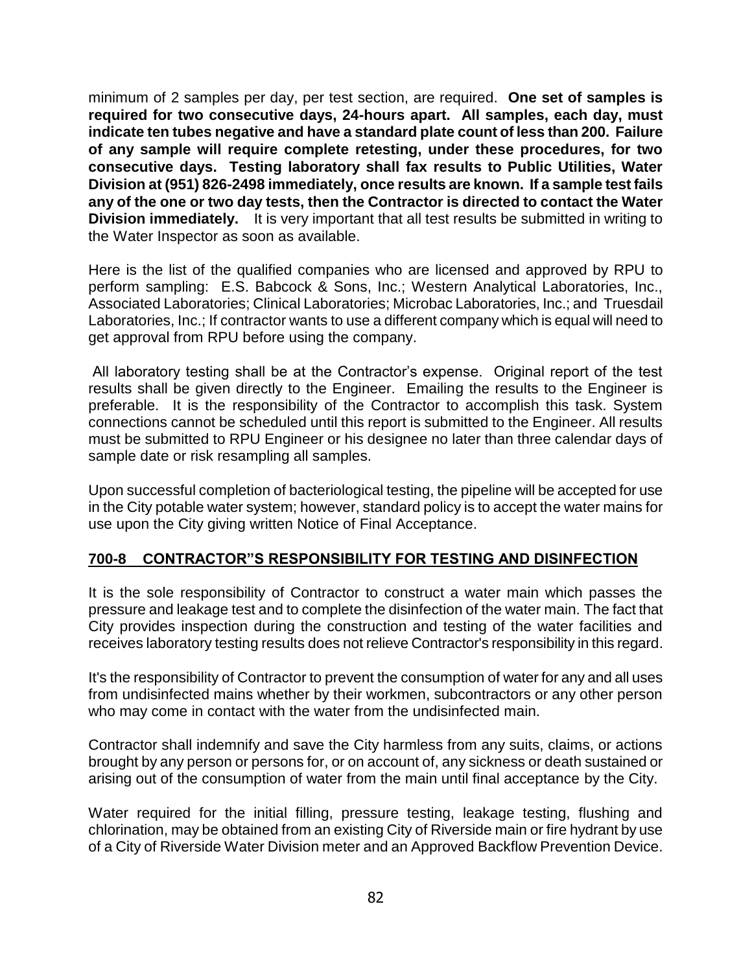minimum of 2 samples per day, per test section, are required. **One set of samples is required for two consecutive days, 24-hours apart. All samples, each day, must indicate ten tubes negative and have a standard plate count of less than 200. Failure of any sample will require complete retesting, under these procedures, for two consecutive days. Testing laboratory shall fax results to Public Utilities, Water Division at (951) 826-2498 immediately, once results are known. If a sample test fails any of the one or two day tests, then the Contractor is directed to contact the Water Division immediately.** It is very important that all test results be submitted in writing to the Water Inspector as soon as available.

Here is the list of the qualified companies who are licensed and approved by RPU to perform sampling: E.S. Babcock & Sons, Inc.; Western Analytical Laboratories, Inc., Associated Laboratories; Clinical Laboratories; Microbac Laboratories, Inc.; and Truesdail Laboratories, Inc.; If contractor wants to use a different company which is equal will need to get approval from RPU before using the company.

All laboratory testing shall be at the Contractor's expense. Original report of the test results shall be given directly to the Engineer. Emailing the results to the Engineer is preferable. It is the responsibility of the Contractor to accomplish this task. System connections cannot be scheduled until this report is submitted to the Engineer. All results must be submitted to RPU Engineer or his designee no later than three calendar days of sample date or risk resampling all samples.

Upon successful completion of bacteriological testing, the pipeline will be accepted for use in the City potable water system; however, standard policy is to accept the water mains for use upon the City giving written Notice of Final Acceptance.

#### **700-8 CONTRACTOR"S RESPONSIBILITY FOR TESTING AND DISINFECTION**

It is the sole responsibility of Contractor to construct a water main which passes the pressure and leakage test and to complete the disinfection of the water main. The fact that City provides inspection during the construction and testing of the water facilities and receives laboratory testing results does not relieve Contractor's responsibility in this regard.

It's the responsibility of Contractor to prevent the consumption of water for any and all uses from undisinfected mains whether by their workmen, subcontractors or any other person who may come in contact with the water from the undisinfected main.

Contractor shall indemnify and save the City harmless from any suits, claims, or actions brought by any person or persons for, or on account of, any sickness or death sustained or arising out of the consumption of water from the main until final acceptance by the City.

Water required for the initial filling, pressure testing, leakage testing, flushing and chlorination, may be obtained from an existing City of Riverside main or fire hydrant by use of a City of Riverside Water Division meter and an Approved Backflow Prevention Device.